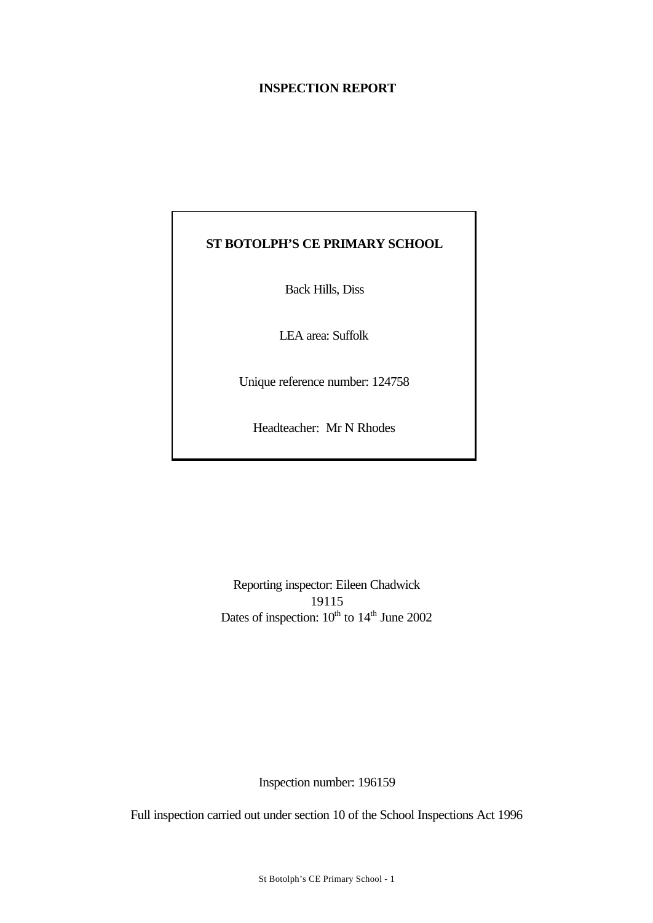## **INSPECTION REPORT**

# **ST BOTOLPH'S CE PRIMARY SCHOOL**

Back Hills, Diss

LEA area: Suffolk

Unique reference number: 124758

Headteacher: Mr N Rhodes

Reporting inspector: Eileen Chadwick 19115 Dates of inspection:  $10^{th}$  to  $14^{th}$  June 2002

Inspection number: 196159

Full inspection carried out under section 10 of the School Inspections Act 1996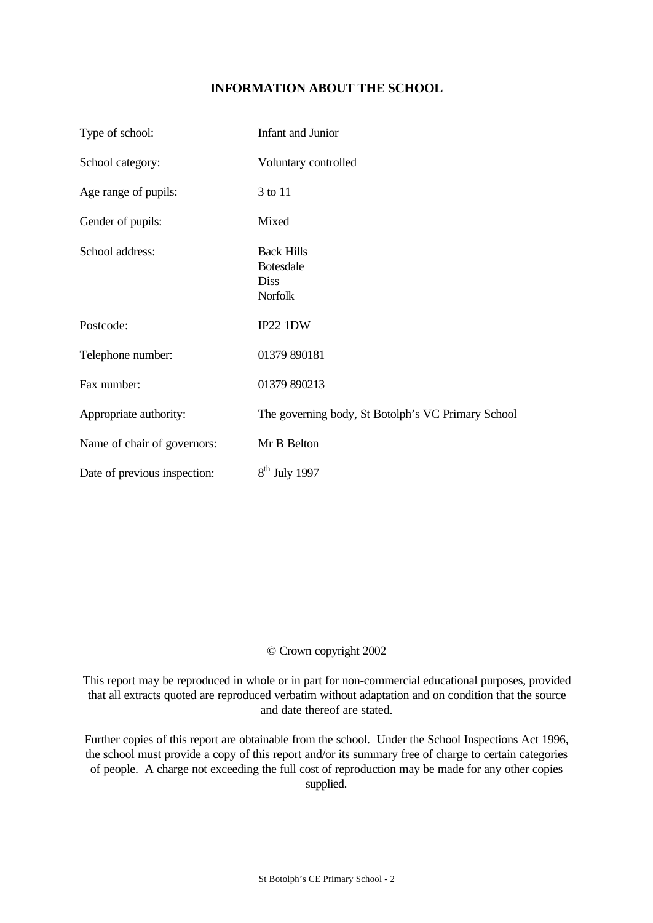## **INFORMATION ABOUT THE SCHOOL**

| Type of school:              | Infant and Junior                                               |
|------------------------------|-----------------------------------------------------------------|
| School category:             | Voluntary controlled                                            |
| Age range of pupils:         | 3 to 11                                                         |
| Gender of pupils:            | Mixed                                                           |
| School address:              | <b>Back Hills</b><br><b>Botesdale</b><br>Diss<br><b>Norfolk</b> |
| Postcode:                    | IP22 1DW                                                        |
| Telephone number:            | 01379 890181                                                    |
| Fax number:                  | 01379 890213                                                    |
| Appropriate authority:       | The governing body, St Botolph's VC Primary School              |
| Name of chair of governors:  | Mr B Belton                                                     |
| Date of previous inspection: | $8th$ July 1997                                                 |

## © Crown copyright 2002

This report may be reproduced in whole or in part for non-commercial educational purposes, provided that all extracts quoted are reproduced verbatim without adaptation and on condition that the source and date thereof are stated.

Further copies of this report are obtainable from the school. Under the School Inspections Act 1996, the school must provide a copy of this report and/or its summary free of charge to certain categories of people. A charge not exceeding the full cost of reproduction may be made for any other copies supplied.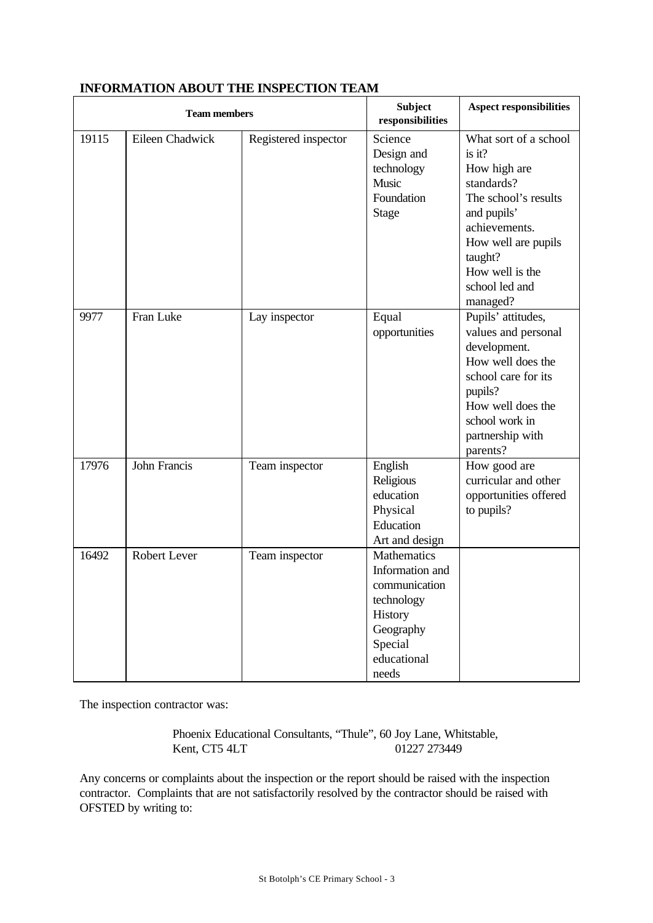| <b>Team members</b> |                 |                      | <b>Subject</b><br>responsibilities                                                                                              | <b>Aspect responsibilities</b>                                                                                                                                                                           |
|---------------------|-----------------|----------------------|---------------------------------------------------------------------------------------------------------------------------------|----------------------------------------------------------------------------------------------------------------------------------------------------------------------------------------------------------|
| 19115               | Eileen Chadwick | Registered inspector | Science<br>Design and<br>technology<br>Music<br>Foundation<br><b>Stage</b>                                                      | What sort of a school<br>is it?<br>How high are<br>standards?<br>The school's results<br>and pupils'<br>achievements.<br>How well are pupils<br>taught?<br>How well is the<br>school led and<br>managed? |
| 9977                | Fran Luke       | Lay inspector        | Equal<br>opportunities                                                                                                          | Pupils' attitudes,<br>values and personal<br>development.<br>How well does the<br>school care for its<br>pupils?<br>How well does the<br>school work in<br>partnership with<br>parents?                  |
| 17976               | John Francis    | Team inspector       | English<br>Religious<br>education<br>Physical<br>Education<br>Art and design                                                    | How good are<br>curricular and other<br>opportunities offered<br>to pupils?                                                                                                                              |
| 16492               | Robert Lever    | Team inspector       | <b>Mathematics</b><br>Information and<br>communication<br>technology<br>History<br>Geography<br>Special<br>educational<br>needs |                                                                                                                                                                                                          |

## **INFORMATION ABOUT THE INSPECTION TEAM**

The inspection contractor was:

Phoenix Educational Consultants, "Thule", 60 Joy Lane, Whitstable, Kent, CT5 4LT 01227 273449

Any concerns or complaints about the inspection or the report should be raised with the inspection contractor. Complaints that are not satisfactorily resolved by the contractor should be raised with OFSTED by writing to: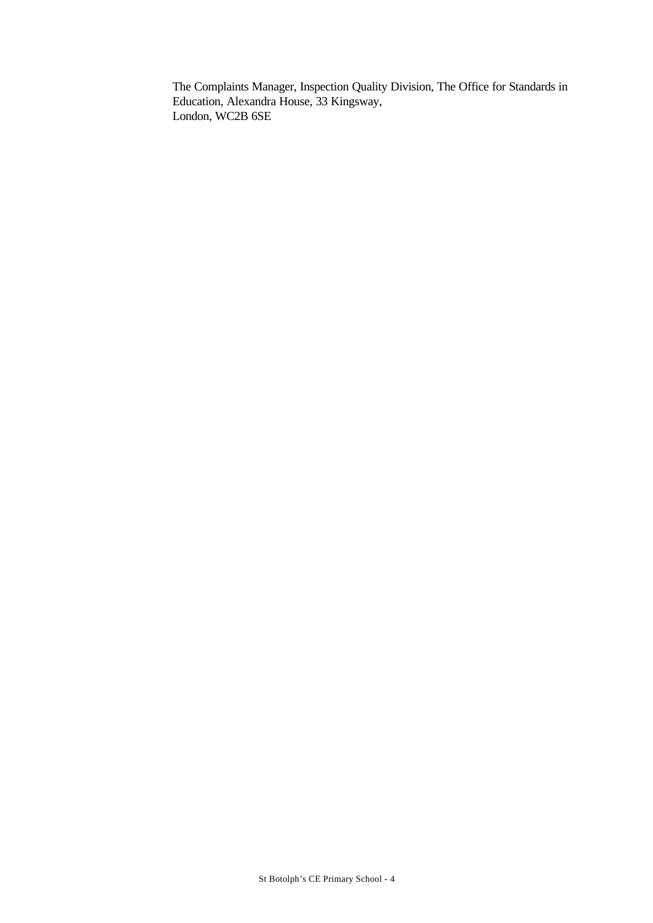The Complaints Manager, Inspection Quality Division, The Office for Standards in Education, Alexandra House, 33 Kingsway, London, WC2B 6SE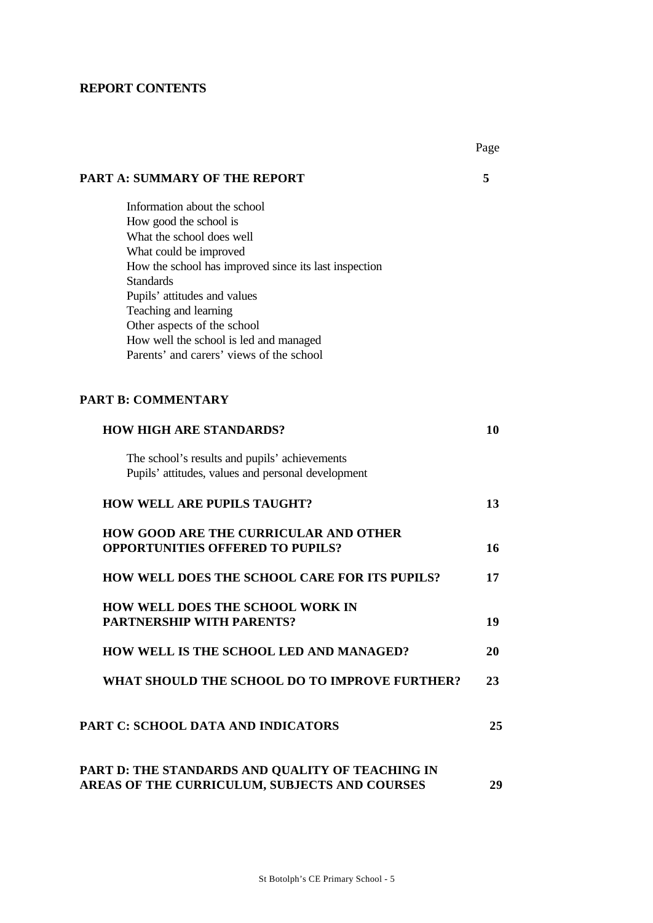## **REPORT CONTENTS**

|                                                                                                                                                                                                                                                                                                                                                                          | Page |
|--------------------------------------------------------------------------------------------------------------------------------------------------------------------------------------------------------------------------------------------------------------------------------------------------------------------------------------------------------------------------|------|
| <b>PART A: SUMMARY OF THE REPORT</b>                                                                                                                                                                                                                                                                                                                                     | 5    |
| Information about the school<br>How good the school is<br>What the school does well<br>What could be improved<br>How the school has improved since its last inspection<br><b>Standards</b><br>Pupils' attitudes and values<br>Teaching and learning<br>Other aspects of the school<br>How well the school is led and managed<br>Parents' and carers' views of the school |      |
|                                                                                                                                                                                                                                                                                                                                                                          |      |
| <b>PART B: COMMENTARY</b>                                                                                                                                                                                                                                                                                                                                                |      |
| <b>HOW HIGH ARE STANDARDS?</b>                                                                                                                                                                                                                                                                                                                                           | 10   |
| The school's results and pupils' achievements<br>Pupils' attitudes, values and personal development                                                                                                                                                                                                                                                                      |      |
| <b>HOW WELL ARE PUPILS TAUGHT?</b>                                                                                                                                                                                                                                                                                                                                       | 13   |
| <b>HOW GOOD ARE THE CURRICULAR AND OTHER</b><br><b>OPPORTUNITIES OFFERED TO PUPILS?</b>                                                                                                                                                                                                                                                                                  | 16   |
| HOW WELL DOES THE SCHOOL CARE FOR ITS PUPILS?                                                                                                                                                                                                                                                                                                                            | 17   |
| <b>HOW WELL DOES THE SCHOOL WORK IN</b><br><b>PARTNERSHIP WITH PARENTS?</b>                                                                                                                                                                                                                                                                                              | 19   |
| <b>HOW WELL IS THE SCHOOL LED AND MANAGED?</b>                                                                                                                                                                                                                                                                                                                           | 20   |
| WHAT SHOULD THE SCHOOL DO TO IMPROVE FURTHER?                                                                                                                                                                                                                                                                                                                            | 23   |
| <b>PART C: SCHOOL DATA AND INDICATORS</b>                                                                                                                                                                                                                                                                                                                                | 25   |
| PART D: THE STANDARDS AND QUALITY OF TEACHING IN<br>AREAS OF THE CURRICULUM, SUBJECTS AND COURSES                                                                                                                                                                                                                                                                        | 29   |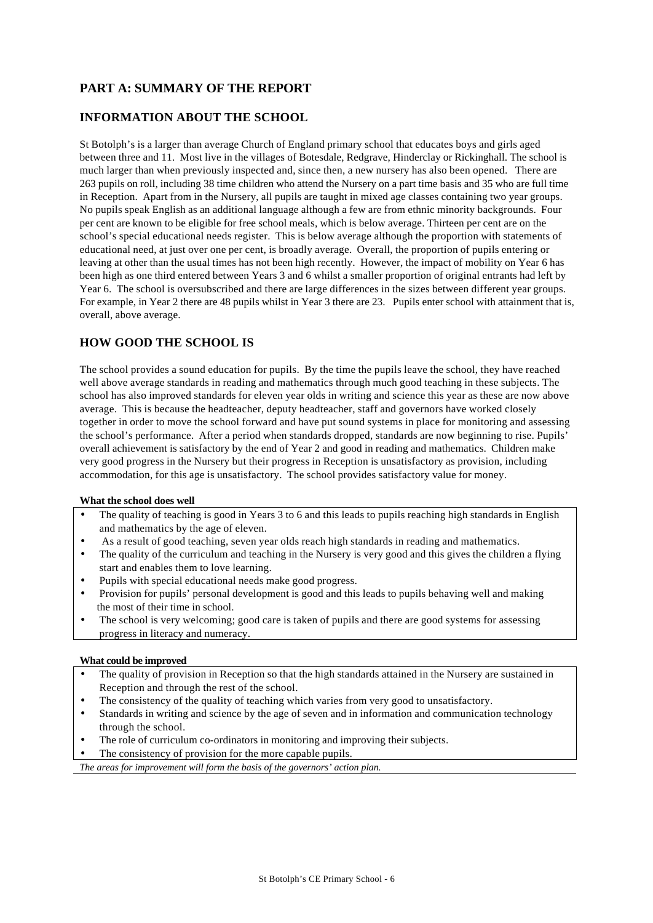## **PART A: SUMMARY OF THE REPORT**

## **INFORMATION ABOUT THE SCHOOL**

St Botolph's is a larger than average Church of England primary school that educates boys and girls aged between three and 11. Most live in the villages of Botesdale, Redgrave, Hinderclay or Rickinghall. The school is much larger than when previously inspected and, since then, a new nursery has also been opened. There are 263 pupils on roll, including 38 time children who attend the Nursery on a part time basis and 35 who are full time in Reception. Apart from in the Nursery, all pupils are taught in mixed age classes containing two year groups. No pupils speak English as an additional language although a few are from ethnic minority backgrounds. Four per cent are known to be eligible for free school meals, which is below average. Thirteen per cent are on the school's special educational needs register. This is below average although the proportion with statements of educational need, at just over one per cent, is broadly average. Overall, the proportion of pupils entering or leaving at other than the usual times has not been high recently. However, the impact of mobility on Year 6 has been high as one third entered between Years 3 and 6 whilst a smaller proportion of original entrants had left by Year 6. The school is oversubscribed and there are large differences in the sizes between different year groups. For example, in Year 2 there are 48 pupils whilst in Year 3 there are 23. Pupils enter school with attainment that is, overall, above average.

## **HOW GOOD THE SCHOOL IS**

The school provides a sound education for pupils. By the time the pupils leave the school, they have reached well above average standards in reading and mathematics through much good teaching in these subjects. The school has also improved standards for eleven year olds in writing and science this year as these are now above average. This is because the headteacher, deputy headteacher, staff and governors have worked closely together in order to move the school forward and have put sound systems in place for monitoring and assessing the school's performance. After a period when standards dropped, standards are now beginning to rise. Pupils' overall achievement is satisfactory by the end of Year 2 and good in reading and mathematics. Children make very good progress in the Nursery but their progress in Reception is unsatisfactory as provision, including accommodation, for this age is unsatisfactory. The school provides satisfactory value for money.

#### **What the school does well**

- The quality of teaching is good in Years 3 to 6 and this leads to pupils reaching high standards in English and mathematics by the age of eleven.
- As a result of good teaching, seven year olds reach high standards in reading and mathematics.
- The quality of the curriculum and teaching in the Nursery is very good and this gives the children a flying start and enables them to love learning.
- Pupils with special educational needs make good progress.
- Provision for pupils' personal development is good and this leads to pupils behaving well and making the most of their time in school.
- The school is very welcoming; good care is taken of pupils and there are good systems for assessing progress in literacy and numeracy.

#### **What could be improved**

- The quality of provision in Reception so that the high standards attained in the Nursery are sustained in Reception and through the rest of the school.
- The consistency of the quality of teaching which varies from very good to unsatisfactory.
- Standards in writing and science by the age of seven and in information and communication technology through the school.
- The role of curriculum co-ordinators in monitoring and improving their subjects.
- The consistency of provision for the more capable pupils.

*The areas for improvement will form the basis of the governors' action plan.*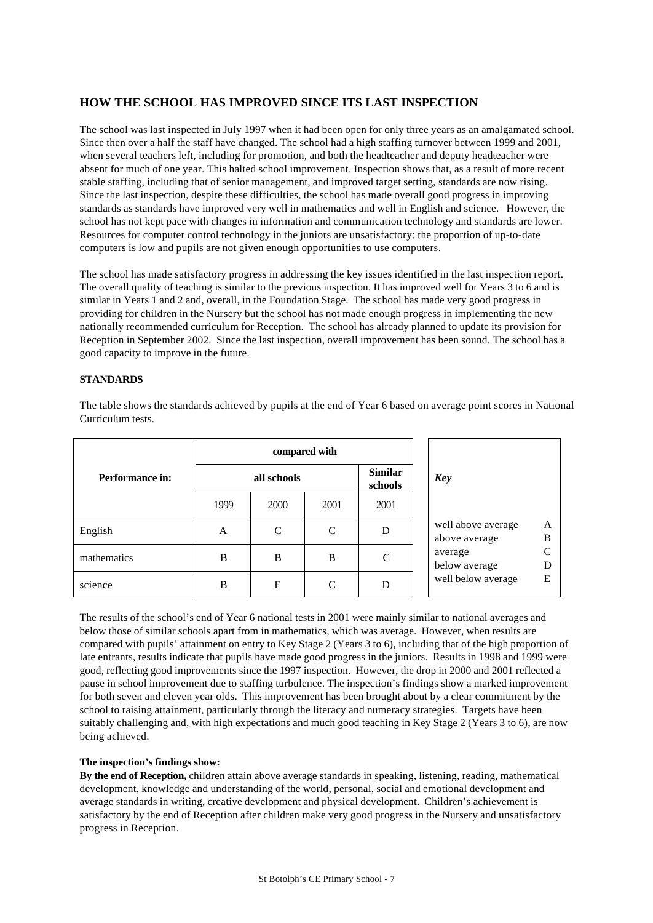## **HOW THE SCHOOL HAS IMPROVED SINCE ITS LAST INSPECTION**

The school was last inspected in July 1997 when it had been open for only three years as an amalgamated school. Since then over a half the staff have changed. The school had a high staffing turnover between 1999 and 2001, when several teachers left, including for promotion, and both the headteacher and deputy headteacher were absent for much of one year. This halted school improvement. Inspection shows that, as a result of more recent stable staffing, including that of senior management, and improved target setting, standards are now rising. Since the last inspection, despite these difficulties, the school has made overall good progress in improving standards as standards have improved very well in mathematics and well in English and science. However, the school has not kept pace with changes in information and communication technology and standards are lower. Resources for computer control technology in the juniors are unsatisfactory; the proportion of up-to-date computers is low and pupils are not given enough opportunities to use computers.

The school has made satisfactory progress in addressing the key issues identified in the last inspection report. The overall quality of teaching is similar to the previous inspection. It has improved well for Years 3 to 6 and is similar in Years 1 and 2 and, overall, in the Foundation Stage. The school has made very good progress in providing for children in the Nursery but the school has not made enough progress in implementing the new nationally recommended curriculum for Reception. The school has already planned to update its provision for Reception in September 2002. Since the last inspection, overall improvement has been sound. The school has a good capacity to improve in the future.

### **STANDARDS**

|                 | compared with |               |      |                           |                                               |
|-----------------|---------------|---------------|------|---------------------------|-----------------------------------------------|
| Performance in: | all schools   |               |      | <b>Similar</b><br>schools | <b>Key</b>                                    |
|                 | 1999          | 2000          | 2001 | 2001                      |                                               |
| English         | A             | $\mathcal{C}$ | C    | D                         | well above average<br>A<br>B<br>above average |
| mathematics     | B             | B             | B    | C                         | $\sqrt{ }$<br>average<br>below average<br>D   |
| science         | B             | E             | C    | D                         | well below average<br>E                       |

The table shows the standards achieved by pupils at the end of Year 6 based on average point scores in National Curriculum tests.

The results of the school's end of Year 6 national tests in 2001 were mainly similar to national averages and below those of similar schools apart from in mathematics, which was average. However, when results are compared with pupils' attainment on entry to Key Stage 2 (Years 3 to 6), including that of the high proportion of late entrants, results indicate that pupils have made good progress in the juniors. Results in 1998 and 1999 were good, reflecting good improvements since the 1997 inspection. However, the drop in 2000 and 2001 reflected a pause in school improvement due to staffing turbulence. The inspection's findings show a marked improvement for both seven and eleven year olds. This improvement has been brought about by a clear commitment by the school to raising attainment, particularly through the literacy and numeracy strategies. Targets have been suitably challenging and, with high expectations and much good teaching in Key Stage 2 (Years 3 to 6), are now being achieved.

### **The inspection's findings show:**

**By the end of Reception,** children attain above average standards in speaking, listening, reading, mathematical development, knowledge and understanding of the world, personal, social and emotional development and average standards in writing, creative development and physical development. Children's achievement is satisfactory by the end of Reception after children make very good progress in the Nursery and unsatisfactory progress in Reception.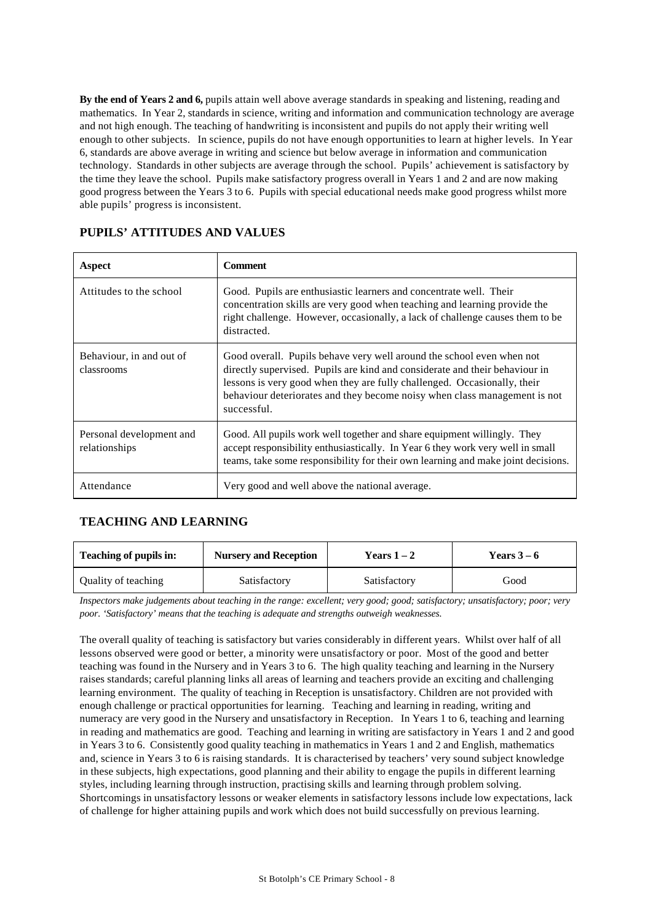**By the end of Years 2 and 6,** pupils attain well above average standards in speaking and listening, reading and mathematics. In Year 2, standards in science, writing and information and communication technology are average and not high enough. The teaching of handwriting is inconsistent and pupils do not apply their writing well enough to other subjects. In science, pupils do not have enough opportunities to learn at higher levels. In Year 6, standards are above average in writing and science but below average in information and communication technology. Standards in other subjects are average through the school. Pupils' achievement is satisfactory by the time they leave the school. Pupils make satisfactory progress overall in Years 1 and 2 and are now making good progress between the Years 3 to 6. Pupils with special educational needs make good progress whilst more able pupils' progress is inconsistent.

| Aspect                                    | <b>Comment</b>                                                                                                                                                                                                                                                                                                               |
|-------------------------------------------|------------------------------------------------------------------------------------------------------------------------------------------------------------------------------------------------------------------------------------------------------------------------------------------------------------------------------|
| Attitudes to the school                   | Good. Pupils are enthusiastic learners and concentrate well. Their<br>concentration skills are very good when teaching and learning provide the<br>right challenge. However, occasionally, a lack of challenge causes them to be<br>distracted.                                                                              |
| Behaviour, in and out of<br>classrooms    | Good overall. Pupils behave very well around the school even when not<br>directly supervised. Pupils are kind and considerate and their behaviour in<br>lessons is very good when they are fully challenged. Occasionally, their<br>behaviour deteriorates and they become noisy when class management is not<br>successful. |
| Personal development and<br>relationships | Good. All pupils work well together and share equipment willingly. They<br>accept responsibility enthusiastically. In Year 6 they work very well in small<br>teams, take some responsibility for their own learning and make joint decisions.                                                                                |
| Attendance                                | Very good and well above the national average.                                                                                                                                                                                                                                                                               |

### **PUPILS' ATTITUDES AND VALUES**

## **TEACHING AND LEARNING**

| Teaching of pupils in: | <b>Nursery and Reception</b> | Years $1-2$  | Years $3-6$ |  |
|------------------------|------------------------------|--------------|-------------|--|
| Quality of teaching    | Satisfactory                 | Satisfactory | Good        |  |

*Inspectors make judgements about teaching in the range: excellent; very good; good; satisfactory; unsatisfactory; poor; very poor. 'Satisfactory' means that the teaching is adequate and strengths outweigh weaknesses.*

The overall quality of teaching is satisfactory but varies considerably in different years. Whilst over half of all lessons observed were good or better, a minority were unsatisfactory or poor. Most of the good and better teaching was found in the Nursery and in Years 3 to 6. The high quality teaching and learning in the Nursery raises standards; careful planning links all areas of learning and teachers provide an exciting and challenging learning environment. The quality of teaching in Reception is unsatisfactory. Children are not provided with enough challenge or practical opportunities for learning. Teaching and learning in reading, writing and numeracy are very good in the Nursery and unsatisfactory in Reception. In Years 1 to 6, teaching and learning in reading and mathematics are good. Teaching and learning in writing are satisfactory in Years 1 and 2 and good in Years 3 to 6. Consistently good quality teaching in mathematics in Years 1 and 2 and English, mathematics and, science in Years 3 to 6 is raising standards. It is characterised by teachers' very sound subject knowledge in these subjects, high expectations, good planning and their ability to engage the pupils in different learning styles, including learning through instruction, practising skills and learning through problem solving. Shortcomings in unsatisfactory lessons or weaker elements in satisfactory lessons include low expectations, lack of challenge for higher attaining pupils and work which does not build successfully on previous learning.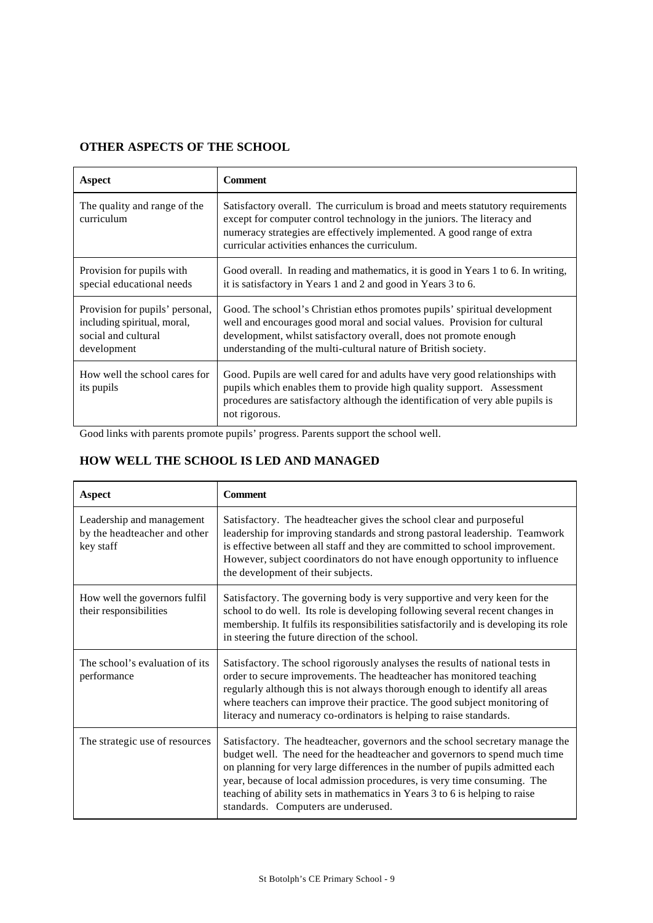## **OTHER ASPECTS OF THE SCHOOL**

| Aspect                                                                                               | <b>Comment</b>                                                                                                                                                                                                                                                                               |
|------------------------------------------------------------------------------------------------------|----------------------------------------------------------------------------------------------------------------------------------------------------------------------------------------------------------------------------------------------------------------------------------------------|
| The quality and range of the<br>curriculum                                                           | Satisfactory overall. The curriculum is broad and meets statutory requirements<br>except for computer control technology in the juniors. The literacy and<br>numeracy strategies are effectively implemented. A good range of extra<br>curricular activities enhances the curriculum.        |
| Provision for pupils with<br>special educational needs                                               | Good overall. In reading and mathematics, it is good in Years 1 to 6. In writing,<br>it is satisfactory in Years 1 and 2 and good in Years 3 to 6.                                                                                                                                           |
| Provision for pupils' personal,<br>including spiritual, moral,<br>social and cultural<br>development | Good. The school's Christian ethos promotes pupils' spiritual development<br>well and encourages good moral and social values. Provision for cultural<br>development, whilst satisfactory overall, does not promote enough<br>understanding of the multi-cultural nature of British society. |
| How well the school cares for<br>its pupils                                                          | Good. Pupils are well cared for and adults have very good relationships with<br>pupils which enables them to provide high quality support. Assessment<br>procedures are satisfactory although the identification of very able pupils is<br>not rigorous.                                     |

Good links with parents promote pupils' progress. Parents support the school well.

# **HOW WELL THE SCHOOL IS LED AND MANAGED**

| Aspect                                                                 | <b>Comment</b>                                                                                                                                                                                                                                                                                                                                                                                                                               |
|------------------------------------------------------------------------|----------------------------------------------------------------------------------------------------------------------------------------------------------------------------------------------------------------------------------------------------------------------------------------------------------------------------------------------------------------------------------------------------------------------------------------------|
| Leadership and management<br>by the headteacher and other<br>key staff | Satisfactory. The headteacher gives the school clear and purposeful<br>leadership for improving standards and strong pastoral leadership. Teamwork<br>is effective between all staff and they are committed to school improvement.<br>However, subject coordinators do not have enough opportunity to influence<br>the development of their subjects.                                                                                        |
| How well the governors fulfil<br>their responsibilities                | Satisfactory. The governing body is very supportive and very keen for the<br>school to do well. Its role is developing following several recent changes in<br>membership. It fulfils its responsibilities satisfactorily and is developing its role<br>in steering the future direction of the school.                                                                                                                                       |
| The school's evaluation of its<br>performance                          | Satisfactory. The school rigorously analyses the results of national tests in<br>order to secure improvements. The headteacher has monitored teaching<br>regularly although this is not always thorough enough to identify all areas<br>where teachers can improve their practice. The good subject monitoring of<br>literacy and numeracy co-ordinators is helping to raise standards.                                                      |
| The strategic use of resources                                         | Satisfactory. The headteacher, governors and the school secretary manage the<br>budget well. The need for the headteacher and governors to spend much time<br>on planning for very large differences in the number of pupils admitted each<br>year, because of local admission procedures, is very time consuming. The<br>teaching of ability sets in mathematics in Years 3 to 6 is helping to raise<br>standards. Computers are underused. |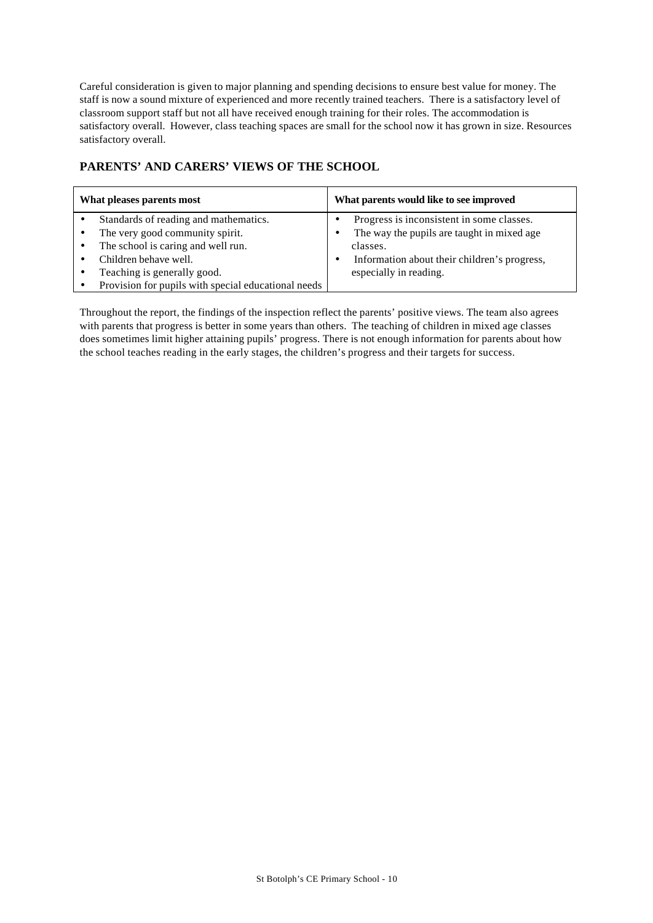Careful consideration is given to major planning and spending decisions to ensure best value for money. The staff is now a sound mixture of experienced and more recently trained teachers. There is a satisfactory level of classroom support staff but not all have received enough training for their roles. The accommodation is satisfactory overall. However, class teaching spaces are small for the school now it has grown in size. Resources satisfactory overall.

## **PARENTS' AND CARERS' VIEWS OF THE SCHOOL**

| What pleases parents most |                                                                                                                                                                                                                               | What parents would like to see improved                                                                                                                                       |  |  |
|---------------------------|-------------------------------------------------------------------------------------------------------------------------------------------------------------------------------------------------------------------------------|-------------------------------------------------------------------------------------------------------------------------------------------------------------------------------|--|--|
|                           | Standards of reading and mathematics.<br>The very good community spirit.<br>The school is caring and well run.<br>Children behave well.<br>Teaching is generally good.<br>Provision for pupils with special educational needs | Progress is inconsistent in some classes.<br>The way the pupils are taught in mixed age<br>classes.<br>Information about their children's progress,<br>especially in reading. |  |  |

Throughout the report, the findings of the inspection reflect the parents' positive views. The team also agrees with parents that progress is better in some years than others. The teaching of children in mixed age classes does sometimes limit higher attaining pupils' progress. There is not enough information for parents about how the school teaches reading in the early stages, the children's progress and their targets for success.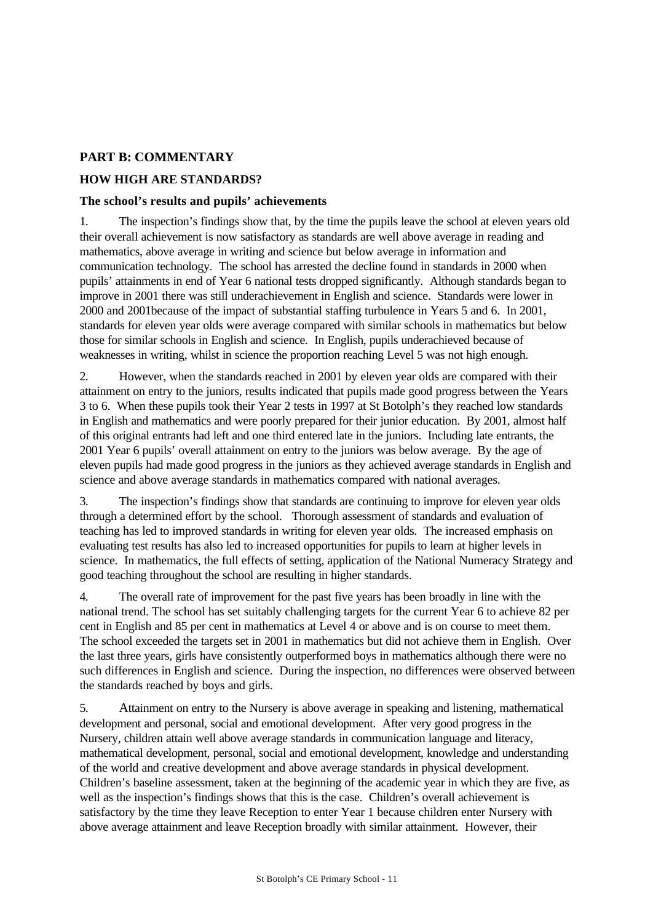## **PART B: COMMENTARY**

## **HOW HIGH ARE STANDARDS?**

### **The school's results and pupils' achievements**

1. The inspection's findings show that, by the time the pupils leave the school at eleven years old their overall achievement is now satisfactory as standards are well above average in reading and mathematics, above average in writing and science but below average in information and communication technology. The school has arrested the decline found in standards in 2000 when pupils' attainments in end of Year 6 national tests dropped significantly. Although standards began to improve in 2001 there was still underachievement in English and science. Standards were lower in 2000 and 2001because of the impact of substantial staffing turbulence in Years 5 and 6. In 2001, standards for eleven year olds were average compared with similar schools in mathematics but below those for similar schools in English and science. In English, pupils underachieved because of weaknesses in writing, whilst in science the proportion reaching Level 5 was not high enough.

2. However, when the standards reached in 2001 by eleven year olds are compared with their attainment on entry to the juniors, results indicated that pupils made good progress between the Years 3 to 6. When these pupils took their Year 2 tests in 1997 at St Botolph's they reached low standards in English and mathematics and were poorly prepared for their junior education. By 2001, almost half of this original entrants had left and one third entered late in the juniors. Including late entrants, the 2001 Year 6 pupils' overall attainment on entry to the juniors was below average. By the age of eleven pupils had made good progress in the juniors as they achieved average standards in English and science and above average standards in mathematics compared with national averages.

3. The inspection's findings show that standards are continuing to improve for eleven year olds through a determined effort by the school. Thorough assessment of standards and evaluation of teaching has led to improved standards in writing for eleven year olds. The increased emphasis on evaluating test results has also led to increased opportunities for pupils to learn at higher levels in science. In mathematics, the full effects of setting, application of the National Numeracy Strategy and good teaching throughout the school are resulting in higher standards.

4. The overall rate of improvement for the past five years has been broadly in line with the national trend. The school has set suitably challenging targets for the current Year 6 to achieve 82 per cent in English and 85 per cent in mathematics at Level 4 or above and is on course to meet them. The school exceeded the targets set in 2001 in mathematics but did not achieve them in English. Over the last three years, girls have consistently outperformed boys in mathematics although there were no such differences in English and science. During the inspection, no differences were observed between the standards reached by boys and girls.

5. Attainment on entry to the Nursery is above average in speaking and listening, mathematical development and personal, social and emotional development. After very good progress in the Nursery, children attain well above average standards in communication language and literacy, mathematical development, personal, social and emotional development, knowledge and understanding of the world and creative development and above average standards in physical development. Children's baseline assessment, taken at the beginning of the academic year in which they are five, as well as the inspection's findings shows that this is the case. Children's overall achievement is satisfactory by the time they leave Reception to enter Year 1 because children enter Nursery with above average attainment and leave Reception broadly with similar attainment. However, their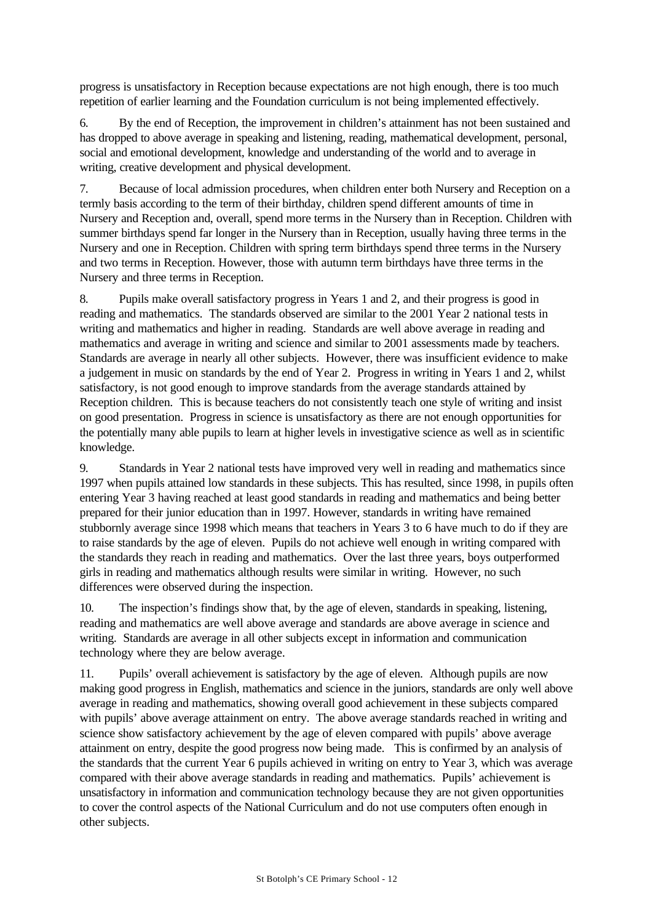progress is unsatisfactory in Reception because expectations are not high enough, there is too much repetition of earlier learning and the Foundation curriculum is not being implemented effectively.

6. By the end of Reception, the improvement in children's attainment has not been sustained and has dropped to above average in speaking and listening, reading, mathematical development, personal, social and emotional development, knowledge and understanding of the world and to average in writing, creative development and physical development.

7. Because of local admission procedures, when children enter both Nursery and Reception on a termly basis according to the term of their birthday, children spend different amounts of time in Nursery and Reception and, overall, spend more terms in the Nursery than in Reception. Children with summer birthdays spend far longer in the Nursery than in Reception, usually having three terms in the Nursery and one in Reception. Children with spring term birthdays spend three terms in the Nursery and two terms in Reception. However, those with autumn term birthdays have three terms in the Nursery and three terms in Reception.

8. Pupils make overall satisfactory progress in Years 1 and 2, and their progress is good in reading and mathematics. The standards observed are similar to the 2001 Year 2 national tests in writing and mathematics and higher in reading. Standards are well above average in reading and mathematics and average in writing and science and similar to 2001 assessments made by teachers. Standards are average in nearly all other subjects. However, there was insufficient evidence to make a judgement in music on standards by the end of Year 2. Progress in writing in Years 1 and 2, whilst satisfactory, is not good enough to improve standards from the average standards attained by Reception children. This is because teachers do not consistently teach one style of writing and insist on good presentation. Progress in science is unsatisfactory as there are not enough opportunities for the potentially many able pupils to learn at higher levels in investigative science as well as in scientific knowledge.

9. Standards in Year 2 national tests have improved very well in reading and mathematics since 1997 when pupils attained low standards in these subjects. This has resulted, since 1998, in pupils often entering Year 3 having reached at least good standards in reading and mathematics and being better prepared for their junior education than in 1997. However, standards in writing have remained stubbornly average since 1998 which means that teachers in Years 3 to 6 have much to do if they are to raise standards by the age of eleven. Pupils do not achieve well enough in writing compared with the standards they reach in reading and mathematics. Over the last three years, boys outperformed girls in reading and mathematics although results were similar in writing. However, no such differences were observed during the inspection.

10. The inspection's findings show that, by the age of eleven, standards in speaking, listening, reading and mathematics are well above average and standards are above average in science and writing. Standards are average in all other subjects except in information and communication technology where they are below average.

11. Pupils' overall achievement is satisfactory by the age of eleven. Although pupils are now making good progress in English, mathematics and science in the juniors, standards are only well above average in reading and mathematics, showing overall good achievement in these subjects compared with pupils' above average attainment on entry. The above average standards reached in writing and science show satisfactory achievement by the age of eleven compared with pupils' above average attainment on entry, despite the good progress now being made. This is confirmed by an analysis of the standards that the current Year 6 pupils achieved in writing on entry to Year 3, which was average compared with their above average standards in reading and mathematics. Pupils' achievement is unsatisfactory in information and communication technology because they are not given opportunities to cover the control aspects of the National Curriculum and do not use computers often enough in other subjects.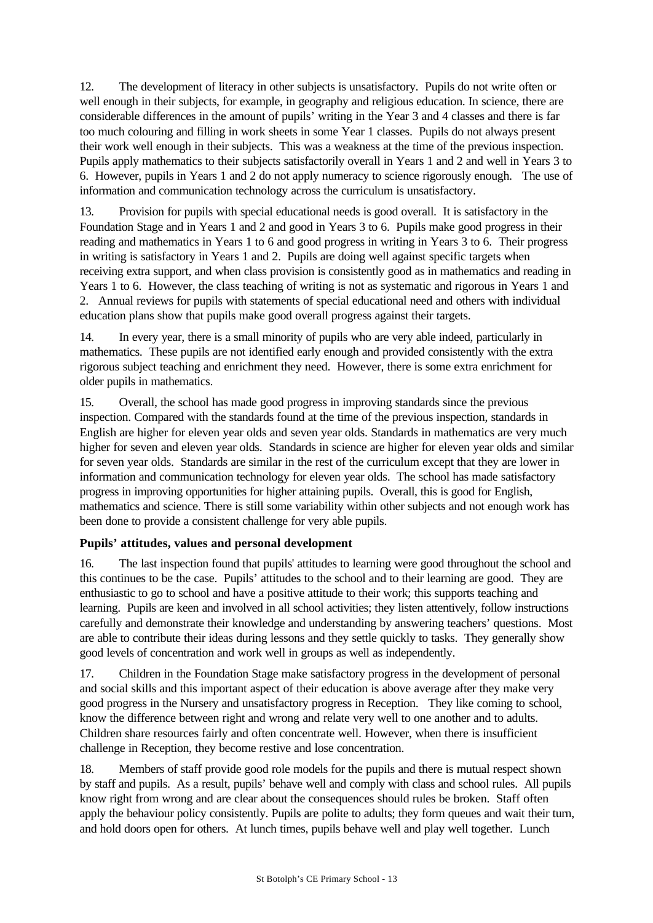12. The development of literacy in other subjects is unsatisfactory. Pupils do not write often or well enough in their subjects, for example, in geography and religious education. In science, there are considerable differences in the amount of pupils' writing in the Year 3 and 4 classes and there is far too much colouring and filling in work sheets in some Year 1 classes. Pupils do not always present their work well enough in their subjects. This was a weakness at the time of the previous inspection. Pupils apply mathematics to their subjects satisfactorily overall in Years 1 and 2 and well in Years 3 to 6. However, pupils in Years 1 and 2 do not apply numeracy to science rigorously enough. The use of information and communication technology across the curriculum is unsatisfactory.

13. Provision for pupils with special educational needs is good overall. It is satisfactory in the Foundation Stage and in Years 1 and 2 and good in Years 3 to 6. Pupils make good progress in their reading and mathematics in Years 1 to 6 and good progress in writing in Years 3 to 6. Their progress in writing is satisfactory in Years 1 and 2. Pupils are doing well against specific targets when receiving extra support, and when class provision is consistently good as in mathematics and reading in Years 1 to 6. However, the class teaching of writing is not as systematic and rigorous in Years 1 and 2. Annual reviews for pupils with statements of special educational need and others with individual education plans show that pupils make good overall progress against their targets.

14. In every year, there is a small minority of pupils who are very able indeed, particularly in mathematics. These pupils are not identified early enough and provided consistently with the extra rigorous subject teaching and enrichment they need. However, there is some extra enrichment for older pupils in mathematics.

15. Overall, the school has made good progress in improving standards since the previous inspection. Compared with the standards found at the time of the previous inspection, standards in English are higher for eleven year olds and seven year olds. Standards in mathematics are very much higher for seven and eleven year olds. Standards in science are higher for eleven year olds and similar for seven year olds. Standards are similar in the rest of the curriculum except that they are lower in information and communication technology for eleven year olds. The school has made satisfactory progress in improving opportunities for higher attaining pupils. Overall, this is good for English, mathematics and science. There is still some variability within other subjects and not enough work has been done to provide a consistent challenge for very able pupils.

# **Pupils' attitudes, values and personal development**

16. The last inspection found that pupils' attitudes to learning were good throughout the school and this continues to be the case. Pupils' attitudes to the school and to their learning are good. They are enthusiastic to go to school and have a positive attitude to their work; this supports teaching and learning. Pupils are keen and involved in all school activities; they listen attentively, follow instructions carefully and demonstrate their knowledge and understanding by answering teachers' questions. Most are able to contribute their ideas during lessons and they settle quickly to tasks. They generally show good levels of concentration and work well in groups as well as independently.

17. Children in the Foundation Stage make satisfactory progress in the development of personal and social skills and this important aspect of their education is above average after they make very good progress in the Nursery and unsatisfactory progress in Reception. They like coming to school, know the difference between right and wrong and relate very well to one another and to adults. Children share resources fairly and often concentrate well. However, when there is insufficient challenge in Reception, they become restive and lose concentration.

18. Members of staff provide good role models for the pupils and there is mutual respect shown by staff and pupils. As a result, pupils' behave well and comply with class and school rules. All pupils know right from wrong and are clear about the consequences should rules be broken. Staff often apply the behaviour policy consistently. Pupils are polite to adults; they form queues and wait their turn, and hold doors open for others. At lunch times, pupils behave well and play well together. Lunch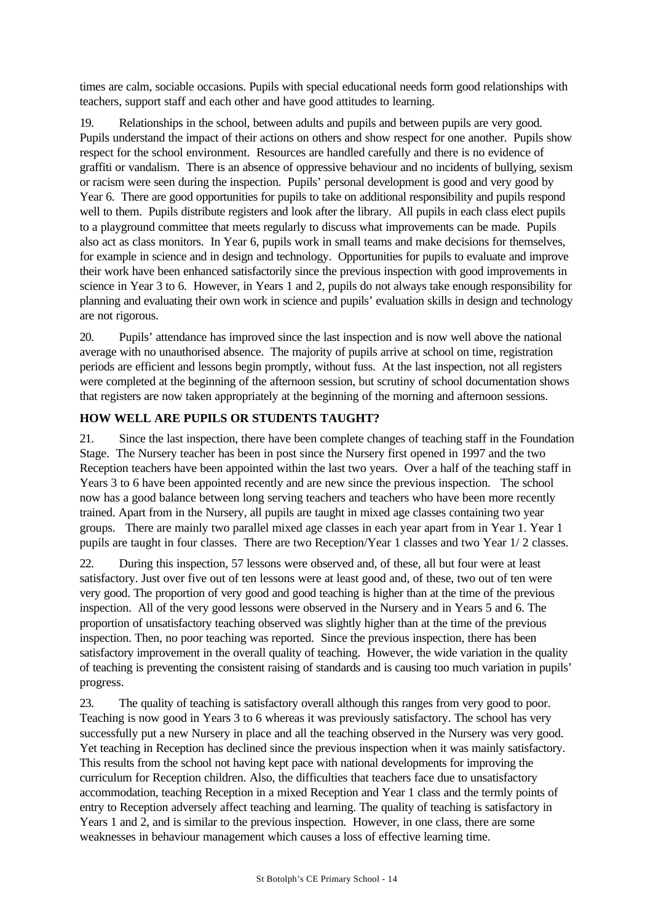times are calm, sociable occasions. Pupils with special educational needs form good relationships with teachers, support staff and each other and have good attitudes to learning.

19. Relationships in the school, between adults and pupils and between pupils are very good. Pupils understand the impact of their actions on others and show respect for one another. Pupils show respect for the school environment. Resources are handled carefully and there is no evidence of graffiti or vandalism. There is an absence of oppressive behaviour and no incidents of bullying, sexism or racism were seen during the inspection. Pupils' personal development is good and very good by Year 6. There are good opportunities for pupils to take on additional responsibility and pupils respond well to them. Pupils distribute registers and look after the library. All pupils in each class elect pupils to a playground committee that meets regularly to discuss what improvements can be made. Pupils also act as class monitors. In Year 6, pupils work in small teams and make decisions for themselves, for example in science and in design and technology. Opportunities for pupils to evaluate and improve their work have been enhanced satisfactorily since the previous inspection with good improvements in science in Year 3 to 6. However, in Years 1 and 2, pupils do not always take enough responsibility for planning and evaluating their own work in science and pupils' evaluation skills in design and technology are not rigorous.

20. Pupils' attendance has improved since the last inspection and is now well above the national average with no unauthorised absence. The majority of pupils arrive at school on time, registration periods are efficient and lessons begin promptly, without fuss. At the last inspection, not all registers were completed at the beginning of the afternoon session, but scrutiny of school documentation shows that registers are now taken appropriately at the beginning of the morning and afternoon sessions.

## **HOW WELL ARE PUPILS OR STUDENTS TAUGHT?**

21. Since the last inspection, there have been complete changes of teaching staff in the Foundation Stage. The Nursery teacher has been in post since the Nursery first opened in 1997 and the two Reception teachers have been appointed within the last two years. Over a half of the teaching staff in Years 3 to 6 have been appointed recently and are new since the previous inspection. The school now has a good balance between long serving teachers and teachers who have been more recently trained. Apart from in the Nursery, all pupils are taught in mixed age classes containing two year groups. There are mainly two parallel mixed age classes in each year apart from in Year 1. Year 1 pupils are taught in four classes. There are two Reception/Year 1 classes and two Year 1/ 2 classes.

22. During this inspection, 57 lessons were observed and, of these, all but four were at least satisfactory. Just over five out of ten lessons were at least good and, of these, two out of ten were very good. The proportion of very good and good teaching is higher than at the time of the previous inspection. All of the very good lessons were observed in the Nursery and in Years 5 and 6. The proportion of unsatisfactory teaching observed was slightly higher than at the time of the previous inspection. Then, no poor teaching was reported. Since the previous inspection, there has been satisfactory improvement in the overall quality of teaching. However, the wide variation in the quality of teaching is preventing the consistent raising of standards and is causing too much variation in pupils' progress.

23. The quality of teaching is satisfactory overall although this ranges from very good to poor. Teaching is now good in Years 3 to 6 whereas it was previously satisfactory. The school has very successfully put a new Nursery in place and all the teaching observed in the Nursery was very good. Yet teaching in Reception has declined since the previous inspection when it was mainly satisfactory. This results from the school not having kept pace with national developments for improving the curriculum for Reception children. Also, the difficulties that teachers face due to unsatisfactory accommodation, teaching Reception in a mixed Reception and Year 1 class and the termly points of entry to Reception adversely affect teaching and learning. The quality of teaching is satisfactory in Years 1 and 2, and is similar to the previous inspection. However, in one class, there are some weaknesses in behaviour management which causes a loss of effective learning time.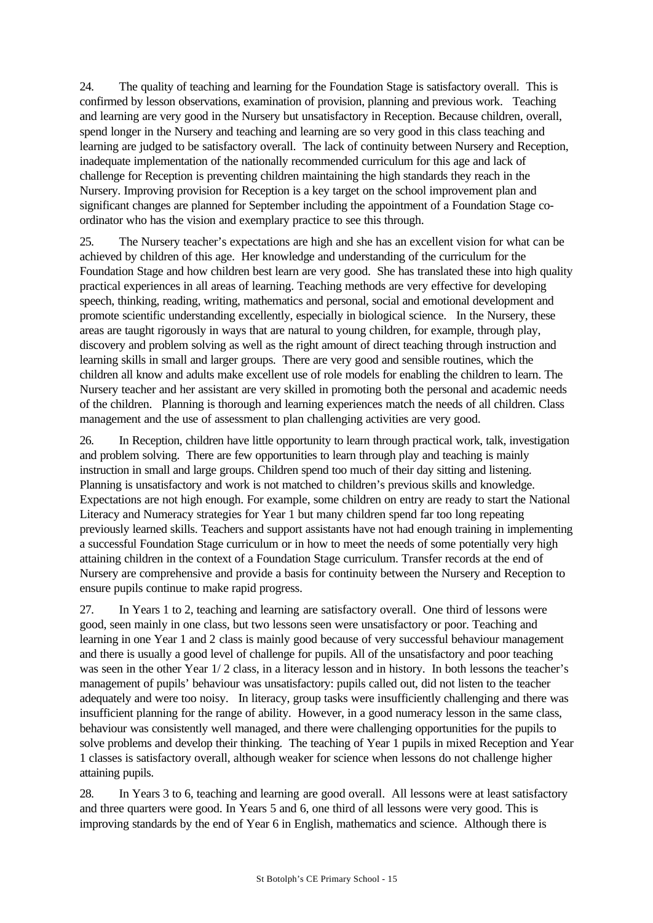24. The quality of teaching and learning for the Foundation Stage is satisfactory overall. This is confirmed by lesson observations, examination of provision, planning and previous work. Teaching and learning are very good in the Nursery but unsatisfactory in Reception. Because children, overall, spend longer in the Nursery and teaching and learning are so very good in this class teaching and learning are judged to be satisfactory overall. The lack of continuity between Nursery and Reception, inadequate implementation of the nationally recommended curriculum for this age and lack of challenge for Reception is preventing children maintaining the high standards they reach in the Nursery. Improving provision for Reception is a key target on the school improvement plan and significant changes are planned for September including the appointment of a Foundation Stage coordinator who has the vision and exemplary practice to see this through.

25. The Nursery teacher's expectations are high and she has an excellent vision for what can be achieved by children of this age. Her knowledge and understanding of the curriculum for the Foundation Stage and how children best learn are very good. She has translated these into high quality practical experiences in all areas of learning. Teaching methods are very effective for developing speech, thinking, reading, writing, mathematics and personal, social and emotional development and promote scientific understanding excellently, especially in biological science. In the Nursery, these areas are taught rigorously in ways that are natural to young children, for example, through play, discovery and problem solving as well as the right amount of direct teaching through instruction and learning skills in small and larger groups. There are very good and sensible routines, which the children all know and adults make excellent use of role models for enabling the children to learn. The Nursery teacher and her assistant are very skilled in promoting both the personal and academic needs of the children. Planning is thorough and learning experiences match the needs of all children. Class management and the use of assessment to plan challenging activities are very good.

26. In Reception, children have little opportunity to learn through practical work, talk, investigation and problem solving. There are few opportunities to learn through play and teaching is mainly instruction in small and large groups. Children spend too much of their day sitting and listening. Planning is unsatisfactory and work is not matched to children's previous skills and knowledge. Expectations are not high enough. For example, some children on entry are ready to start the National Literacy and Numeracy strategies for Year 1 but many children spend far too long repeating previously learned skills. Teachers and support assistants have not had enough training in implementing a successful Foundation Stage curriculum or in how to meet the needs of some potentially very high attaining children in the context of a Foundation Stage curriculum. Transfer records at the end of Nursery are comprehensive and provide a basis for continuity between the Nursery and Reception to ensure pupils continue to make rapid progress.

27. In Years 1 to 2, teaching and learning are satisfactory overall. One third of lessons were good, seen mainly in one class, but two lessons seen were unsatisfactory or poor. Teaching and learning in one Year 1 and 2 class is mainly good because of very successful behaviour management and there is usually a good level of challenge for pupils. All of the unsatisfactory and poor teaching was seen in the other Year  $1/2$  class, in a literacy lesson and in history. In both lessons the teacher's management of pupils' behaviour was unsatisfactory: pupils called out, did not listen to the teacher adequately and were too noisy. In literacy, group tasks were insufficiently challenging and there was insufficient planning for the range of ability. However, in a good numeracy lesson in the same class, behaviour was consistently well managed, and there were challenging opportunities for the pupils to solve problems and develop their thinking. The teaching of Year 1 pupils in mixed Reception and Year 1 classes is satisfactory overall, although weaker for science when lessons do not challenge higher attaining pupils.

28. In Years 3 to 6, teaching and learning are good overall. All lessons were at least satisfactory and three quarters were good. In Years 5 and 6, one third of all lessons were very good. This is improving standards by the end of Year 6 in English, mathematics and science. Although there is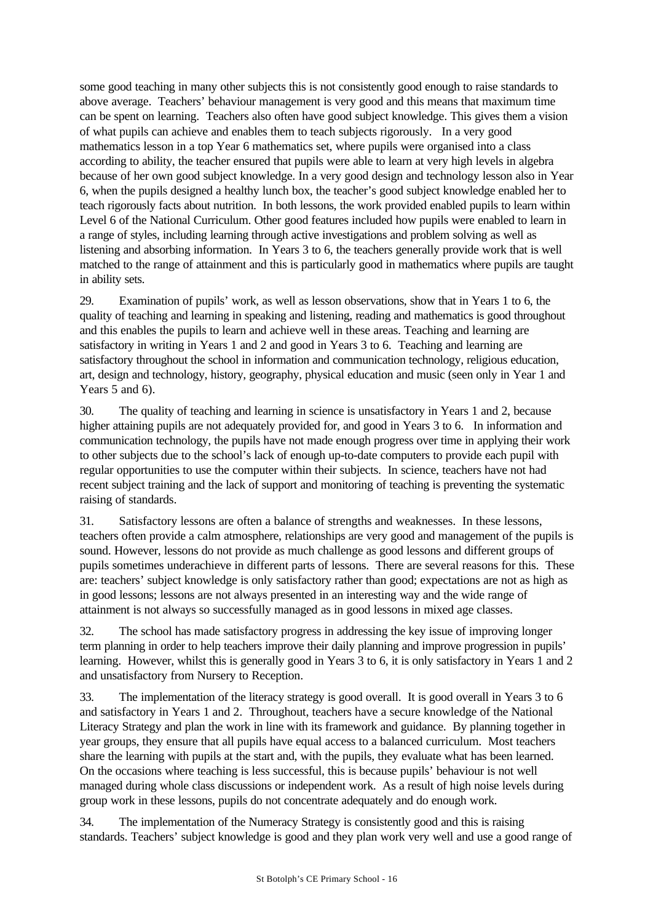some good teaching in many other subjects this is not consistently good enough to raise standards to above average. Teachers' behaviour management is very good and this means that maximum time can be spent on learning. Teachers also often have good subject knowledge. This gives them a vision of what pupils can achieve and enables them to teach subjects rigorously. In a very good mathematics lesson in a top Year 6 mathematics set, where pupils were organised into a class according to ability, the teacher ensured that pupils were able to learn at very high levels in algebra because of her own good subject knowledge. In a very good design and technology lesson also in Year 6, when the pupils designed a healthy lunch box, the teacher's good subject knowledge enabled her to teach rigorously facts about nutrition. In both lessons, the work provided enabled pupils to learn within Level 6 of the National Curriculum. Other good features included how pupils were enabled to learn in a range of styles, including learning through active investigations and problem solving as well as listening and absorbing information. In Years 3 to 6, the teachers generally provide work that is well matched to the range of attainment and this is particularly good in mathematics where pupils are taught in ability sets.

29. Examination of pupils' work, as well as lesson observations, show that in Years 1 to 6, the quality of teaching and learning in speaking and listening, reading and mathematics is good throughout and this enables the pupils to learn and achieve well in these areas. Teaching and learning are satisfactory in writing in Years 1 and 2 and good in Years 3 to 6. Teaching and learning are satisfactory throughout the school in information and communication technology, religious education, art, design and technology, history, geography, physical education and music (seen only in Year 1 and Years 5 and 6).

30. The quality of teaching and learning in science is unsatisfactory in Years 1 and 2, because higher attaining pupils are not adequately provided for, and good in Years 3 to 6. In information and communication technology, the pupils have not made enough progress over time in applying their work to other subjects due to the school's lack of enough up-to-date computers to provide each pupil with regular opportunities to use the computer within their subjects. In science, teachers have not had recent subject training and the lack of support and monitoring of teaching is preventing the systematic raising of standards.

31. Satisfactory lessons are often a balance of strengths and weaknesses. In these lessons, teachers often provide a calm atmosphere, relationships are very good and management of the pupils is sound. However, lessons do not provide as much challenge as good lessons and different groups of pupils sometimes underachieve in different parts of lessons. There are several reasons for this. These are: teachers' subject knowledge is only satisfactory rather than good; expectations are not as high as in good lessons; lessons are not always presented in an interesting way and the wide range of attainment is not always so successfully managed as in good lessons in mixed age classes.

32. The school has made satisfactory progress in addressing the key issue of improving longer term planning in order to help teachers improve their daily planning and improve progression in pupils' learning. However, whilst this is generally good in Years 3 to 6, it is only satisfactory in Years 1 and 2 and unsatisfactory from Nursery to Reception.

33. The implementation of the literacy strategy is good overall. It is good overall in Years 3 to 6 and satisfactory in Years 1 and 2. Throughout, teachers have a secure knowledge of the National Literacy Strategy and plan the work in line with its framework and guidance. By planning together in year groups, they ensure that all pupils have equal access to a balanced curriculum. Most teachers share the learning with pupils at the start and, with the pupils, they evaluate what has been learned. On the occasions where teaching is less successful, this is because pupils' behaviour is not well managed during whole class discussions or independent work. As a result of high noise levels during group work in these lessons, pupils do not concentrate adequately and do enough work.

34. The implementation of the Numeracy Strategy is consistently good and this is raising standards. Teachers' subject knowledge is good and they plan work very well and use a good range of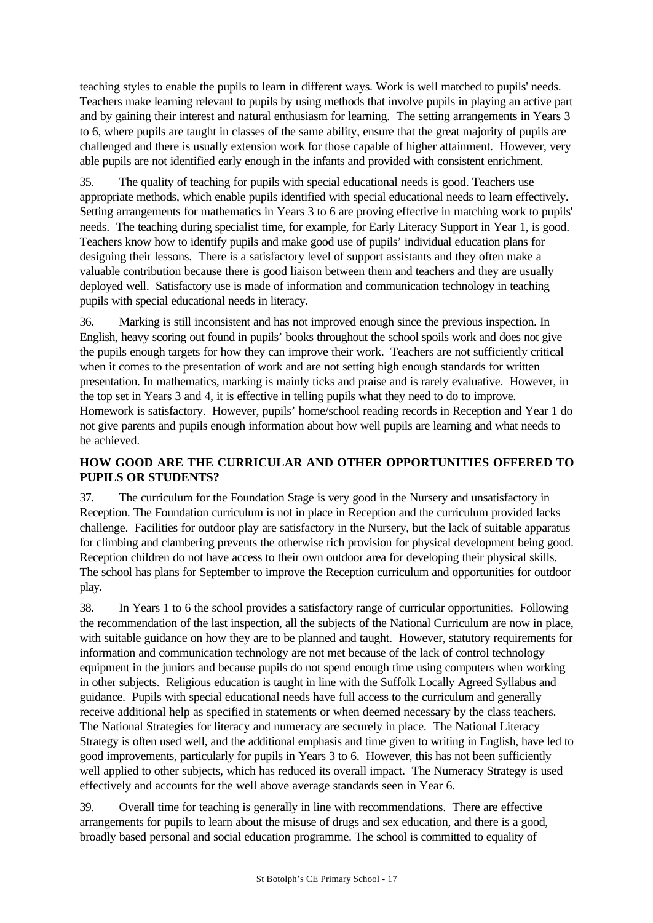teaching styles to enable the pupils to learn in different ways. Work is well matched to pupils' needs. Teachers make learning relevant to pupils by using methods that involve pupils in playing an active part and by gaining their interest and natural enthusiasm for learning. The setting arrangements in Years 3 to 6, where pupils are taught in classes of the same ability, ensure that the great majority of pupils are challenged and there is usually extension work for those capable of higher attainment. However, very able pupils are not identified early enough in the infants and provided with consistent enrichment.

35. The quality of teaching for pupils with special educational needs is good. Teachers use appropriate methods, which enable pupils identified with special educational needs to learn effectively. Setting arrangements for mathematics in Years 3 to 6 are proving effective in matching work to pupils' needs. The teaching during specialist time, for example, for Early Literacy Support in Year 1, is good. Teachers know how to identify pupils and make good use of pupils' individual education plans for designing their lessons. There is a satisfactory level of support assistants and they often make a valuable contribution because there is good liaison between them and teachers and they are usually deployed well. Satisfactory use is made of information and communication technology in teaching pupils with special educational needs in literacy.

36. Marking is still inconsistent and has not improved enough since the previous inspection. In English, heavy scoring out found in pupils' books throughout the school spoils work and does not give the pupils enough targets for how they can improve their work. Teachers are not sufficiently critical when it comes to the presentation of work and are not setting high enough standards for written presentation. In mathematics, marking is mainly ticks and praise and is rarely evaluative. However, in the top set in Years 3 and 4, it is effective in telling pupils what they need to do to improve. Homework is satisfactory. However, pupils' home/school reading records in Reception and Year 1 do not give parents and pupils enough information about how well pupils are learning and what needs to be achieved.

## **HOW GOOD ARE THE CURRICULAR AND OTHER OPPORTUNITIES OFFERED TO PUPILS OR STUDENTS?**

37. The curriculum for the Foundation Stage is very good in the Nursery and unsatisfactory in Reception. The Foundation curriculum is not in place in Reception and the curriculum provided lacks challenge. Facilities for outdoor play are satisfactory in the Nursery, but the lack of suitable apparatus for climbing and clambering prevents the otherwise rich provision for physical development being good. Reception children do not have access to their own outdoor area for developing their physical skills. The school has plans for September to improve the Reception curriculum and opportunities for outdoor play.

38. In Years 1 to 6 the school provides a satisfactory range of curricular opportunities. Following the recommendation of the last inspection, all the subjects of the National Curriculum are now in place, with suitable guidance on how they are to be planned and taught. However, statutory requirements for information and communication technology are not met because of the lack of control technology equipment in the juniors and because pupils do not spend enough time using computers when working in other subjects. Religious education is taught in line with the Suffolk Locally Agreed Syllabus and guidance. Pupils with special educational needs have full access to the curriculum and generally receive additional help as specified in statements or when deemed necessary by the class teachers. The National Strategies for literacy and numeracy are securely in place. The National Literacy Strategy is often used well, and the additional emphasis and time given to writing in English, have led to good improvements, particularly for pupils in Years 3 to 6. However, this has not been sufficiently well applied to other subjects, which has reduced its overall impact. The Numeracy Strategy is used effectively and accounts for the well above average standards seen in Year 6.

39. Overall time for teaching is generally in line with recommendations. There are effective arrangements for pupils to learn about the misuse of drugs and sex education, and there is a good, broadly based personal and social education programme. The school is committed to equality of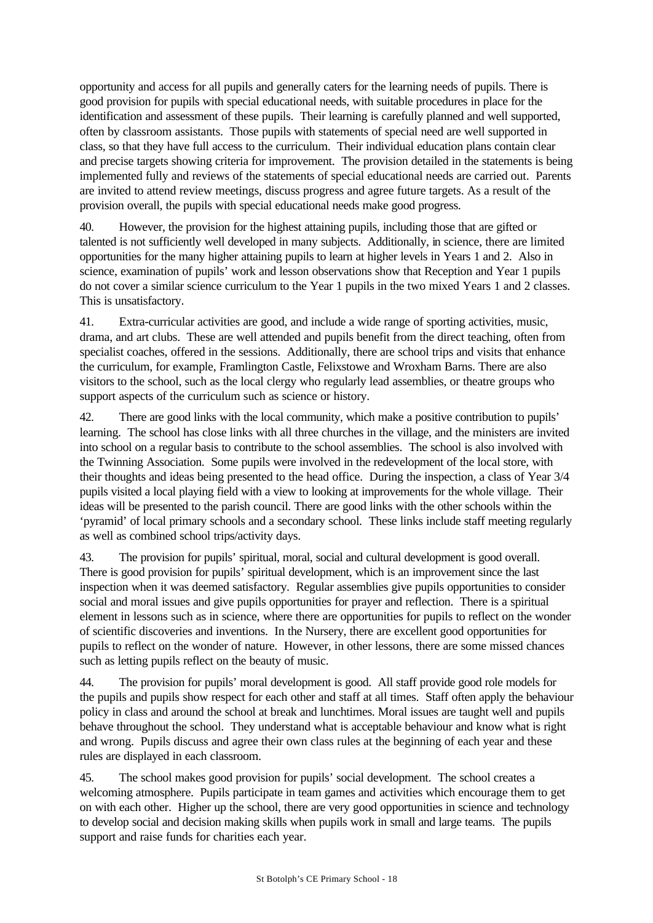opportunity and access for all pupils and generally caters for the learning needs of pupils. There is good provision for pupils with special educational needs, with suitable procedures in place for the identification and assessment of these pupils. Their learning is carefully planned and well supported, often by classroom assistants. Those pupils with statements of special need are well supported in class, so that they have full access to the curriculum. Their individual education plans contain clear and precise targets showing criteria for improvement. The provision detailed in the statements is being implemented fully and reviews of the statements of special educational needs are carried out. Parents are invited to attend review meetings, discuss progress and agree future targets. As a result of the provision overall, the pupils with special educational needs make good progress.

40. However, the provision for the highest attaining pupils, including those that are gifted or talented is not sufficiently well developed in many subjects. Additionally, in science, there are limited opportunities for the many higher attaining pupils to learn at higher levels in Years 1 and 2. Also in science, examination of pupils' work and lesson observations show that Reception and Year 1 pupils do not cover a similar science curriculum to the Year 1 pupils in the two mixed Years 1 and 2 classes. This is unsatisfactory.

41. Extra-curricular activities are good, and include a wide range of sporting activities, music, drama, and art clubs. These are well attended and pupils benefit from the direct teaching, often from specialist coaches, offered in the sessions. Additionally, there are school trips and visits that enhance the curriculum, for example, Framlington Castle, Felixstowe and Wroxham Barns. There are also visitors to the school, such as the local clergy who regularly lead assemblies, or theatre groups who support aspects of the curriculum such as science or history.

42. There are good links with the local community, which make a positive contribution to pupils' learning. The school has close links with all three churches in the village, and the ministers are invited into school on a regular basis to contribute to the school assemblies. The school is also involved with the Twinning Association. Some pupils were involved in the redevelopment of the local store, with their thoughts and ideas being presented to the head office. During the inspection, a class of Year 3/4 pupils visited a local playing field with a view to looking at improvements for the whole village. Their ideas will be presented to the parish council. There are good links with the other schools within the 'pyramid' of local primary schools and a secondary school. These links include staff meeting regularly as well as combined school trips/activity days.

43. The provision for pupils' spiritual, moral, social and cultural development is good overall. There is good provision for pupils' spiritual development, which is an improvement since the last inspection when it was deemed satisfactory. Regular assemblies give pupils opportunities to consider social and moral issues and give pupils opportunities for prayer and reflection. There is a spiritual element in lessons such as in science, where there are opportunities for pupils to reflect on the wonder of scientific discoveries and inventions. In the Nursery, there are excellent good opportunities for pupils to reflect on the wonder of nature. However, in other lessons, there are some missed chances such as letting pupils reflect on the beauty of music.

44. The provision for pupils' moral development is good. All staff provide good role models for the pupils and pupils show respect for each other and staff at all times. Staff often apply the behaviour policy in class and around the school at break and lunchtimes. Moral issues are taught well and pupils behave throughout the school. They understand what is acceptable behaviour and know what is right and wrong. Pupils discuss and agree their own class rules at the beginning of each year and these rules are displayed in each classroom.

45. The school makes good provision for pupils' social development. The school creates a welcoming atmosphere. Pupils participate in team games and activities which encourage them to get on with each other. Higher up the school, there are very good opportunities in science and technology to develop social and decision making skills when pupils work in small and large teams. The pupils support and raise funds for charities each year.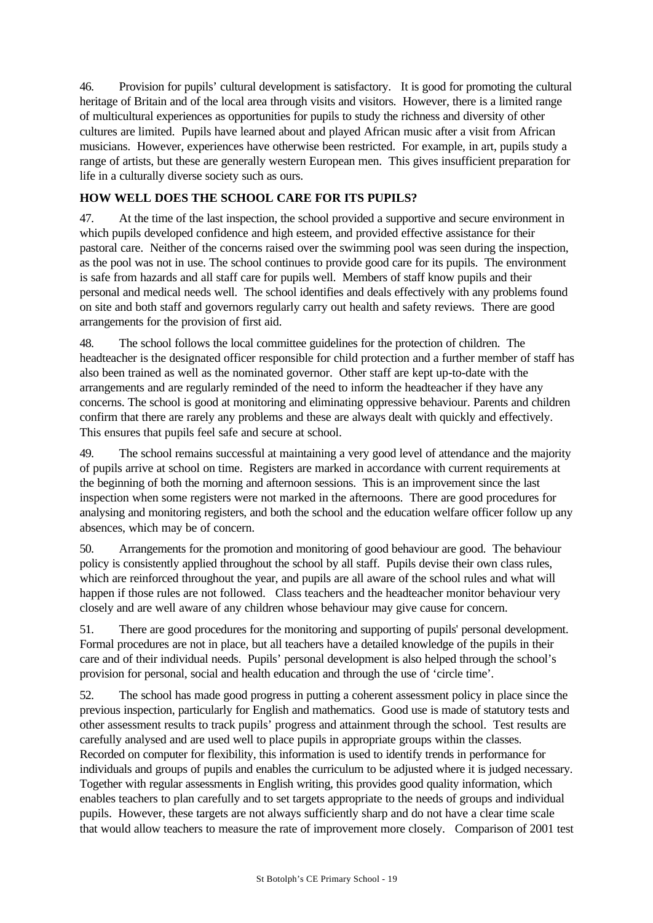46. Provision for pupils' cultural development is satisfactory. It is good for promoting the cultural heritage of Britain and of the local area through visits and visitors. However, there is a limited range of multicultural experiences as opportunities for pupils to study the richness and diversity of other cultures are limited. Pupils have learned about and played African music after a visit from African musicians. However, experiences have otherwise been restricted. For example, in art, pupils study a range of artists, but these are generally western European men. This gives insufficient preparation for life in a culturally diverse society such as ours.

## **HOW WELL DOES THE SCHOOL CARE FOR ITS PUPILS?**

47. At the time of the last inspection, the school provided a supportive and secure environment in which pupils developed confidence and high esteem, and provided effective assistance for their pastoral care. Neither of the concerns raised over the swimming pool was seen during the inspection, as the pool was not in use. The school continues to provide good care for its pupils. The environment is safe from hazards and all staff care for pupils well. Members of staff know pupils and their personal and medical needs well. The school identifies and deals effectively with any problems found on site and both staff and governors regularly carry out health and safety reviews. There are good arrangements for the provision of first aid.

48. The school follows the local committee guidelines for the protection of children. The headteacher is the designated officer responsible for child protection and a further member of staff has also been trained as well as the nominated governor. Other staff are kept up-to-date with the arrangements and are regularly reminded of the need to inform the headteacher if they have any concerns. The school is good at monitoring and eliminating oppressive behaviour. Parents and children confirm that there are rarely any problems and these are always dealt with quickly and effectively. This ensures that pupils feel safe and secure at school.

49. The school remains successful at maintaining a very good level of attendance and the majority of pupils arrive at school on time. Registers are marked in accordance with current requirements at the beginning of both the morning and afternoon sessions. This is an improvement since the last inspection when some registers were not marked in the afternoons. There are good procedures for analysing and monitoring registers, and both the school and the education welfare officer follow up any absences, which may be of concern.

50. Arrangements for the promotion and monitoring of good behaviour are good. The behaviour policy is consistently applied throughout the school by all staff. Pupils devise their own class rules, which are reinforced throughout the year, and pupils are all aware of the school rules and what will happen if those rules are not followed. Class teachers and the headteacher monitor behaviour very closely and are well aware of any children whose behaviour may give cause for concern.

51. There are good procedures for the monitoring and supporting of pupils' personal development. Formal procedures are not in place, but all teachers have a detailed knowledge of the pupils in their care and of their individual needs. Pupils' personal development is also helped through the school's provision for personal, social and health education and through the use of 'circle time'.

52. The school has made good progress in putting a coherent assessment policy in place since the previous inspection, particularly for English and mathematics. Good use is made of statutory tests and other assessment results to track pupils' progress and attainment through the school. Test results are carefully analysed and are used well to place pupils in appropriate groups within the classes. Recorded on computer for flexibility, this information is used to identify trends in performance for individuals and groups of pupils and enables the curriculum to be adjusted where it is judged necessary. Together with regular assessments in English writing, this provides good quality information, which enables teachers to plan carefully and to set targets appropriate to the needs of groups and individual pupils. However, these targets are not always sufficiently sharp and do not have a clear time scale that would allow teachers to measure the rate of improvement more closely. Comparison of 2001 test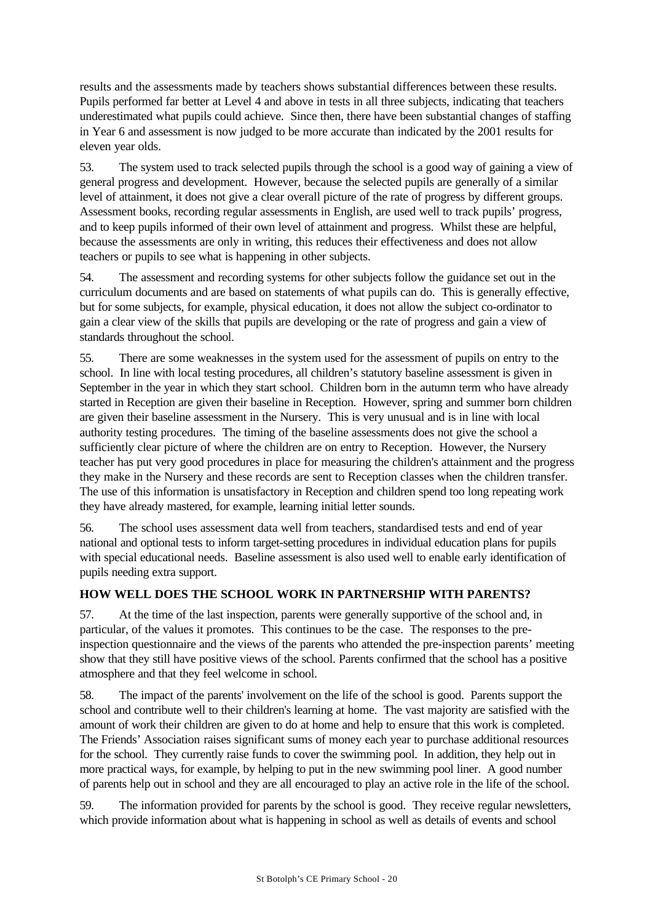results and the assessments made by teachers shows substantial differences between these results. Pupils performed far better at Level 4 and above in tests in all three subjects, indicating that teachers underestimated what pupils could achieve. Since then, there have been substantial changes of staffing in Year 6 and assessment is now judged to be more accurate than indicated by the 2001 results for eleven year olds.

53. The system used to track selected pupils through the school is a good way of gaining a view of general progress and development. However, because the selected pupils are generally of a similar level of attainment, it does not give a clear overall picture of the rate of progress by different groups. Assessment books, recording regular assessments in English, are used well to track pupils' progress, and to keep pupils informed of their own level of attainment and progress. Whilst these are helpful, because the assessments are only in writing, this reduces their effectiveness and does not allow teachers or pupils to see what is happening in other subjects.

54. The assessment and recording systems for other subjects follow the guidance set out in the curriculum documents and are based on statements of what pupils can do. This is generally effective, but for some subjects, for example, physical education, it does not allow the subject co-ordinator to gain a clear view of the skills that pupils are developing or the rate of progress and gain a view of standards throughout the school.

55. There are some weaknesses in the system used for the assessment of pupils on entry to the school. In line with local testing procedures, all children's statutory baseline assessment is given in September in the year in which they start school. Children born in the autumn term who have already started in Reception are given their baseline in Reception. However, spring and summer born children are given their baseline assessment in the Nursery. This is very unusual and is in line with local authority testing procedures. The timing of the baseline assessments does not give the school a sufficiently clear picture of where the children are on entry to Reception. However, the Nursery teacher has put very good procedures in place for measuring the children's attainment and the progress they make in the Nursery and these records are sent to Reception classes when the children transfer. The use of this information is unsatisfactory in Reception and children spend too long repeating work they have already mastered, for example, learning initial letter sounds.

56. The school uses assessment data well from teachers, standardised tests and end of year national and optional tests to inform target-setting procedures in individual education plans for pupils with special educational needs. Baseline assessment is also used well to enable early identification of pupils needing extra support.

## **HOW WELL DOES THE SCHOOL WORK IN PARTNERSHIP WITH PARENTS?**

57. At the time of the last inspection, parents were generally supportive of the school and, in particular, of the values it promotes. This continues to be the case. The responses to the preinspection questionnaire and the views of the parents who attended the pre-inspection parents' meeting show that they still have positive views of the school. Parents confirmed that the school has a positive atmosphere and that they feel welcome in school.

58. The impact of the parents' involvement on the life of the school is good. Parents support the school and contribute well to their children's learning at home. The vast majority are satisfied with the amount of work their children are given to do at home and help to ensure that this work is completed. The Friends' Association raises significant sums of money each year to purchase additional resources for the school. They currently raise funds to cover the swimming pool. In addition, they help out in more practical ways, for example, by helping to put in the new swimming pool liner. A good number of parents help out in school and they are all encouraged to play an active role in the life of the school.

59. The information provided for parents by the school is good. They receive regular newsletters, which provide information about what is happening in school as well as details of events and school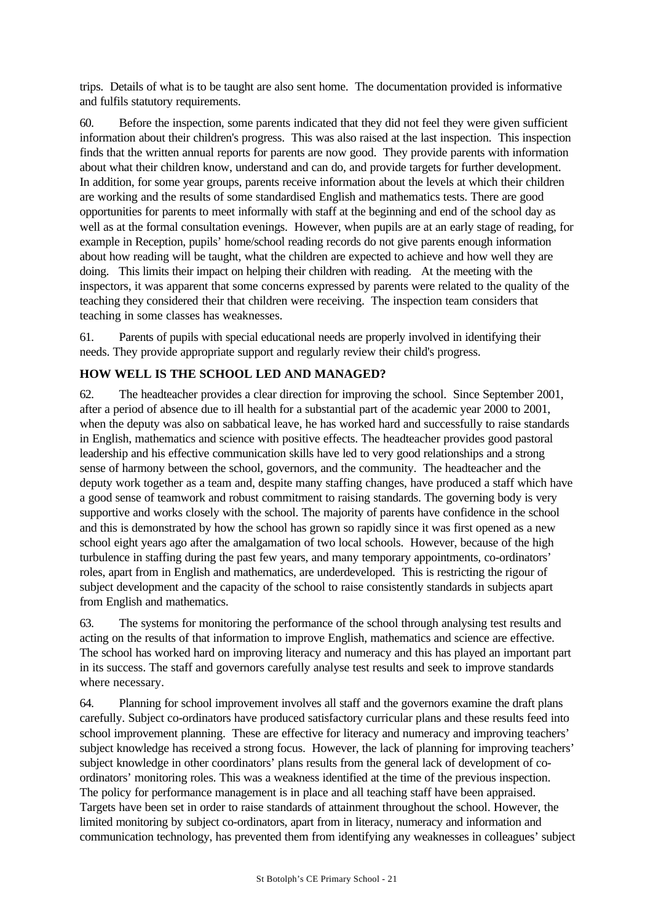trips. Details of what is to be taught are also sent home. The documentation provided is informative and fulfils statutory requirements.

60. Before the inspection, some parents indicated that they did not feel they were given sufficient information about their children's progress. This was also raised at the last inspection. This inspection finds that the written annual reports for parents are now good. They provide parents with information about what their children know, understand and can do, and provide targets for further development. In addition, for some year groups, parents receive information about the levels at which their children are working and the results of some standardised English and mathematics tests. There are good opportunities for parents to meet informally with staff at the beginning and end of the school day as well as at the formal consultation evenings. However, when pupils are at an early stage of reading, for example in Reception, pupils' home/school reading records do not give parents enough information about how reading will be taught, what the children are expected to achieve and how well they are doing. This limits their impact on helping their children with reading. At the meeting with the inspectors, it was apparent that some concerns expressed by parents were related to the quality of the teaching they considered their that children were receiving. The inspection team considers that teaching in some classes has weaknesses.

61. Parents of pupils with special educational needs are properly involved in identifying their needs. They provide appropriate support and regularly review their child's progress.

## **HOW WELL IS THE SCHOOL LED AND MANAGED?**

62. The headteacher provides a clear direction for improving the school. Since September 2001, after a period of absence due to ill health for a substantial part of the academic year 2000 to 2001, when the deputy was also on sabbatical leave, he has worked hard and successfully to raise standards in English, mathematics and science with positive effects. The headteacher provides good pastoral leadership and his effective communication skills have led to very good relationships and a strong sense of harmony between the school, governors, and the community. The headteacher and the deputy work together as a team and, despite many staffing changes, have produced a staff which have a good sense of teamwork and robust commitment to raising standards. The governing body is very supportive and works closely with the school. The majority of parents have confidence in the school and this is demonstrated by how the school has grown so rapidly since it was first opened as a new school eight years ago after the amalgamation of two local schools. However, because of the high turbulence in staffing during the past few years, and many temporary appointments, co-ordinators' roles, apart from in English and mathematics, are underdeveloped. This is restricting the rigour of subject development and the capacity of the school to raise consistently standards in subjects apart from English and mathematics.

63. The systems for monitoring the performance of the school through analysing test results and acting on the results of that information to improve English, mathematics and science are effective. The school has worked hard on improving literacy and numeracy and this has played an important part in its success. The staff and governors carefully analyse test results and seek to improve standards where necessary.

64. Planning for school improvement involves all staff and the governors examine the draft plans carefully. Subject co-ordinators have produced satisfactory curricular plans and these results feed into school improvement planning. These are effective for literacy and numeracy and improving teachers' subject knowledge has received a strong focus. However, the lack of planning for improving teachers' subject knowledge in other coordinators' plans results from the general lack of development of coordinators' monitoring roles. This was a weakness identified at the time of the previous inspection. The policy for performance management is in place and all teaching staff have been appraised. Targets have been set in order to raise standards of attainment throughout the school. However, the limited monitoring by subject co-ordinators, apart from in literacy, numeracy and information and communication technology, has prevented them from identifying any weaknesses in colleagues' subject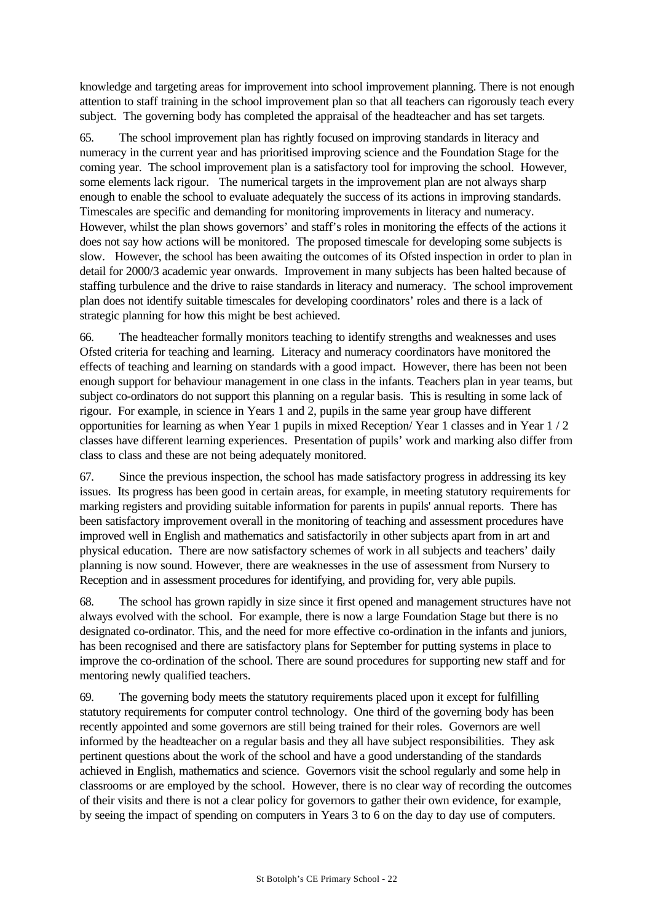knowledge and targeting areas for improvement into school improvement planning. There is not enough attention to staff training in the school improvement plan so that all teachers can rigorously teach every subject. The governing body has completed the appraisal of the headteacher and has set targets.

65. The school improvement plan has rightly focused on improving standards in literacy and numeracy in the current year and has prioritised improving science and the Foundation Stage for the coming year. The school improvement plan is a satisfactory tool for improving the school. However, some elements lack rigour. The numerical targets in the improvement plan are not always sharp enough to enable the school to evaluate adequately the success of its actions in improving standards. Timescales are specific and demanding for monitoring improvements in literacy and numeracy. However, whilst the plan shows governors' and staff's roles in monitoring the effects of the actions it does not say how actions will be monitored. The proposed timescale for developing some subjects is slow. However, the school has been awaiting the outcomes of its Ofsted inspection in order to plan in detail for 2000/3 academic year onwards. Improvement in many subjects has been halted because of staffing turbulence and the drive to raise standards in literacy and numeracy. The school improvement plan does not identify suitable timescales for developing coordinators' roles and there is a lack of strategic planning for how this might be best achieved.

66. The headteacher formally monitors teaching to identify strengths and weaknesses and uses Ofsted criteria for teaching and learning. Literacy and numeracy coordinators have monitored the effects of teaching and learning on standards with a good impact. However, there has been not been enough support for behaviour management in one class in the infants. Teachers plan in year teams, but subject co-ordinators do not support this planning on a regular basis. This is resulting in some lack of rigour. For example, in science in Years 1 and 2, pupils in the same year group have different opportunities for learning as when Year 1 pupils in mixed Reception/ Year 1 classes and in Year 1 / 2 classes have different learning experiences. Presentation of pupils' work and marking also differ from class to class and these are not being adequately monitored.

67. Since the previous inspection, the school has made satisfactory progress in addressing its key issues. Its progress has been good in certain areas, for example, in meeting statutory requirements for marking registers and providing suitable information for parents in pupils' annual reports. There has been satisfactory improvement overall in the monitoring of teaching and assessment procedures have improved well in English and mathematics and satisfactorily in other subjects apart from in art and physical education. There are now satisfactory schemes of work in all subjects and teachers' daily planning is now sound. However, there are weaknesses in the use of assessment from Nursery to Reception and in assessment procedures for identifying, and providing for, very able pupils.

68. The school has grown rapidly in size since it first opened and management structures have not always evolved with the school. For example, there is now a large Foundation Stage but there is no designated co-ordinator. This, and the need for more effective co-ordination in the infants and juniors, has been recognised and there are satisfactory plans for September for putting systems in place to improve the co-ordination of the school. There are sound procedures for supporting new staff and for mentoring newly qualified teachers.

69. The governing body meets the statutory requirements placed upon it except for fulfilling statutory requirements for computer control technology. One third of the governing body has been recently appointed and some governors are still being trained for their roles. Governors are well informed by the headteacher on a regular basis and they all have subject responsibilities. They ask pertinent questions about the work of the school and have a good understanding of the standards achieved in English, mathematics and science. Governors visit the school regularly and some help in classrooms or are employed by the school. However, there is no clear way of recording the outcomes of their visits and there is not a clear policy for governors to gather their own evidence, for example, by seeing the impact of spending on computers in Years 3 to 6 on the day to day use of computers.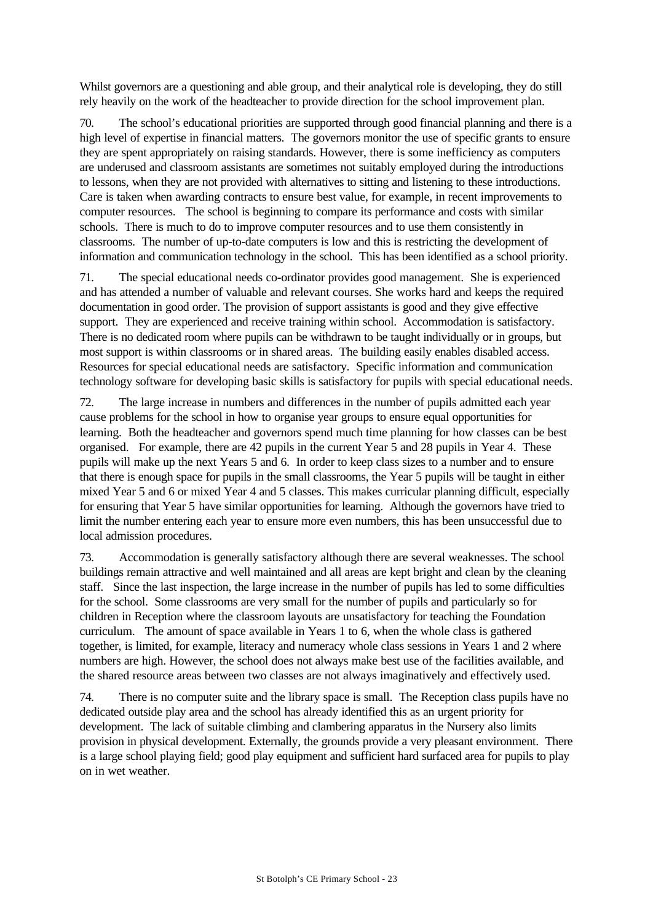Whilst governors are a questioning and able group, and their analytical role is developing, they do still rely heavily on the work of the headteacher to provide direction for the school improvement plan.

70. The school's educational priorities are supported through good financial planning and there is a high level of expertise in financial matters. The governors monitor the use of specific grants to ensure they are spent appropriately on raising standards. However, there is some inefficiency as computers are underused and classroom assistants are sometimes not suitably employed during the introductions to lessons, when they are not provided with alternatives to sitting and listening to these introductions. Care is taken when awarding contracts to ensure best value, for example, in recent improvements to computer resources. The school is beginning to compare its performance and costs with similar schools. There is much to do to improve computer resources and to use them consistently in classrooms. The number of up-to-date computers is low and this is restricting the development of information and communication technology in the school. This has been identified as a school priority.

71. The special educational needs co-ordinator provides good management. She is experienced and has attended a number of valuable and relevant courses. She works hard and keeps the required documentation in good order. The provision of support assistants is good and they give effective support. They are experienced and receive training within school. Accommodation is satisfactory. There is no dedicated room where pupils can be withdrawn to be taught individually or in groups, but most support is within classrooms or in shared areas. The building easily enables disabled access. Resources for special educational needs are satisfactory. Specific information and communication technology software for developing basic skills is satisfactory for pupils with special educational needs.

72. The large increase in numbers and differences in the number of pupils admitted each year cause problems for the school in how to organise year groups to ensure equal opportunities for learning. Both the headteacher and governors spend much time planning for how classes can be best organised. For example, there are 42 pupils in the current Year 5 and 28 pupils in Year 4. These pupils will make up the next Years 5 and 6. In order to keep class sizes to a number and to ensure that there is enough space for pupils in the small classrooms, the Year 5 pupils will be taught in either mixed Year 5 and 6 or mixed Year 4 and 5 classes. This makes curricular planning difficult, especially for ensuring that Year 5 have similar opportunities for learning. Although the governors have tried to limit the number entering each year to ensure more even numbers, this has been unsuccessful due to local admission procedures.

73. Accommodation is generally satisfactory although there are several weaknesses. The school buildings remain attractive and well maintained and all areas are kept bright and clean by the cleaning staff. Since the last inspection, the large increase in the number of pupils has led to some difficulties for the school. Some classrooms are very small for the number of pupils and particularly so for children in Reception where the classroom layouts are unsatisfactory for teaching the Foundation curriculum. The amount of space available in Years 1 to 6, when the whole class is gathered together, is limited, for example, literacy and numeracy whole class sessions in Years 1 and 2 where numbers are high. However, the school does not always make best use of the facilities available, and the shared resource areas between two classes are not always imaginatively and effectively used.

74. There is no computer suite and the library space is small. The Reception class pupils have no dedicated outside play area and the school has already identified this as an urgent priority for development. The lack of suitable climbing and clambering apparatus in the Nursery also limits provision in physical development. Externally, the grounds provide a very pleasant environment. There is a large school playing field; good play equipment and sufficient hard surfaced area for pupils to play on in wet weather.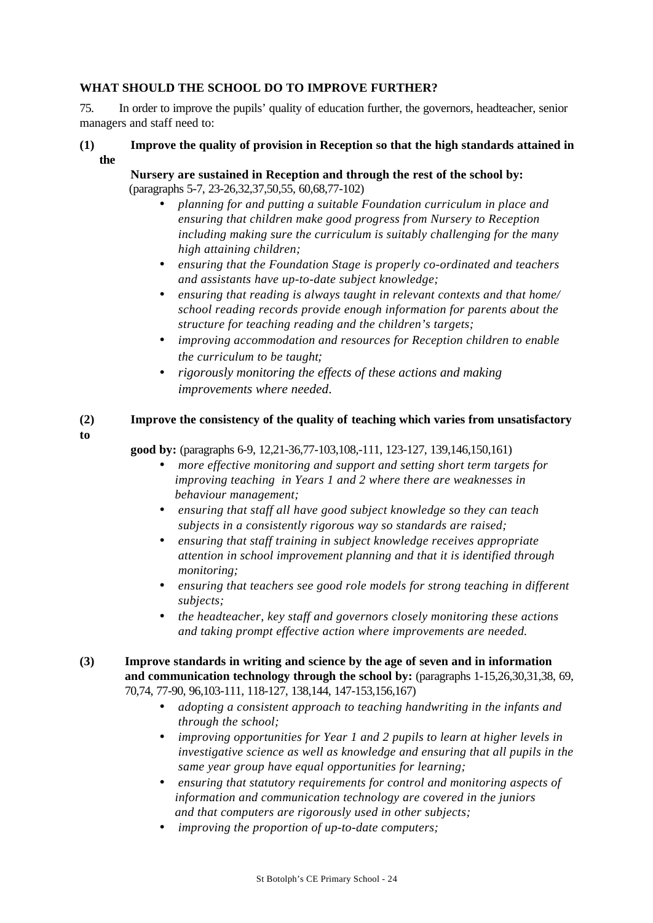## **WHAT SHOULD THE SCHOOL DO TO IMPROVE FURTHER?**

75. In order to improve the pupils' quality of education further, the governors, headteacher, senior managers and staff need to:

**(1) Improve the quality of provision in Reception so that the high standards attained in the**

## **Nursery are sustained in Reception and through the rest of the school by:** (paragraphs 5-7, 23-26,32,37,50,55, 60,68,77-102)

- *planning for and putting a suitable Foundation curriculum in place and ensuring that children make good progress from Nursery to Reception including making sure the curriculum is suitably challenging for the many high attaining children;*
- *ensuring that the Foundation Stage is properly co-ordinated and teachers and assistants have up-to-date subject knowledge;*
- *ensuring that reading is always taught in relevant contexts and that home/ school reading records provide enough information for parents about the structure for teaching reading and the children's targets;*
- *improving accommodation and resources for Reception children to enable the curriculum to be taught;*
- *rigorously monitoring the effects of these actions and making improvements where needed*.

## **(2) Improve the consistency of the quality of teaching which varies from unsatisfactory to**

**good by:** (paragraphs 6-9, 12,21-36,77-103,108,-111, 123-127, 139,146,150,161)

- *more effective monitoring and support and setting short term targets for improving teaching in Years 1 and 2 where there are weaknesses in behaviour management;*
- *ensuring that staff all have good subject knowledge so they can teach subjects in a consistently rigorous way so standards are raised;*
- *ensuring that staff training in subject knowledge receives appropriate attention in school improvement planning and that it is identified through monitoring;*
- *ensuring that teachers see good role models for strong teaching in different subjects;*
- *the headteacher, key staff and governors closely monitoring these actions and taking prompt effective action where improvements are needed.*
- **(3) Improve standards in writing and science by the age of seven and in information and communication technology through the school by:** (paragraphs 1-15,26,30,31,38, 69, 70,74, 77-90, 96,103-111, 118-127, 138,144, 147-153,156,167)
	- *adopting a consistent approach to teaching handwriting in the infants and through the school;*
	- *improving opportunities for Year 1 and 2 pupils to learn at higher levels in investigative science as well as knowledge and ensuring that all pupils in the same year group have equal opportunities for learning;*
	- *ensuring that statutory requirements for control and monitoring aspects of information and communication technology are covered in the juniors and that computers are rigorously used in other subjects;*
	- *improving the proportion of up-to-date computers;*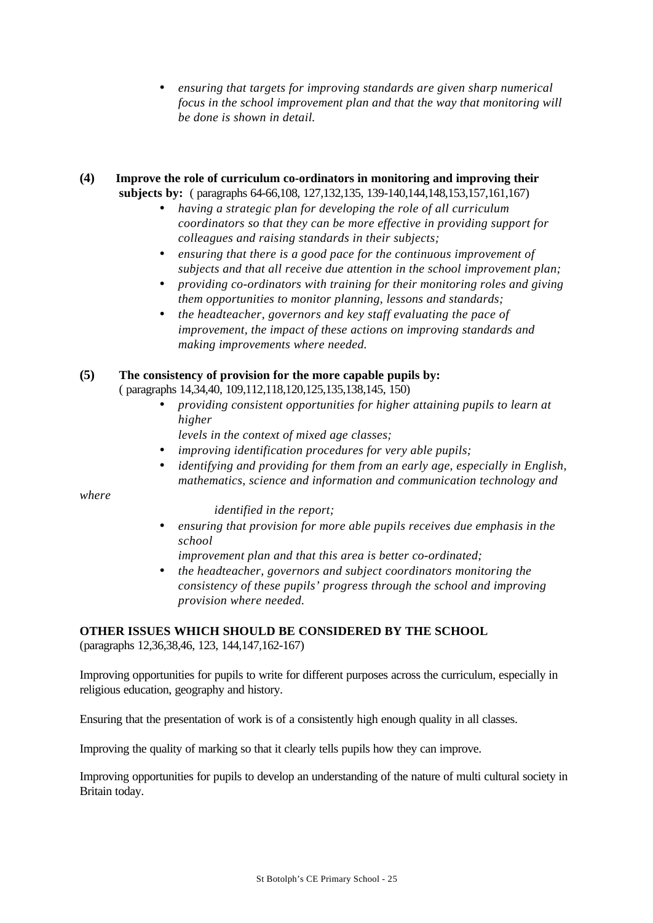• *ensuring that targets for improving standards are given sharp numerical focus in the school improvement plan and that the way that monitoring will be done is shown in detail.*

## **(4) Improve the role of curriculum co-ordinators in monitoring and improving their subjects by:** ( paragraphs 64-66,108, 127,132,135, 139-140,144,148,153,157,161,167)

- *having a strategic plan for developing the role of all curriculum coordinators so that they can be more effective in providing support for colleagues and raising standards in their subjects;*
- *ensuring that there is a good pace for the continuous improvement of subjects and that all receive due attention in the school improvement plan;*
- *providing co-ordinators with training for their monitoring roles and giving them opportunities to monitor planning, lessons and standards;*
- *the headteacher, governors and key staff evaluating the pace of improvement, the impact of these actions on improving standards and making improvements where needed.*

## **(5) The consistency of provision for the more capable pupils by:**

( paragraphs 14,34,40, 109,112,118,120,125,135,138,145, 150)

• *providing consistent opportunities for higher attaining pupils to learn at higher*

 *levels in the context of mixed age classes;*

- *improving identification procedures for very able pupils;*
- *identifying and providing for them from an early age, especially in English, mathematics, science and information and communication technology and*

*where*

### *identified in the report;*

• *ensuring that provision for more able pupils receives due emphasis in the school*

 *improvement plan and that this area is better co-ordinated;*

• *the headteacher, governors and subject coordinators monitoring the consistency of these pupils' progress through the school and improving provision where needed.*

## **OTHER ISSUES WHICH SHOULD BE CONSIDERED BY THE SCHOOL**

(paragraphs 12,36,38,46, 123, 144,147,162-167)

Improving opportunities for pupils to write for different purposes across the curriculum, especially in religious education, geography and history.

Ensuring that the presentation of work is of a consistently high enough quality in all classes.

Improving the quality of marking so that it clearly tells pupils how they can improve.

Improving opportunities for pupils to develop an understanding of the nature of multi cultural society in Britain today.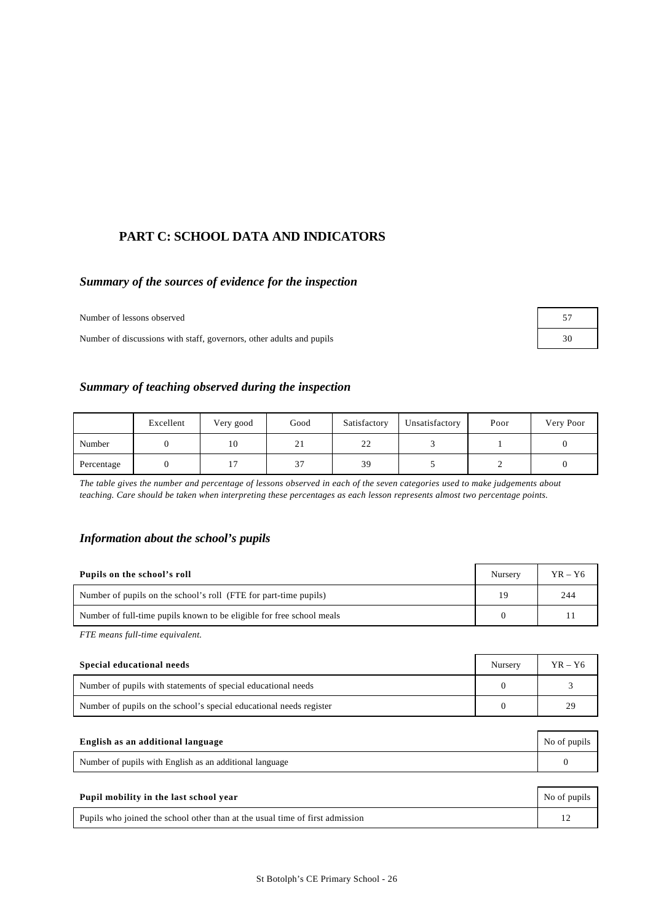## **PART C: SCHOOL DATA AND INDICATORS**

## *Summary of the sources of evidence for the inspection*

Number of lessons observed

Number of discussions with staff, governors, other adults and pupils

| 57 |  |
|----|--|
| 30 |  |

#### *Summary of teaching observed during the inspection*

|            | Excellent | Very good | Good | Satisfactory | Unsatisfactory | Poor | Very Poor |
|------------|-----------|-----------|------|--------------|----------------|------|-----------|
| Number     |           | 10        | 21   | 22           |                |      |           |
| Percentage |           |           | 37   | 39           |                |      |           |

*The table gives the number and percentage of lessons observed in each of the seven categories used to make judgements about teaching. Care should be taken when interpreting these percentages as each lesson represents almost two percentage points.*

#### *Information about the school's pupils*

| Pupils on the school's roll                                           | <b>Nursery</b> | $YR - Y6$ |
|-----------------------------------------------------------------------|----------------|-----------|
| Number of pupils on the school's roll (FTE for part-time pupils)      | 19             | 244       |
| Number of full-time pupils known to be eligible for free school meals |                |           |

*FTE means full-time equivalent.*

| Special educational needs                                           | Nursery | $YR - Y6$ |
|---------------------------------------------------------------------|---------|-----------|
| Number of pupils with statements of special educational needs       |         |           |
| Number of pupils on the school's special educational needs register |         |           |

| English as an additional language                       | No of pupils |
|---------------------------------------------------------|--------------|
| Number of pupils with English as an additional language |              |
|                                                         |              |

| Pupil mobility in the last school year                                       | No of pupils |
|------------------------------------------------------------------------------|--------------|
| Pupils who joined the school other than at the usual time of first admission |              |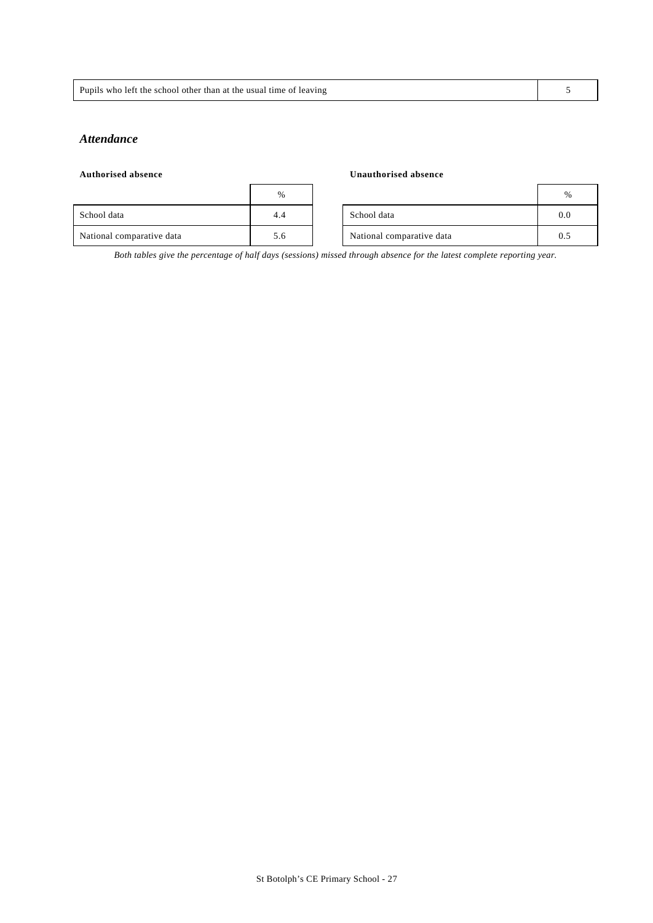| Pupils<br>the usual<br>who<br>the school other than at t<br>time<br>leaving<br>-let<br>ΩT |  |
|-------------------------------------------------------------------------------------------|--|
|                                                                                           |  |

### *Attendance*

| <b>Authorised absence</b> |               |  | Unauthorised absence      |     |
|---------------------------|---------------|--|---------------------------|-----|
|                           | $\frac{0}{6}$ |  |                           | %   |
| School data               | 4.4           |  | School data               | 0.0 |
| National comparative data | 5.6           |  | National comparative data | 0.5 |

*Both tables give the percentage of half days (sessions) missed through absence for the latest complete reporting year.*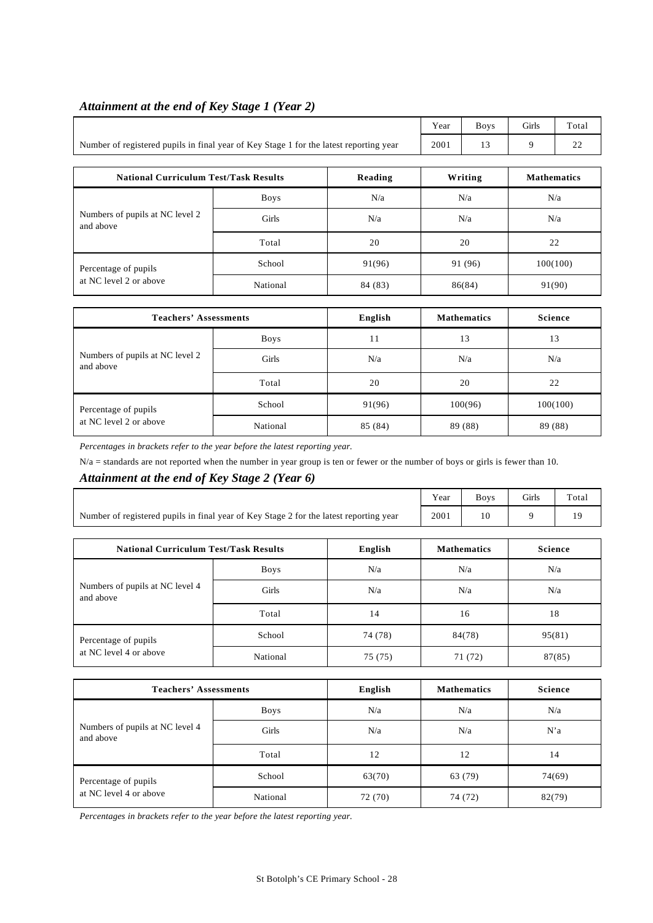|                                                                                        | Year | <b>Boys</b> | <b>Girls</b> | Total |
|----------------------------------------------------------------------------------------|------|-------------|--------------|-------|
| Number of registered pupils in final year of Key Stage 1 for the latest reporting year | 2001 |             |              |       |

Т

# *Attainment at the end of Key Stage 1 (Year 2)*

 $\mathbf{r}$ 

| <b>National Curriculum Test/Task Results</b> |             | Reading | Writing | <b>Mathematics</b> |
|----------------------------------------------|-------------|---------|---------|--------------------|
|                                              | <b>Boys</b> | N/a     | N/a     | N/a                |
| Numbers of pupils at NC level 2<br>and above | Girls       | N/a     | N/a     | N/a                |
|                                              | Total       | 20      | 20      | 22                 |
| Percentage of pupils                         | School      | 91(96)  | 91 (96) | 100(100)           |
| at NC level 2 or above                       | National    | 84 (83) | 86(84)  | 91(90)             |

| <b>Teachers' Assessments</b>                   |             | English | <b>Mathematics</b> | Science  |
|------------------------------------------------|-------------|---------|--------------------|----------|
| Numbers of pupils at NC level 2<br>and above   | <b>Boys</b> | 11      | 13                 | 13       |
|                                                | Girls       | N/a     | N/a                | N/a      |
|                                                | Total       | 20      | 20                 | 22       |
| Percentage of pupils<br>at NC level 2 or above | School      | 91(96)  | 100(96)            | 100(100) |
|                                                | National    | 85 (84) | 89 (88)            | 89 (88)  |

*Percentages in brackets refer to the year before the latest reporting year.*

 $N/a$  = standards are not reported when the number in year group is ten or fewer or the number of boys or girls is fewer than 10.

## *Attainment at the end of Key Stage 2 (Year 6)*

|                                                                                        | Year        | <b>Boys</b> | Girls      | Total              |                |  |
|----------------------------------------------------------------------------------------|-------------|-------------|------------|--------------------|----------------|--|
| Number of registered pupils in final year of Key Stage 2 for the latest reporting year | 2001        | 10          | 9          | 19                 |                |  |
|                                                                                        |             |             |            |                    |                |  |
| English<br><b>National Curriculum Test/Task Results</b>                                |             |             |            | <b>Mathematics</b> | <b>Science</b> |  |
| Numbers of pupils at NC level 4<br>and above                                           | <b>Boys</b> | N/a         | N/a<br>N/a |                    |                |  |
|                                                                                        | Girls       | N/a         | N/a        |                    | N/a            |  |
|                                                                                        | Total       | 14          | 16         |                    | 18             |  |
| Percentage of pupils                                                                   | School      | 74 (78)     |            | 84(78)             | 95(81)         |  |
| at NC level 4 or above                                                                 | National    | 75 (75)     |            | 71 (72)            | 87(85)         |  |

| <b>Teachers' Assessments</b>                 |          | English | <b>Mathematics</b> | Science |
|----------------------------------------------|----------|---------|--------------------|---------|
|                                              | Boys     | N/a     | N/a                | N/a     |
| Numbers of pupils at NC level 4<br>and above | Girls    | N/a     | N/a                | N'a     |
|                                              | Total    | 12      | 12                 | 14      |
| Percentage of pupils                         | School   | 63(70)  | 63 (79)            | 74(69)  |
| at NC level 4 or above                       | National | 72 (70) | 74 (72)            | 82(79)  |

*Percentages in brackets refer to the year before the latest reporting year.*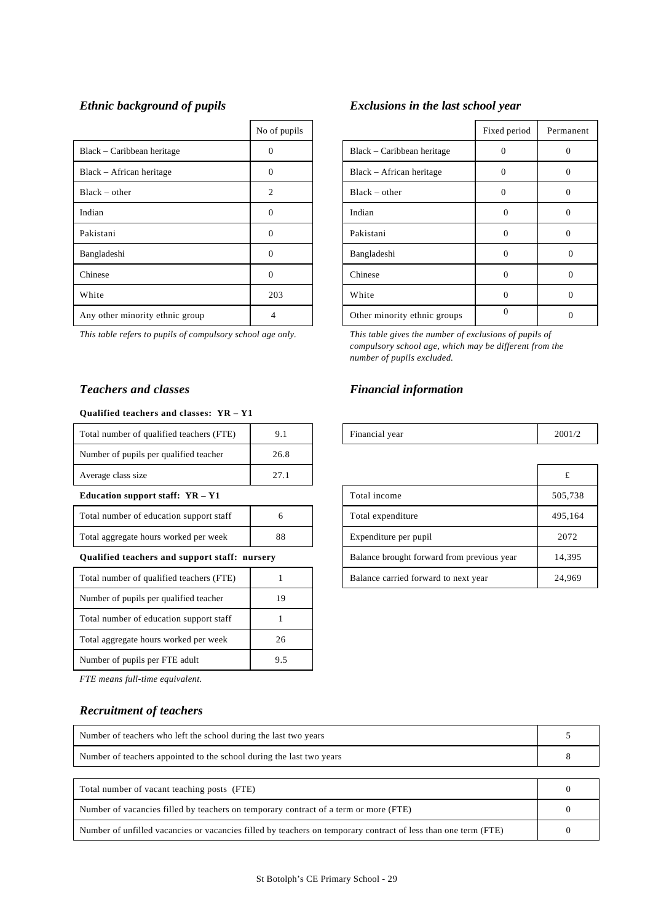|                                 | No of pupils |                              | Fixed period | Perma          |
|---------------------------------|--------------|------------------------------|--------------|----------------|
| Black – Caribbean heritage      | $\Omega$     | Black – Caribbean heritage   | $\Omega$     | $\Omega$       |
| Black - African heritage        | $\Omega$     | Black - African heritage     | $\Omega$     | $\Omega$       |
| $Black - other$                 | 2            | $Black - other$              | $\Omega$     | $\overline{0}$ |
| Indian                          | $\Omega$     | Indian                       | $\Omega$     | $\overline{0}$ |
| Pakistani                       | $\Omega$     | Pakistani                    | $\Omega$     | $\overline{0}$ |
| Bangladeshi                     | $\Omega$     | Bangladeshi                  | $\Omega$     | $\Omega$       |
| Chinese                         | $\Omega$     | Chinese                      | $\Omega$     | $\Omega$       |
| White                           | 203          | White                        | $\Omega$     | $\Omega$       |
| Any other minority ethnic group | 4            | Other minority ethnic groups | $\Omega$     | $\mathbf{0}$   |

*This table refers to pupils of compulsory school age only. This table gives the number of exclusions of pupils of*

#### **Qualified teachers and classes: YR – Y1**

| Total number of qualified teachers (FTE) | 9.1  | Financial year | 200 |
|------------------------------------------|------|----------------|-----|
| Number of pupils per qualified teacher   | 26.8 |                |     |
| Average class size                       | 27.1 |                |     |

#### **Education support staff: YR - Y1**

| Total number of education support staff |    |
|-----------------------------------------|----|
| Total aggregate hours worked per week   | 88 |

## **Qualified teachers and support staff: nursery**

| Total number of qualified teachers (FTE) |    |
|------------------------------------------|----|
| Number of pupils per qualified teacher   | 19 |
| Total number of education support staff  |    |
| Total aggregate hours worked per week    | 26 |
| Number of pupils per FTE adult           | 95 |

*FTE means full-time equivalent.*

## *Recruitment of teachers*

| <b>Recruitment of teachers</b>                                       |          |
|----------------------------------------------------------------------|----------|
| Number of teachers who left the school during the last two years     |          |
| Number of teachers appointed to the school during the last two years | 8        |
|                                                                      |          |
| Total number of vacant teaching posts (FTE)                          | $\Omega$ |
|                                                                      |          |

| Total number of vacant teaching posts (FTE)                                                                    |  |
|----------------------------------------------------------------------------------------------------------------|--|
| Number of vacancies filled by teachers on temporary contract of a term or more (FTE)                           |  |
| Number of unfilled vacancies or vacancies filled by teachers on temporary contract of less than one term (FTE) |  |

## *Ethnic background of pupils Exclusions in the last school year*

| No of pupils   |                              | Fixed period | Permanent    |
|----------------|------------------------------|--------------|--------------|
|                | Black – Caribbean heritage   | 0            | $\mathbf{0}$ |
| 0              | Black – African heritage     | 0            |              |
| $\mathfrak{D}$ | $Black - other$              | 0            |              |
| $\Omega$       | Indian                       | 0            | O            |
| $\Omega$       | Pakistani                    | O            |              |
| $\Omega$       | Bangladeshi                  | 0            |              |
| $\Omega$       | Chinese                      | $\Omega$     | ∩            |
| 203            | White                        | $\Omega$     |              |
| 4              | Other minority ethnic groups |              |              |

*compulsory school age, which may be different from the number of pupils excluded.*

## *Teachers and classes Financial information*

| <br>Total<br>FTE.<br>l number of qualified teachers (<br>, (F | , | $\sim$<br>inancial year | 2001/2 |
|---------------------------------------------------------------|---|-------------------------|--------|

| Average class size                            | 27.1 |  |                                            | t       |
|-----------------------------------------------|------|--|--------------------------------------------|---------|
| Education support staff: YR - Y1              |      |  | Total income                               | 505,738 |
| Total number of education support staff       |      |  | Total expenditure                          | 495.164 |
| Total aggregate hours worked per week<br>88   |      |  | Expenditure per pupil                      | 2072    |
| Qualified teachers and support staff: nursery |      |  | Balance brought forward from previous year | 14,395  |
| Total number of qualified teachers (FTE)      |      |  | Balance carried forward to next year       | 24,969  |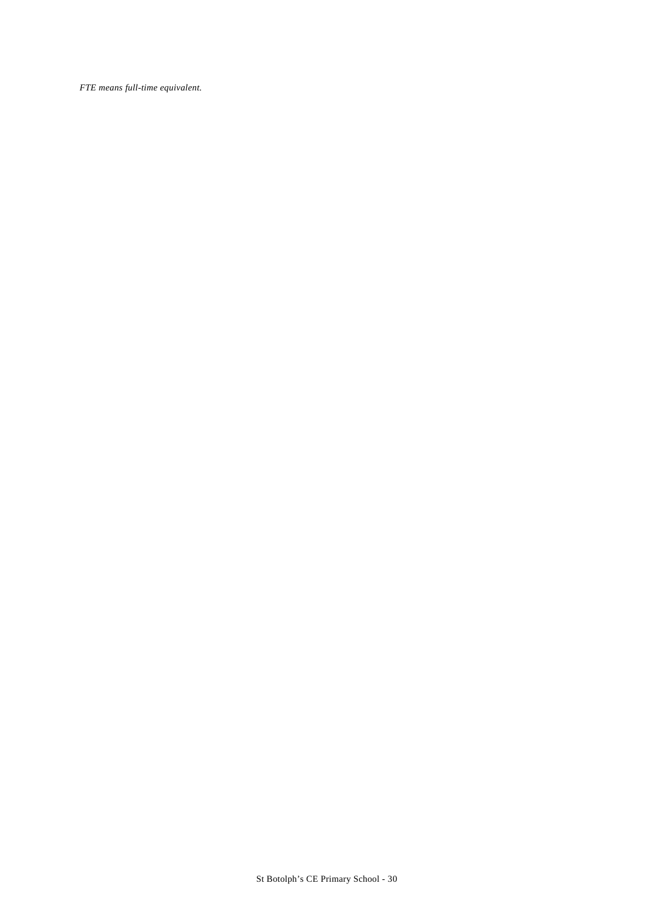*FTE means full-time equivalent.*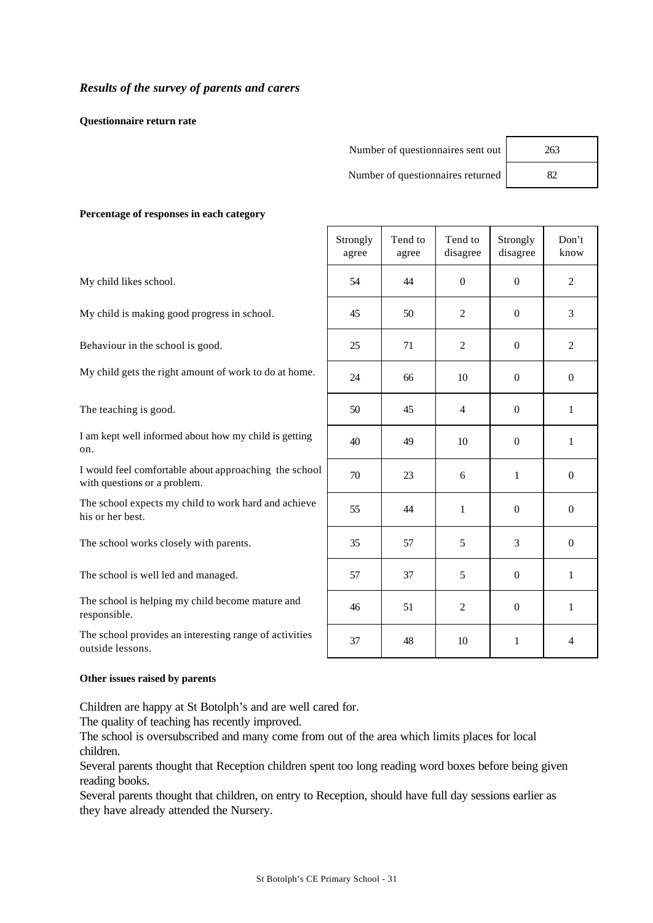**Questionnaire return rate**

| Number of questionnaires sent out | 263 |
|-----------------------------------|-----|
| Number of questionnaires returned |     |

#### **Percentage of responses in each category**

|                                                                                       | Strongly<br>agree | Tend to<br>agree | Tend to<br>disagree | Strongly<br>disagree | Don't<br>know    |
|---------------------------------------------------------------------------------------|-------------------|------------------|---------------------|----------------------|------------------|
| My child likes school.                                                                | 54                | 44               | $\theta$            | $\theta$             | $\overline{2}$   |
| My child is making good progress in school.                                           | 45                | 50               | 2                   | $\theta$             | 3                |
| Behaviour in the school is good.                                                      | 25                | 71               | $\mathfrak{2}$      | $\theta$             | $\sqrt{2}$       |
| My child gets the right amount of work to do at home.                                 | 24                | 66               | 10                  | $\mathbf{0}$         | $\boldsymbol{0}$ |
| The teaching is good.                                                                 | 50                | 45               | $\overline{4}$      | $\overline{0}$       | 1                |
| I am kept well informed about how my child is getting<br>on.                          | 40                | 49               | 10                  | $\theta$             | 1                |
| I would feel comfortable about approaching the school<br>with questions or a problem. | 70                | 23               | 6                   | 1                    | $\theta$         |
| The school expects my child to work hard and achieve<br>his or her best.              | 55                | 44               | $\mathbf{1}$        | $\mathbf{0}$         | $\theta$         |
| The school works closely with parents.                                                | 35                | 57               | 5                   | $\overline{3}$       | $\theta$         |
| The school is well led and managed.                                                   | 57                | 37               | 5                   | $\Omega$             | $\mathbf{1}$     |
| The school is helping my child become mature and<br>responsible.                      | 46                | 51               | $\mathfrak{2}$      | $\Omega$             | $\mathbf{1}$     |
| The school provides an interesting range of activities<br>outside lessons.            | 37                | 48               | 10                  | $\mathbf{1}$         | $\overline{4}$   |

#### **Other issues raised by parents**

Children are happy at St Botolph's and are well cared for.

The quality of teaching has recently improved.

The school is oversubscribed and many come from out of the area which limits places for local children.

Several parents thought that Reception children spent too long reading word boxes before being given reading books.

Several parents thought that children, on entry to Reception, should have full day sessions earlier as they have already attended the Nursery.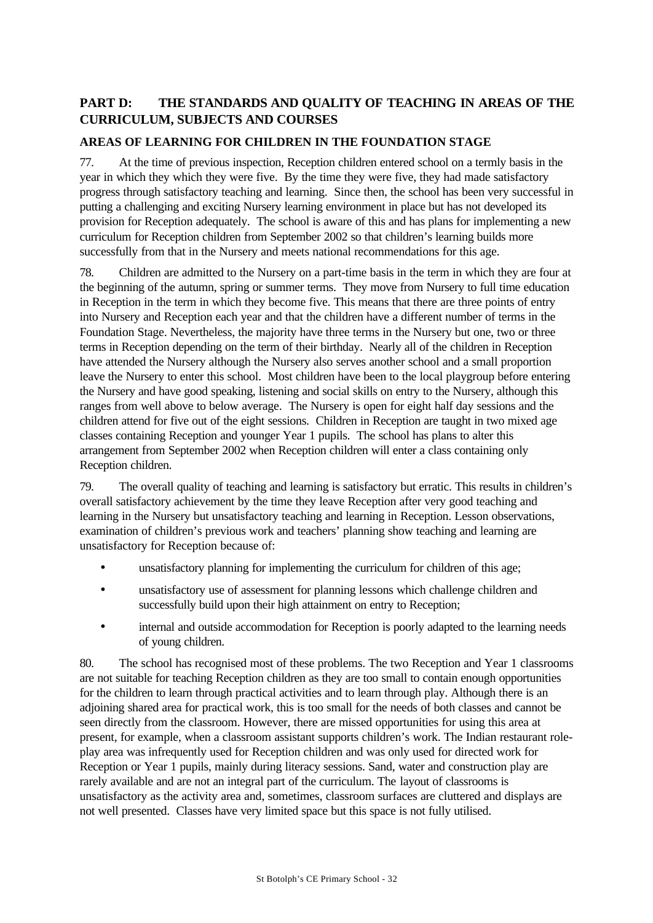# **PART D: THE STANDARDS AND QUALITY OF TEACHING IN AREAS OF THE CURRICULUM, SUBJECTS AND COURSES**

# **AREAS OF LEARNING FOR CHILDREN IN THE FOUNDATION STAGE**

77. At the time of previous inspection, Reception children entered school on a termly basis in the year in which they which they were five. By the time they were five, they had made satisfactory progress through satisfactory teaching and learning. Since then, the school has been very successful in putting a challenging and exciting Nursery learning environment in place but has not developed its provision for Reception adequately. The school is aware of this and has plans for implementing a new curriculum for Reception children from September 2002 so that children's learning builds more successfully from that in the Nursery and meets national recommendations for this age.

78. Children are admitted to the Nursery on a part-time basis in the term in which they are four at the beginning of the autumn, spring or summer terms. They move from Nursery to full time education in Reception in the term in which they become five. This means that there are three points of entry into Nursery and Reception each year and that the children have a different number of terms in the Foundation Stage. Nevertheless, the majority have three terms in the Nursery but one, two or three terms in Reception depending on the term of their birthday. Nearly all of the children in Reception have attended the Nursery although the Nursery also serves another school and a small proportion leave the Nursery to enter this school. Most children have been to the local playgroup before entering the Nursery and have good speaking, listening and social skills on entry to the Nursery, although this ranges from well above to below average. The Nursery is open for eight half day sessions and the children attend for five out of the eight sessions. Children in Reception are taught in two mixed age classes containing Reception and younger Year 1 pupils. The school has plans to alter this arrangement from September 2002 when Reception children will enter a class containing only Reception children.

79. The overall quality of teaching and learning is satisfactory but erratic. This results in children's overall satisfactory achievement by the time they leave Reception after very good teaching and learning in the Nursery but unsatisfactory teaching and learning in Reception. Lesson observations, examination of children's previous work and teachers' planning show teaching and learning are unsatisfactory for Reception because of:

- unsatisfactory planning for implementing the curriculum for children of this age;
- unsatisfactory use of assessment for planning lessons which challenge children and successfully build upon their high attainment on entry to Reception;
- internal and outside accommodation for Reception is poorly adapted to the learning needs of young children.

80. The school has recognised most of these problems. The two Reception and Year 1 classrooms are not suitable for teaching Reception children as they are too small to contain enough opportunities for the children to learn through practical activities and to learn through play. Although there is an adjoining shared area for practical work, this is too small for the needs of both classes and cannot be seen directly from the classroom. However, there are missed opportunities for using this area at present, for example, when a classroom assistant supports children's work. The Indian restaurant roleplay area was infrequently used for Reception children and was only used for directed work for Reception or Year 1 pupils, mainly during literacy sessions. Sand, water and construction play are rarely available and are not an integral part of the curriculum. The layout of classrooms is unsatisfactory as the activity area and, sometimes, classroom surfaces are cluttered and displays are not well presented. Classes have very limited space but this space is not fully utilised.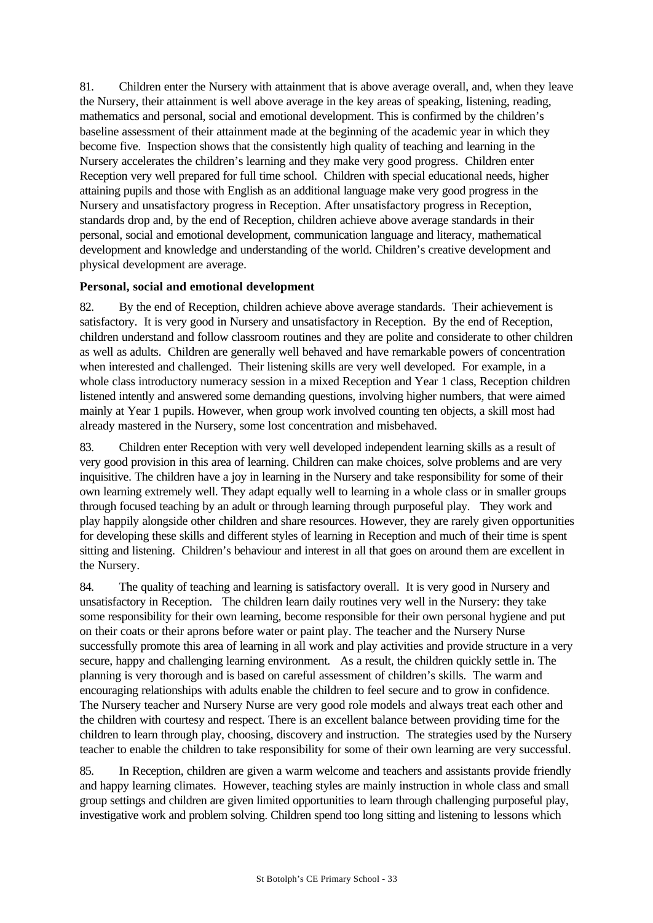81. Children enter the Nursery with attainment that is above average overall, and, when they leave the Nursery, their attainment is well above average in the key areas of speaking, listening, reading, mathematics and personal, social and emotional development. This is confirmed by the children's baseline assessment of their attainment made at the beginning of the academic year in which they become five. Inspection shows that the consistently high quality of teaching and learning in the Nursery accelerates the children's learning and they make very good progress. Children enter Reception very well prepared for full time school. Children with special educational needs, higher attaining pupils and those with English as an additional language make very good progress in the Nursery and unsatisfactory progress in Reception. After unsatisfactory progress in Reception, standards drop and, by the end of Reception, children achieve above average standards in their personal, social and emotional development, communication language and literacy, mathematical development and knowledge and understanding of the world. Children's creative development and physical development are average.

## **Personal, social and emotional development**

82. By the end of Reception, children achieve above average standards. Their achievement is satisfactory. It is very good in Nursery and unsatisfactory in Reception. By the end of Reception, children understand and follow classroom routines and they are polite and considerate to other children as well as adults. Children are generally well behaved and have remarkable powers of concentration when interested and challenged. Their listening skills are very well developed. For example, in a whole class introductory numeracy session in a mixed Reception and Year 1 class, Reception children listened intently and answered some demanding questions, involving higher numbers, that were aimed mainly at Year 1 pupils. However, when group work involved counting ten objects, a skill most had already mastered in the Nursery, some lost concentration and misbehaved.

83. Children enter Reception with very well developed independent learning skills as a result of very good provision in this area of learning. Children can make choices, solve problems and are very inquisitive. The children have a joy in learning in the Nursery and take responsibility for some of their own learning extremely well. They adapt equally well to learning in a whole class or in smaller groups through focused teaching by an adult or through learning through purposeful play. They work and play happily alongside other children and share resources. However, they are rarely given opportunities for developing these skills and different styles of learning in Reception and much of their time is spent sitting and listening. Children's behaviour and interest in all that goes on around them are excellent in the Nursery.

84. The quality of teaching and learning is satisfactory overall. It is very good in Nursery and unsatisfactory in Reception. The children learn daily routines very well in the Nursery: they take some responsibility for their own learning, become responsible for their own personal hygiene and put on their coats or their aprons before water or paint play. The teacher and the Nursery Nurse successfully promote this area of learning in all work and play activities and provide structure in a very secure, happy and challenging learning environment. As a result, the children quickly settle in. The planning is very thorough and is based on careful assessment of children's skills. The warm and encouraging relationships with adults enable the children to feel secure and to grow in confidence. The Nursery teacher and Nursery Nurse are very good role models and always treat each other and the children with courtesy and respect. There is an excellent balance between providing time for the children to learn through play, choosing, discovery and instruction. The strategies used by the Nursery teacher to enable the children to take responsibility for some of their own learning are very successful.

85. In Reception, children are given a warm welcome and teachers and assistants provide friendly and happy learning climates. However, teaching styles are mainly instruction in whole class and small group settings and children are given limited opportunities to learn through challenging purposeful play, investigative work and problem solving. Children spend too long sitting and listening to lessons which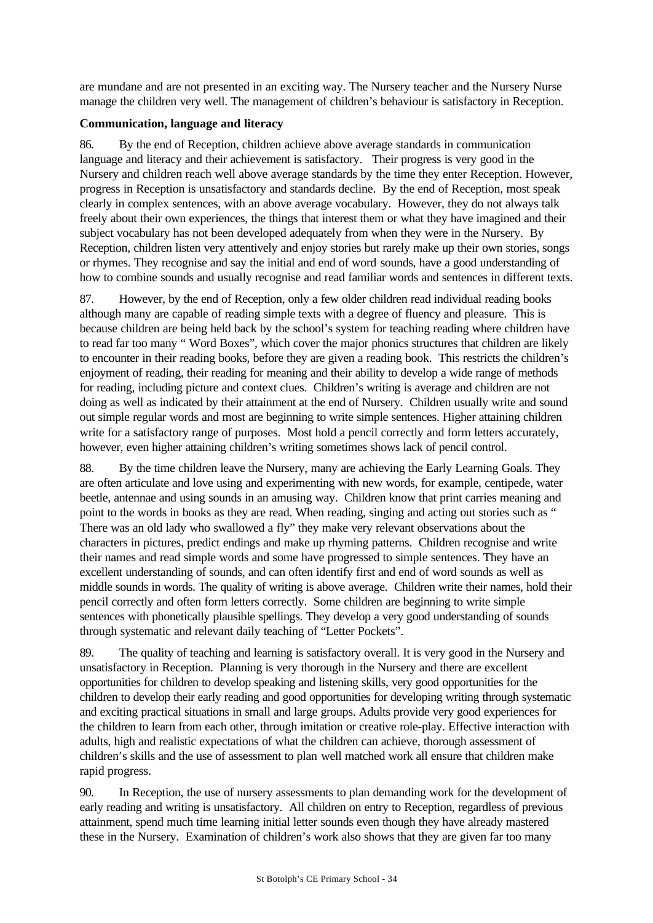are mundane and are not presented in an exciting way. The Nursery teacher and the Nursery Nurse manage the children very well. The management of children's behaviour is satisfactory in Reception.

## **Communication, language and literacy**

86. By the end of Reception, children achieve above average standards in communication language and literacy and their achievement is satisfactory. Their progress is very good in the Nursery and children reach well above average standards by the time they enter Reception. However, progress in Reception is unsatisfactory and standards decline. By the end of Reception, most speak clearly in complex sentences, with an above average vocabulary. However, they do not always talk freely about their own experiences, the things that interest them or what they have imagined and their subject vocabulary has not been developed adequately from when they were in the Nursery. By Reception, children listen very attentively and enjoy stories but rarely make up their own stories, songs or rhymes. They recognise and say the initial and end of word sounds, have a good understanding of how to combine sounds and usually recognise and read familiar words and sentences in different texts.

87. However, by the end of Reception, only a few older children read individual reading books although many are capable of reading simple texts with a degree of fluency and pleasure. This is because children are being held back by the school's system for teaching reading where children have to read far too many " Word Boxes", which cover the major phonics structures that children are likely to encounter in their reading books, before they are given a reading book. This restricts the children's enjoyment of reading, their reading for meaning and their ability to develop a wide range of methods for reading, including picture and context clues. Children's writing is average and children are not doing as well as indicated by their attainment at the end of Nursery. Children usually write and sound out simple regular words and most are beginning to write simple sentences. Higher attaining children write for a satisfactory range of purposes. Most hold a pencil correctly and form letters accurately, however, even higher attaining children's writing sometimes shows lack of pencil control.

88. By the time children leave the Nursery, many are achieving the Early Learning Goals. They are often articulate and love using and experimenting with new words, for example, centipede, water beetle, antennae and using sounds in an amusing way. Children know that print carries meaning and point to the words in books as they are read. When reading, singing and acting out stories such as " There was an old lady who swallowed a fly" they make very relevant observations about the characters in pictures, predict endings and make up rhyming patterns. Children recognise and write their names and read simple words and some have progressed to simple sentences. They have an excellent understanding of sounds, and can often identify first and end of word sounds as well as middle sounds in words. The quality of writing is above average. Children write their names, hold their pencil correctly and often form letters correctly. Some children are beginning to write simple sentences with phonetically plausible spellings. They develop a very good understanding of sounds through systematic and relevant daily teaching of "Letter Pockets".

89. The quality of teaching and learning is satisfactory overall. It is very good in the Nursery and unsatisfactory in Reception. Planning is very thorough in the Nursery and there are excellent opportunities for children to develop speaking and listening skills, very good opportunities for the children to develop their early reading and good opportunities for developing writing through systematic and exciting practical situations in small and large groups. Adults provide very good experiences for the children to learn from each other, through imitation or creative role-play. Effective interaction with adults, high and realistic expectations of what the children can achieve, thorough assessment of children's skills and the use of assessment to plan well matched work all ensure that children make rapid progress.

90. In Reception, the use of nursery assessments to plan demanding work for the development of early reading and writing is unsatisfactory. All children on entry to Reception, regardless of previous attainment, spend much time learning initial letter sounds even though they have already mastered these in the Nursery. Examination of children's work also shows that they are given far too many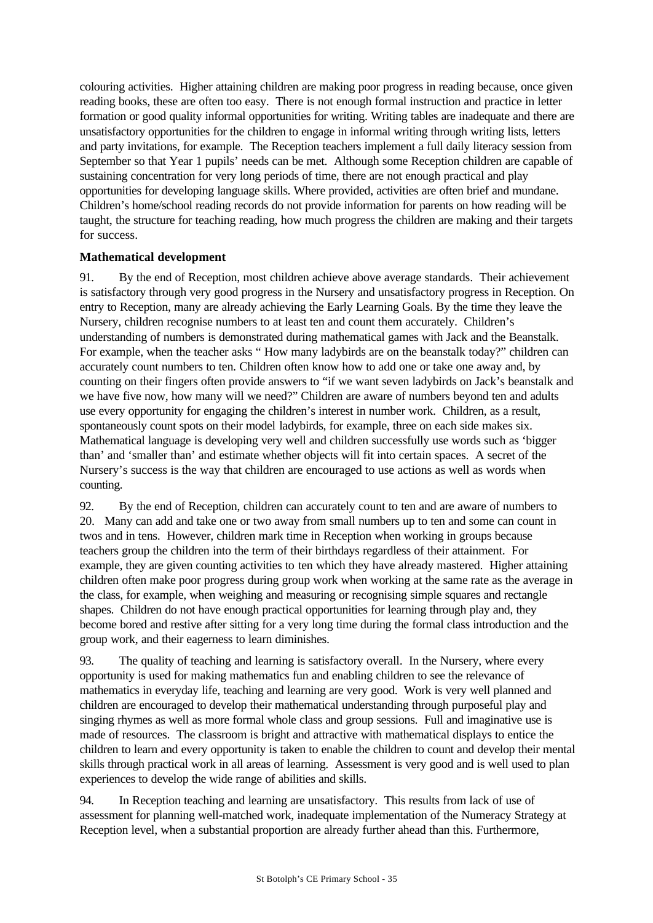colouring activities. Higher attaining children are making poor progress in reading because, once given reading books, these are often too easy. There is not enough formal instruction and practice in letter formation or good quality informal opportunities for writing. Writing tables are inadequate and there are unsatisfactory opportunities for the children to engage in informal writing through writing lists, letters and party invitations, for example. The Reception teachers implement a full daily literacy session from September so that Year 1 pupils' needs can be met. Although some Reception children are capable of sustaining concentration for very long periods of time, there are not enough practical and play opportunities for developing language skills. Where provided, activities are often brief and mundane. Children's home/school reading records do not provide information for parents on how reading will be taught, the structure for teaching reading, how much progress the children are making and their targets for success.

## **Mathematical development**

91. By the end of Reception, most children achieve above average standards. Their achievement is satisfactory through very good progress in the Nursery and unsatisfactory progress in Reception. On entry to Reception, many are already achieving the Early Learning Goals. By the time they leave the Nursery, children recognise numbers to at least ten and count them accurately. Children's understanding of numbers is demonstrated during mathematical games with Jack and the Beanstalk. For example, when the teacher asks " How many ladybirds are on the beanstalk today?" children can accurately count numbers to ten. Children often know how to add one or take one away and, by counting on their fingers often provide answers to "if we want seven ladybirds on Jack's beanstalk and we have five now, how many will we need?" Children are aware of numbers beyond ten and adults use every opportunity for engaging the children's interest in number work. Children, as a result, spontaneously count spots on their model ladybirds, for example, three on each side makes six. Mathematical language is developing very well and children successfully use words such as 'bigger than' and 'smaller than' and estimate whether objects will fit into certain spaces. A secret of the Nursery's success is the way that children are encouraged to use actions as well as words when counting.

92. By the end of Reception, children can accurately count to ten and are aware of numbers to 20. Many can add and take one or two away from small numbers up to ten and some can count in twos and in tens. However, children mark time in Reception when working in groups because teachers group the children into the term of their birthdays regardless of their attainment. For example, they are given counting activities to ten which they have already mastered. Higher attaining children often make poor progress during group work when working at the same rate as the average in the class, for example, when weighing and measuring or recognising simple squares and rectangle shapes. Children do not have enough practical opportunities for learning through play and, they become bored and restive after sitting for a very long time during the formal class introduction and the group work, and their eagerness to learn diminishes.

93. The quality of teaching and learning is satisfactory overall. In the Nursery, where every opportunity is used for making mathematics fun and enabling children to see the relevance of mathematics in everyday life, teaching and learning are very good. Work is very well planned and children are encouraged to develop their mathematical understanding through purposeful play and singing rhymes as well as more formal whole class and group sessions. Full and imaginative use is made of resources. The classroom is bright and attractive with mathematical displays to entice the children to learn and every opportunity is taken to enable the children to count and develop their mental skills through practical work in all areas of learning. Assessment is very good and is well used to plan experiences to develop the wide range of abilities and skills.

94. In Reception teaching and learning are unsatisfactory. This results from lack of use of assessment for planning well-matched work, inadequate implementation of the Numeracy Strategy at Reception level, when a substantial proportion are already further ahead than this. Furthermore,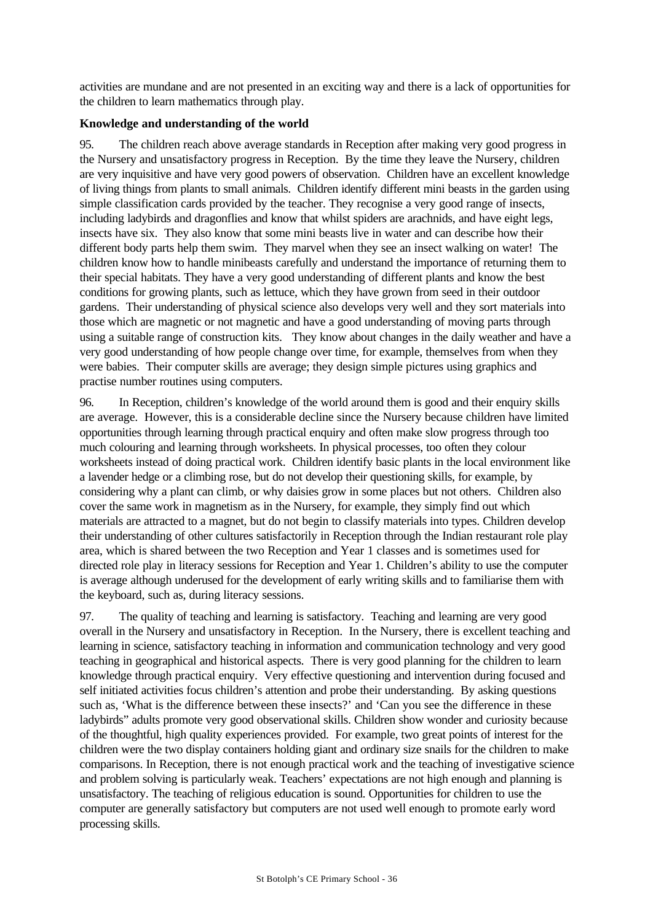activities are mundane and are not presented in an exciting way and there is a lack of opportunities for the children to learn mathematics through play.

### **Knowledge and understanding of the world**

95. The children reach above average standards in Reception after making very good progress in the Nursery and unsatisfactory progress in Reception. By the time they leave the Nursery, children are very inquisitive and have very good powers of observation. Children have an excellent knowledge of living things from plants to small animals. Children identify different mini beasts in the garden using simple classification cards provided by the teacher. They recognise a very good range of insects, including ladybirds and dragonflies and know that whilst spiders are arachnids, and have eight legs, insects have six. They also know that some mini beasts live in water and can describe how their different body parts help them swim. They marvel when they see an insect walking on water! The children know how to handle minibeasts carefully and understand the importance of returning them to their special habitats. They have a very good understanding of different plants and know the best conditions for growing plants, such as lettuce, which they have grown from seed in their outdoor gardens. Their understanding of physical science also develops very well and they sort materials into those which are magnetic or not magnetic and have a good understanding of moving parts through using a suitable range of construction kits. They know about changes in the daily weather and have a very good understanding of how people change over time, for example, themselves from when they were babies. Their computer skills are average; they design simple pictures using graphics and practise number routines using computers.

96. In Reception, children's knowledge of the world around them is good and their enquiry skills are average. However, this is a considerable decline since the Nursery because children have limited opportunities through learning through practical enquiry and often make slow progress through too much colouring and learning through worksheets. In physical processes, too often they colour worksheets instead of doing practical work. Children identify basic plants in the local environment like a lavender hedge or a climbing rose, but do not develop their questioning skills, for example, by considering why a plant can climb, or why daisies grow in some places but not others. Children also cover the same work in magnetism as in the Nursery, for example, they simply find out which materials are attracted to a magnet, but do not begin to classify materials into types. Children develop their understanding of other cultures satisfactorily in Reception through the Indian restaurant role play area, which is shared between the two Reception and Year 1 classes and is sometimes used for directed role play in literacy sessions for Reception and Year 1. Children's ability to use the computer is average although underused for the development of early writing skills and to familiarise them with the keyboard, such as, during literacy sessions.

97. The quality of teaching and learning is satisfactory. Teaching and learning are very good overall in the Nursery and unsatisfactory in Reception. In the Nursery, there is excellent teaching and learning in science, satisfactory teaching in information and communication technology and very good teaching in geographical and historical aspects. There is very good planning for the children to learn knowledge through practical enquiry. Very effective questioning and intervention during focused and self initiated activities focus children's attention and probe their understanding. By asking questions such as, 'What is the difference between these insects?' and 'Can you see the difference in these ladybirds" adults promote very good observational skills. Children show wonder and curiosity because of the thoughtful, high quality experiences provided. For example, two great points of interest for the children were the two display containers holding giant and ordinary size snails for the children to make comparisons. In Reception, there is not enough practical work and the teaching of investigative science and problem solving is particularly weak. Teachers' expectations are not high enough and planning is unsatisfactory. The teaching of religious education is sound. Opportunities for children to use the computer are generally satisfactory but computers are not used well enough to promote early word processing skills.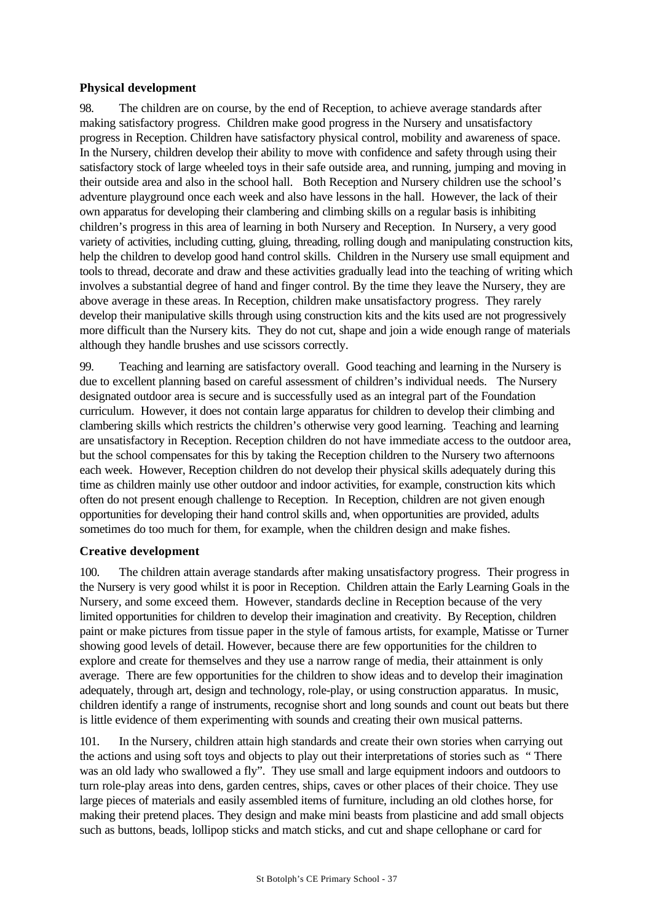## **Physical development**

98. The children are on course, by the end of Reception, to achieve average standards after making satisfactory progress. Children make good progress in the Nursery and unsatisfactory progress in Reception. Children have satisfactory physical control, mobility and awareness of space. In the Nursery, children develop their ability to move with confidence and safety through using their satisfactory stock of large wheeled toys in their safe outside area, and running, jumping and moving in their outside area and also in the school hall. Both Reception and Nursery children use the school's adventure playground once each week and also have lessons in the hall. However, the lack of their own apparatus for developing their clambering and climbing skills on a regular basis is inhibiting children's progress in this area of learning in both Nursery and Reception. In Nursery, a very good variety of activities, including cutting, gluing, threading, rolling dough and manipulating construction kits, help the children to develop good hand control skills. Children in the Nursery use small equipment and tools to thread, decorate and draw and these activities gradually lead into the teaching of writing which involves a substantial degree of hand and finger control. By the time they leave the Nursery, they are above average in these areas. In Reception, children make unsatisfactory progress. They rarely develop their manipulative skills through using construction kits and the kits used are not progressively more difficult than the Nursery kits. They do not cut, shape and join a wide enough range of materials although they handle brushes and use scissors correctly.

99. Teaching and learning are satisfactory overall. Good teaching and learning in the Nursery is due to excellent planning based on careful assessment of children's individual needs. The Nursery designated outdoor area is secure and is successfully used as an integral part of the Foundation curriculum. However, it does not contain large apparatus for children to develop their climbing and clambering skills which restricts the children's otherwise very good learning. Teaching and learning are unsatisfactory in Reception. Reception children do not have immediate access to the outdoor area, but the school compensates for this by taking the Reception children to the Nursery two afternoons each week. However, Reception children do not develop their physical skills adequately during this time as children mainly use other outdoor and indoor activities, for example, construction kits which often do not present enough challenge to Reception. In Reception, children are not given enough opportunities for developing their hand control skills and, when opportunities are provided, adults sometimes do too much for them, for example, when the children design and make fishes.

### **Creative development**

100. The children attain average standards after making unsatisfactory progress. Their progress in the Nursery is very good whilst it is poor in Reception. Children attain the Early Learning Goals in the Nursery, and some exceed them. However, standards decline in Reception because of the very limited opportunities for children to develop their imagination and creativity. By Reception, children paint or make pictures from tissue paper in the style of famous artists, for example, Matisse or Turner showing good levels of detail. However, because there are few opportunities for the children to explore and create for themselves and they use a narrow range of media, their attainment is only average. There are few opportunities for the children to show ideas and to develop their imagination adequately, through art, design and technology, role-play, or using construction apparatus. In music, children identify a range of instruments, recognise short and long sounds and count out beats but there is little evidence of them experimenting with sounds and creating their own musical patterns.

101. In the Nursery, children attain high standards and create their own stories when carrying out the actions and using soft toys and objects to play out their interpretations of stories such as " There was an old lady who swallowed a fly". They use small and large equipment indoors and outdoors to turn role-play areas into dens, garden centres, ships, caves or other places of their choice. They use large pieces of materials and easily assembled items of furniture, including an old clothes horse, for making their pretend places. They design and make mini beasts from plasticine and add small objects such as buttons, beads, lollipop sticks and match sticks, and cut and shape cellophane or card for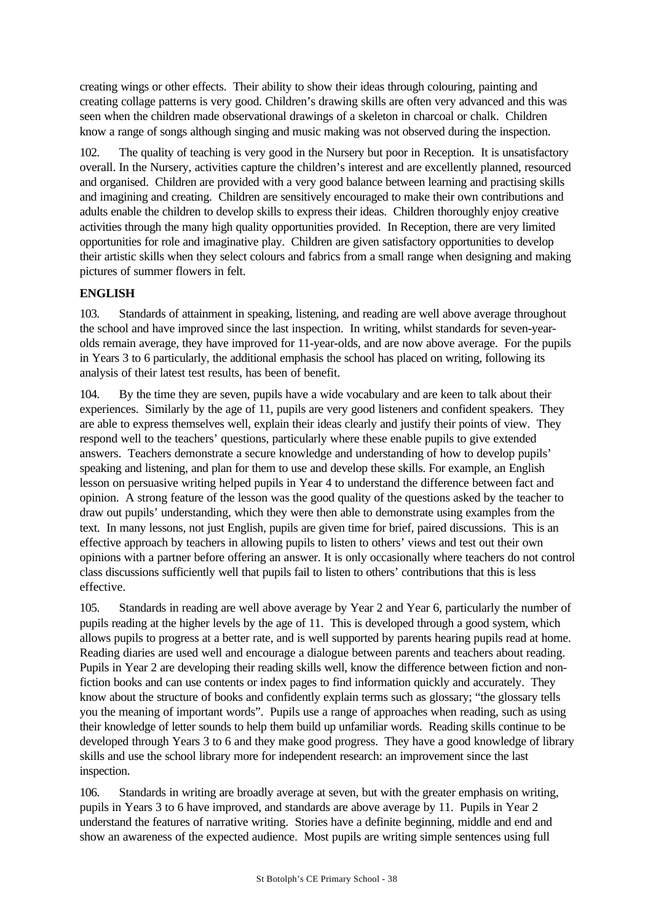creating wings or other effects. Their ability to show their ideas through colouring, painting and creating collage patterns is very good. Children's drawing skills are often very advanced and this was seen when the children made observational drawings of a skeleton in charcoal or chalk. Children know a range of songs although singing and music making was not observed during the inspection.

102. The quality of teaching is very good in the Nursery but poor in Reception. It is unsatisfactory overall. In the Nursery, activities capture the children's interest and are excellently planned, resourced and organised. Children are provided with a very good balance between learning and practising skills and imagining and creating. Children are sensitively encouraged to make their own contributions and adults enable the children to develop skills to express their ideas. Children thoroughly enjoy creative activities through the many high quality opportunities provided. In Reception, there are very limited opportunities for role and imaginative play. Children are given satisfactory opportunities to develop their artistic skills when they select colours and fabrics from a small range when designing and making pictures of summer flowers in felt.

## **ENGLISH**

103. Standards of attainment in speaking, listening, and reading are well above average throughout the school and have improved since the last inspection. In writing, whilst standards for seven-yearolds remain average, they have improved for 11-year-olds, and are now above average. For the pupils in Years 3 to 6 particularly, the additional emphasis the school has placed on writing, following its analysis of their latest test results, has been of benefit.

104. By the time they are seven, pupils have a wide vocabulary and are keen to talk about their experiences. Similarly by the age of 11, pupils are very good listeners and confident speakers. They are able to express themselves well, explain their ideas clearly and justify their points of view. They respond well to the teachers' questions, particularly where these enable pupils to give extended answers. Teachers demonstrate a secure knowledge and understanding of how to develop pupils' speaking and listening, and plan for them to use and develop these skills. For example, an English lesson on persuasive writing helped pupils in Year 4 to understand the difference between fact and opinion. A strong feature of the lesson was the good quality of the questions asked by the teacher to draw out pupils' understanding, which they were then able to demonstrate using examples from the text. In many lessons, not just English, pupils are given time for brief, paired discussions. This is an effective approach by teachers in allowing pupils to listen to others' views and test out their own opinions with a partner before offering an answer. It is only occasionally where teachers do not control class discussions sufficiently well that pupils fail to listen to others' contributions that this is less effective.

105. Standards in reading are well above average by Year 2 and Year 6, particularly the number of pupils reading at the higher levels by the age of 11. This is developed through a good system, which allows pupils to progress at a better rate, and is well supported by parents hearing pupils read at home. Reading diaries are used well and encourage a dialogue between parents and teachers about reading. Pupils in Year 2 are developing their reading skills well, know the difference between fiction and nonfiction books and can use contents or index pages to find information quickly and accurately. They know about the structure of books and confidently explain terms such as glossary; "the glossary tells you the meaning of important words". Pupils use a range of approaches when reading, such as using their knowledge of letter sounds to help them build up unfamiliar words. Reading skills continue to be developed through Years 3 to 6 and they make good progress. They have a good knowledge of library skills and use the school library more for independent research: an improvement since the last inspection.

106. Standards in writing are broadly average at seven, but with the greater emphasis on writing, pupils in Years 3 to 6 have improved, and standards are above average by 11. Pupils in Year 2 understand the features of narrative writing. Stories have a definite beginning, middle and end and show an awareness of the expected audience. Most pupils are writing simple sentences using full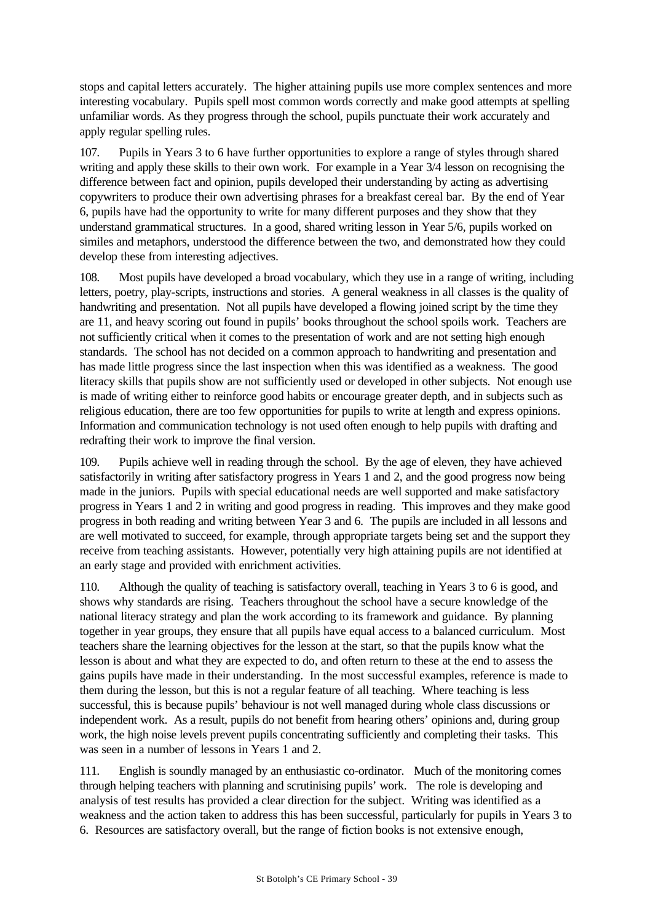stops and capital letters accurately. The higher attaining pupils use more complex sentences and more interesting vocabulary. Pupils spell most common words correctly and make good attempts at spelling unfamiliar words. As they progress through the school, pupils punctuate their work accurately and apply regular spelling rules.

107. Pupils in Years 3 to 6 have further opportunities to explore a range of styles through shared writing and apply these skills to their own work. For example in a Year 3/4 lesson on recognising the difference between fact and opinion, pupils developed their understanding by acting as advertising copywriters to produce their own advertising phrases for a breakfast cereal bar. By the end of Year 6, pupils have had the opportunity to write for many different purposes and they show that they understand grammatical structures. In a good, shared writing lesson in Year 5/6, pupils worked on similes and metaphors, understood the difference between the two, and demonstrated how they could develop these from interesting adjectives.

108. Most pupils have developed a broad vocabulary, which they use in a range of writing, including letters, poetry, play-scripts, instructions and stories. A general weakness in all classes is the quality of handwriting and presentation. Not all pupils have developed a flowing joined script by the time they are 11, and heavy scoring out found in pupils' books throughout the school spoils work. Teachers are not sufficiently critical when it comes to the presentation of work and are not setting high enough standards. The school has not decided on a common approach to handwriting and presentation and has made little progress since the last inspection when this was identified as a weakness. The good literacy skills that pupils show are not sufficiently used or developed in other subjects. Not enough use is made of writing either to reinforce good habits or encourage greater depth, and in subjects such as religious education, there are too few opportunities for pupils to write at length and express opinions. Information and communication technology is not used often enough to help pupils with drafting and redrafting their work to improve the final version.

109. Pupils achieve well in reading through the school. By the age of eleven, they have achieved satisfactorily in writing after satisfactory progress in Years 1 and 2, and the good progress now being made in the juniors. Pupils with special educational needs are well supported and make satisfactory progress in Years 1 and 2 in writing and good progress in reading. This improves and they make good progress in both reading and writing between Year 3 and 6. The pupils are included in all lessons and are well motivated to succeed, for example, through appropriate targets being set and the support they receive from teaching assistants. However, potentially very high attaining pupils are not identified at an early stage and provided with enrichment activities.

110. Although the quality of teaching is satisfactory overall, teaching in Years 3 to 6 is good, and shows why standards are rising. Teachers throughout the school have a secure knowledge of the national literacy strategy and plan the work according to its framework and guidance. By planning together in year groups, they ensure that all pupils have equal access to a balanced curriculum. Most teachers share the learning objectives for the lesson at the start, so that the pupils know what the lesson is about and what they are expected to do, and often return to these at the end to assess the gains pupils have made in their understanding. In the most successful examples, reference is made to them during the lesson, but this is not a regular feature of all teaching. Where teaching is less successful, this is because pupils' behaviour is not well managed during whole class discussions or independent work. As a result, pupils do not benefit from hearing others' opinions and, during group work, the high noise levels prevent pupils concentrating sufficiently and completing their tasks. This was seen in a number of lessons in Years 1 and 2.

111. English is soundly managed by an enthusiastic co-ordinator. Much of the monitoring comes through helping teachers with planning and scrutinising pupils' work. The role is developing and analysis of test results has provided a clear direction for the subject. Writing was identified as a weakness and the action taken to address this has been successful, particularly for pupils in Years 3 to 6. Resources are satisfactory overall, but the range of fiction books is not extensive enough,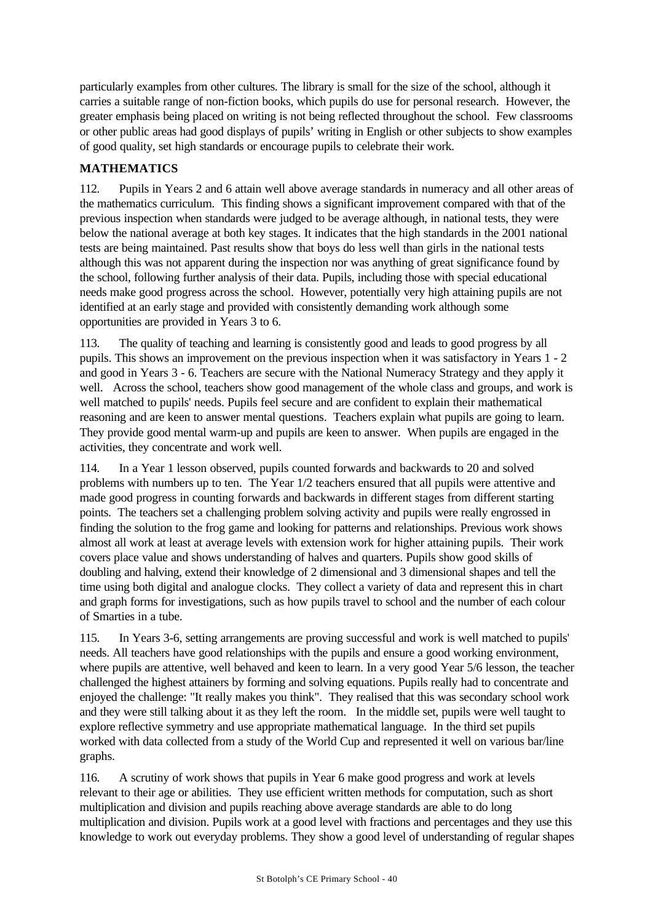particularly examples from other cultures. The library is small for the size of the school, although it carries a suitable range of non-fiction books, which pupils do use for personal research. However, the greater emphasis being placed on writing is not being reflected throughout the school. Few classrooms or other public areas had good displays of pupils' writing in English or other subjects to show examples of good quality, set high standards or encourage pupils to celebrate their work.

## **MATHEMATICS**

112. Pupils in Years 2 and 6 attain well above average standards in numeracy and all other areas of the mathematics curriculum. This finding shows a significant improvement compared with that of the previous inspection when standards were judged to be average although, in national tests, they were below the national average at both key stages. It indicates that the high standards in the 2001 national tests are being maintained. Past results show that boys do less well than girls in the national tests although this was not apparent during the inspection nor was anything of great significance found by the school, following further analysis of their data. Pupils, including those with special educational needs make good progress across the school. However, potentially very high attaining pupils are not identified at an early stage and provided with consistently demanding work although some opportunities are provided in Years 3 to 6.

113. The quality of teaching and learning is consistently good and leads to good progress by all pupils. This shows an improvement on the previous inspection when it was satisfactory in Years 1 - 2 and good in Years 3 - 6. Teachers are secure with the National Numeracy Strategy and they apply it well. Across the school, teachers show good management of the whole class and groups, and work is well matched to pupils' needs. Pupils feel secure and are confident to explain their mathematical reasoning and are keen to answer mental questions. Teachers explain what pupils are going to learn. They provide good mental warm-up and pupils are keen to answer. When pupils are engaged in the activities, they concentrate and work well.

114. In a Year 1 lesson observed, pupils counted forwards and backwards to 20 and solved problems with numbers up to ten. The Year 1/2 teachers ensured that all pupils were attentive and made good progress in counting forwards and backwards in different stages from different starting points. The teachers set a challenging problem solving activity and pupils were really engrossed in finding the solution to the frog game and looking for patterns and relationships. Previous work shows almost all work at least at average levels with extension work for higher attaining pupils. Their work covers place value and shows understanding of halves and quarters. Pupils show good skills of doubling and halving, extend their knowledge of 2 dimensional and 3 dimensional shapes and tell the time using both digital and analogue clocks. They collect a variety of data and represent this in chart and graph forms for investigations, such as how pupils travel to school and the number of each colour of Smarties in a tube.

115. In Years 3-6, setting arrangements are proving successful and work is well matched to pupils' needs. All teachers have good relationships with the pupils and ensure a good working environment, where pupils are attentive, well behaved and keen to learn. In a very good Year 5/6 lesson, the teacher challenged the highest attainers by forming and solving equations. Pupils really had to concentrate and enjoyed the challenge: "It really makes you think". They realised that this was secondary school work and they were still talking about it as they left the room. In the middle set, pupils were well taught to explore reflective symmetry and use appropriate mathematical language. In the third set pupils worked with data collected from a study of the World Cup and represented it well on various bar/line graphs.

116. A scrutiny of work shows that pupils in Year 6 make good progress and work at levels relevant to their age or abilities. They use efficient written methods for computation, such as short multiplication and division and pupils reaching above average standards are able to do long multiplication and division. Pupils work at a good level with fractions and percentages and they use this knowledge to work out everyday problems. They show a good level of understanding of regular shapes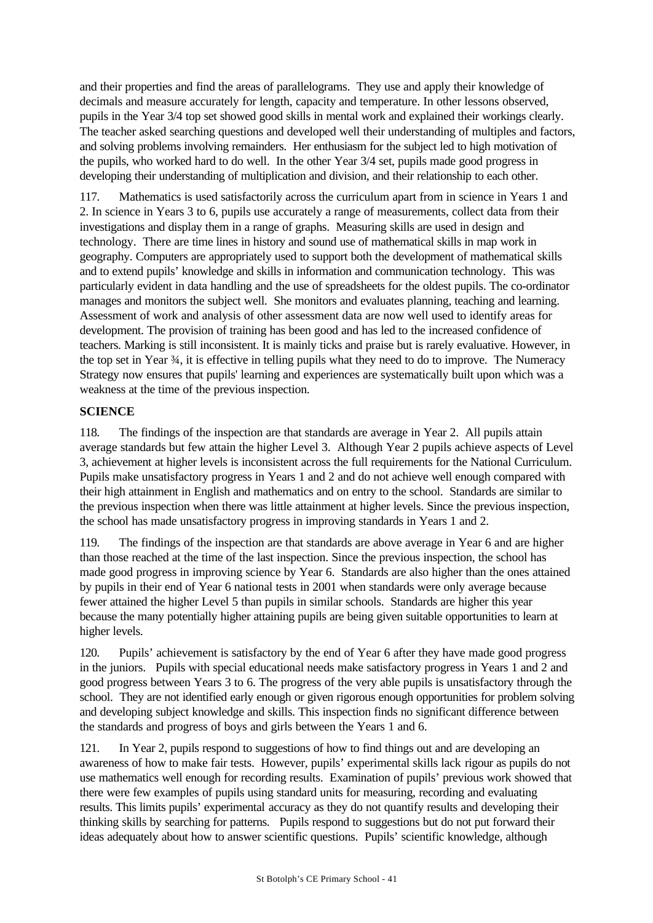and their properties and find the areas of parallelograms. They use and apply their knowledge of decimals and measure accurately for length, capacity and temperature. In other lessons observed, pupils in the Year 3/4 top set showed good skills in mental work and explained their workings clearly. The teacher asked searching questions and developed well their understanding of multiples and factors, and solving problems involving remainders. Her enthusiasm for the subject led to high motivation of the pupils, who worked hard to do well. In the other Year 3/4 set, pupils made good progress in developing their understanding of multiplication and division, and their relationship to each other.

117. Mathematics is used satisfactorily across the curriculum apart from in science in Years 1 and 2. In science in Years 3 to 6, pupils use accurately a range of measurements, collect data from their investigations and display them in a range of graphs. Measuring skills are used in design and technology. There are time lines in history and sound use of mathematical skills in map work in geography. Computers are appropriately used to support both the development of mathematical skills and to extend pupils' knowledge and skills in information and communication technology. This was particularly evident in data handling and the use of spreadsheets for the oldest pupils. The co-ordinator manages and monitors the subject well. She monitors and evaluates planning, teaching and learning. Assessment of work and analysis of other assessment data are now well used to identify areas for development. The provision of training has been good and has led to the increased confidence of teachers. Marking is still inconsistent. It is mainly ticks and praise but is rarely evaluative. However, in the top set in Year ¾, it is effective in telling pupils what they need to do to improve. The Numeracy Strategy now ensures that pupils' learning and experiences are systematically built upon which was a weakness at the time of the previous inspection.

## **SCIENCE**

118. The findings of the inspection are that standards are average in Year 2. All pupils attain average standards but few attain the higher Level 3. Although Year 2 pupils achieve aspects of Level 3, achievement at higher levels is inconsistent across the full requirements for the National Curriculum. Pupils make unsatisfactory progress in Years 1 and 2 and do not achieve well enough compared with their high attainment in English and mathematics and on entry to the school. Standards are similar to the previous inspection when there was little attainment at higher levels. Since the previous inspection, the school has made unsatisfactory progress in improving standards in Years 1 and 2.

119. The findings of the inspection are that standards are above average in Year 6 and are higher than those reached at the time of the last inspection. Since the previous inspection, the school has made good progress in improving science by Year 6. Standards are also higher than the ones attained by pupils in their end of Year 6 national tests in 2001 when standards were only average because fewer attained the higher Level 5 than pupils in similar schools. Standards are higher this year because the many potentially higher attaining pupils are being given suitable opportunities to learn at higher levels.

120. Pupils' achievement is satisfactory by the end of Year 6 after they have made good progress in the juniors. Pupils with special educational needs make satisfactory progress in Years 1 and 2 and good progress between Years 3 to 6. The progress of the very able pupils is unsatisfactory through the school. They are not identified early enough or given rigorous enough opportunities for problem solving and developing subject knowledge and skills. This inspection finds no significant difference between the standards and progress of boys and girls between the Years 1 and 6.

121. In Year 2, pupils respond to suggestions of how to find things out and are developing an awareness of how to make fair tests. However, pupils' experimental skills lack rigour as pupils do not use mathematics well enough for recording results. Examination of pupils' previous work showed that there were few examples of pupils using standard units for measuring, recording and evaluating results. This limits pupils' experimental accuracy as they do not quantify results and developing their thinking skills by searching for patterns. Pupils respond to suggestions but do not put forward their ideas adequately about how to answer scientific questions. Pupils' scientific knowledge, although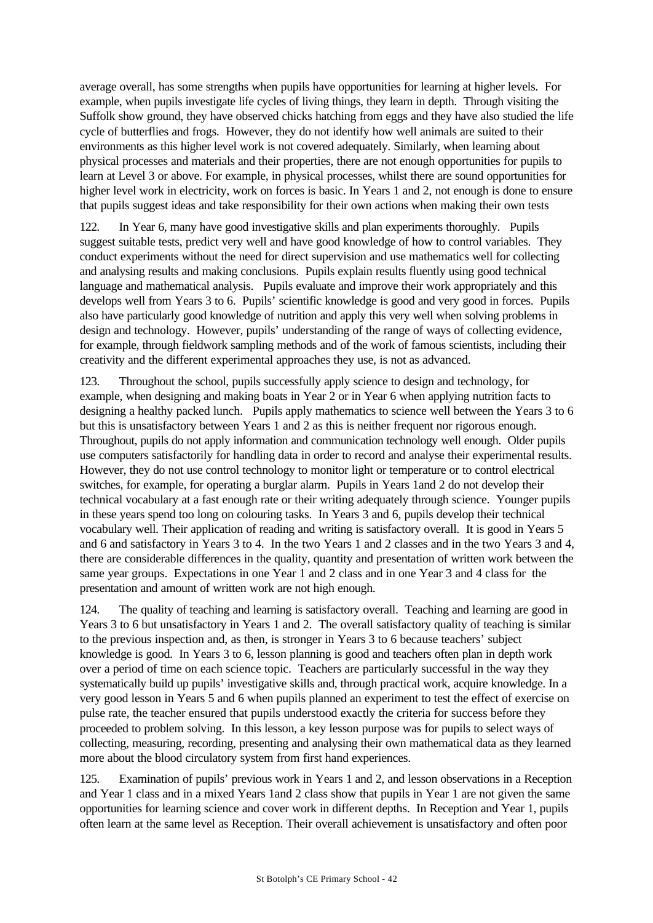average overall, has some strengths when pupils have opportunities for learning at higher levels. For example, when pupils investigate life cycles of living things, they learn in depth. Through visiting the Suffolk show ground, they have observed chicks hatching from eggs and they have also studied the life cycle of butterflies and frogs. However, they do not identify how well animals are suited to their environments as this higher level work is not covered adequately. Similarly, when learning about physical processes and materials and their properties, there are not enough opportunities for pupils to learn at Level 3 or above. For example, in physical processes, whilst there are sound opportunities for higher level work in electricity, work on forces is basic. In Years 1 and 2, not enough is done to ensure that pupils suggest ideas and take responsibility for their own actions when making their own tests

122. In Year 6, many have good investigative skills and plan experiments thoroughly. Pupils suggest suitable tests, predict very well and have good knowledge of how to control variables. They conduct experiments without the need for direct supervision and use mathematics well for collecting and analysing results and making conclusions. Pupils explain results fluently using good technical language and mathematical analysis. Pupils evaluate and improve their work appropriately and this develops well from Years 3 to 6. Pupils' scientific knowledge is good and very good in forces. Pupils also have particularly good knowledge of nutrition and apply this very well when solving problems in design and technology. However, pupils' understanding of the range of ways of collecting evidence, for example, through fieldwork sampling methods and of the work of famous scientists, including their creativity and the different experimental approaches they use, is not as advanced.

123. Throughout the school, pupils successfully apply science to design and technology, for example, when designing and making boats in Year 2 or in Year 6 when applying nutrition facts to designing a healthy packed lunch. Pupils apply mathematics to science well between the Years 3 to 6 but this is unsatisfactory between Years 1 and 2 as this is neither frequent nor rigorous enough. Throughout, pupils do not apply information and communication technology well enough. Older pupils use computers satisfactorily for handling data in order to record and analyse their experimental results. However, they do not use control technology to monitor light or temperature or to control electrical switches, for example, for operating a burglar alarm. Pupils in Years 1and 2 do not develop their technical vocabulary at a fast enough rate or their writing adequately through science. Younger pupils in these years spend too long on colouring tasks. In Years 3 and 6, pupils develop their technical vocabulary well. Their application of reading and writing is satisfactory overall. It is good in Years 5 and 6 and satisfactory in Years 3 to 4. In the two Years 1 and 2 classes and in the two Years 3 and 4, there are considerable differences in the quality, quantity and presentation of written work between the same year groups. Expectations in one Year 1 and 2 class and in one Year 3 and 4 class for the presentation and amount of written work are not high enough.

124. The quality of teaching and learning is satisfactory overall. Teaching and learning are good in Years 3 to 6 but unsatisfactory in Years 1 and 2. The overall satisfactory quality of teaching is similar to the previous inspection and, as then, is stronger in Years 3 to 6 because teachers' subject knowledge is good. In Years 3 to 6, lesson planning is good and teachers often plan in depth work over a period of time on each science topic. Teachers are particularly successful in the way they systematically build up pupils' investigative skills and, through practical work, acquire knowledge. In a very good lesson in Years 5 and 6 when pupils planned an experiment to test the effect of exercise on pulse rate, the teacher ensured that pupils understood exactly the criteria for success before they proceeded to problem solving. In this lesson, a key lesson purpose was for pupils to select ways of collecting, measuring, recording, presenting and analysing their own mathematical data as they learned more about the blood circulatory system from first hand experiences.

125. Examination of pupils' previous work in Years 1 and 2, and lesson observations in a Reception and Year 1 class and in a mixed Years 1and 2 class show that pupils in Year 1 are not given the same opportunities for learning science and cover work in different depths. In Reception and Year 1, pupils often learn at the same level as Reception. Their overall achievement is unsatisfactory and often poor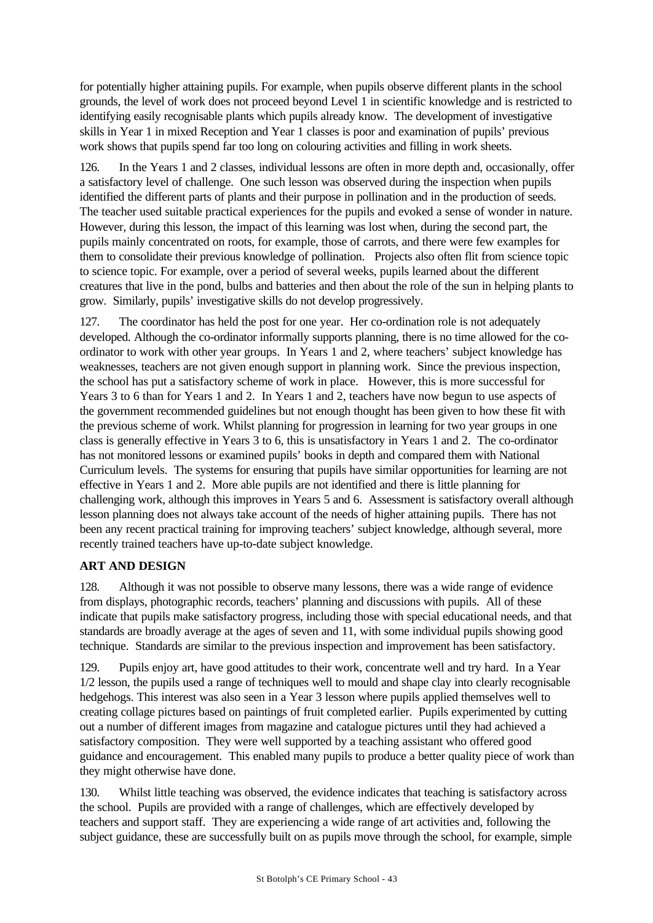for potentially higher attaining pupils. For example, when pupils observe different plants in the school grounds, the level of work does not proceed beyond Level 1 in scientific knowledge and is restricted to identifying easily recognisable plants which pupils already know. The development of investigative skills in Year 1 in mixed Reception and Year 1 classes is poor and examination of pupils' previous work shows that pupils spend far too long on colouring activities and filling in work sheets.

126. In the Years 1 and 2 classes, individual lessons are often in more depth and, occasionally, offer a satisfactory level of challenge. One such lesson was observed during the inspection when pupils identified the different parts of plants and their purpose in pollination and in the production of seeds. The teacher used suitable practical experiences for the pupils and evoked a sense of wonder in nature. However, during this lesson, the impact of this learning was lost when, during the second part, the pupils mainly concentrated on roots, for example, those of carrots, and there were few examples for them to consolidate their previous knowledge of pollination. Projects also often flit from science topic to science topic. For example, over a period of several weeks, pupils learned about the different creatures that live in the pond, bulbs and batteries and then about the role of the sun in helping plants to grow. Similarly, pupils' investigative skills do not develop progressively.

127. The coordinator has held the post for one year. Her co-ordination role is not adequately developed. Although the co-ordinator informally supports planning, there is no time allowed for the coordinator to work with other year groups. In Years 1 and 2, where teachers' subject knowledge has weaknesses, teachers are not given enough support in planning work. Since the previous inspection, the school has put a satisfactory scheme of work in place. However, this is more successful for Years 3 to 6 than for Years 1 and 2. In Years 1 and 2, teachers have now begun to use aspects of the government recommended guidelines but not enough thought has been given to how these fit with the previous scheme of work. Whilst planning for progression in learning for two year groups in one class is generally effective in Years 3 to 6, this is unsatisfactory in Years 1 and 2. The co-ordinator has not monitored lessons or examined pupils' books in depth and compared them with National Curriculum levels. The systems for ensuring that pupils have similar opportunities for learning are not effective in Years 1 and 2. More able pupils are not identified and there is little planning for challenging work, although this improves in Years 5 and 6. Assessment is satisfactory overall although lesson planning does not always take account of the needs of higher attaining pupils. There has not been any recent practical training for improving teachers' subject knowledge, although several, more recently trained teachers have up-to-date subject knowledge.

## **ART AND DESIGN**

128. Although it was not possible to observe many lessons, there was a wide range of evidence from displays, photographic records, teachers' planning and discussions with pupils. All of these indicate that pupils make satisfactory progress, including those with special educational needs, and that standards are broadly average at the ages of seven and 11, with some individual pupils showing good technique. Standards are similar to the previous inspection and improvement has been satisfactory.

129. Pupils enjoy art, have good attitudes to their work, concentrate well and try hard. In a Year 1/2 lesson, the pupils used a range of techniques well to mould and shape clay into clearly recognisable hedgehogs. This interest was also seen in a Year 3 lesson where pupils applied themselves well to creating collage pictures based on paintings of fruit completed earlier. Pupils experimented by cutting out a number of different images from magazine and catalogue pictures until they had achieved a satisfactory composition. They were well supported by a teaching assistant who offered good guidance and encouragement. This enabled many pupils to produce a better quality piece of work than they might otherwise have done.

130. Whilst little teaching was observed, the evidence indicates that teaching is satisfactory across the school. Pupils are provided with a range of challenges, which are effectively developed by teachers and support staff. They are experiencing a wide range of art activities and, following the subject guidance, these are successfully built on as pupils move through the school, for example, simple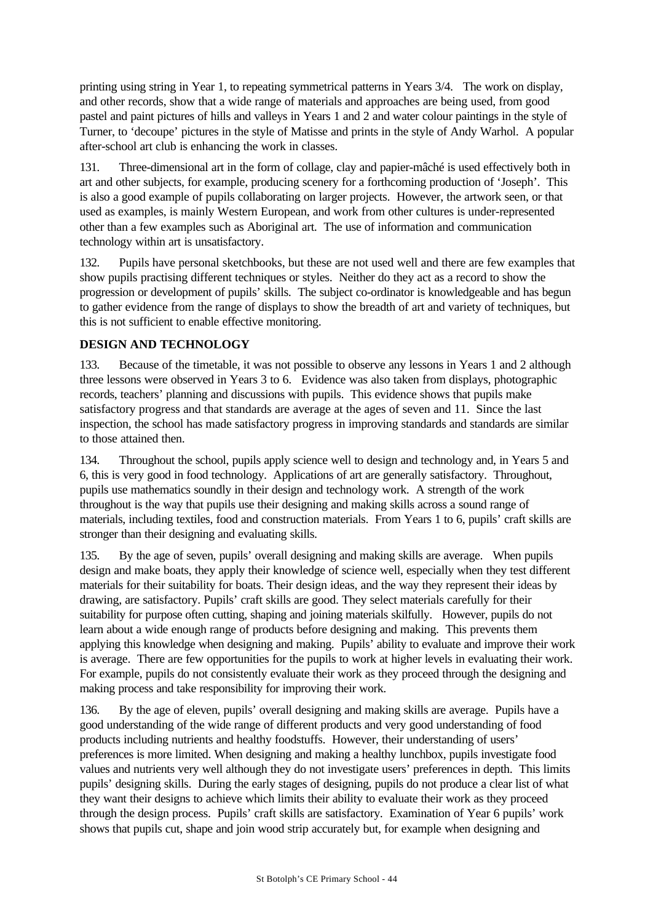printing using string in Year 1, to repeating symmetrical patterns in Years 3/4. The work on display, and other records, show that a wide range of materials and approaches are being used, from good pastel and paint pictures of hills and valleys in Years 1 and 2 and water colour paintings in the style of Turner, to 'decoupe' pictures in the style of Matisse and prints in the style of Andy Warhol. A popular after-school art club is enhancing the work in classes.

131. Three-dimensional art in the form of collage, clay and papier-mâché is used effectively both in art and other subjects, for example, producing scenery for a forthcoming production of 'Joseph'. This is also a good example of pupils collaborating on larger projects. However, the artwork seen, or that used as examples, is mainly Western European, and work from other cultures is under-represented other than a few examples such as Aboriginal art. The use of information and communication technology within art is unsatisfactory.

132. Pupils have personal sketchbooks, but these are not used well and there are few examples that show pupils practising different techniques or styles. Neither do they act as a record to show the progression or development of pupils' skills. The subject co-ordinator is knowledgeable and has begun to gather evidence from the range of displays to show the breadth of art and variety of techniques, but this is not sufficient to enable effective monitoring.

## **DESIGN AND TECHNOLOGY**

133. Because of the timetable, it was not possible to observe any lessons in Years 1 and 2 although three lessons were observed in Years 3 to 6. Evidence was also taken from displays, photographic records, teachers' planning and discussions with pupils. This evidence shows that pupils make satisfactory progress and that standards are average at the ages of seven and 11. Since the last inspection, the school has made satisfactory progress in improving standards and standards are similar to those attained then.

134. Throughout the school, pupils apply science well to design and technology and, in Years 5 and 6, this is very good in food technology. Applications of art are generally satisfactory. Throughout, pupils use mathematics soundly in their design and technology work. A strength of the work throughout is the way that pupils use their designing and making skills across a sound range of materials, including textiles, food and construction materials. From Years 1 to 6, pupils' craft skills are stronger than their designing and evaluating skills.

135. By the age of seven, pupils' overall designing and making skills are average. When pupils design and make boats, they apply their knowledge of science well, especially when they test different materials for their suitability for boats. Their design ideas, and the way they represent their ideas by drawing, are satisfactory. Pupils' craft skills are good. They select materials carefully for their suitability for purpose often cutting, shaping and joining materials skilfully. However, pupils do not learn about a wide enough range of products before designing and making. This prevents them applying this knowledge when designing and making. Pupils' ability to evaluate and improve their work is average. There are few opportunities for the pupils to work at higher levels in evaluating their work. For example, pupils do not consistently evaluate their work as they proceed through the designing and making process and take responsibility for improving their work.

136. By the age of eleven, pupils' overall designing and making skills are average. Pupils have a good understanding of the wide range of different products and very good understanding of food products including nutrients and healthy foodstuffs. However, their understanding of users' preferences is more limited. When designing and making a healthy lunchbox, pupils investigate food values and nutrients very well although they do not investigate users' preferences in depth. This limits pupils' designing skills. During the early stages of designing, pupils do not produce a clear list of what they want their designs to achieve which limits their ability to evaluate their work as they proceed through the design process. Pupils' craft skills are satisfactory. Examination of Year 6 pupils' work shows that pupils cut, shape and join wood strip accurately but, for example when designing and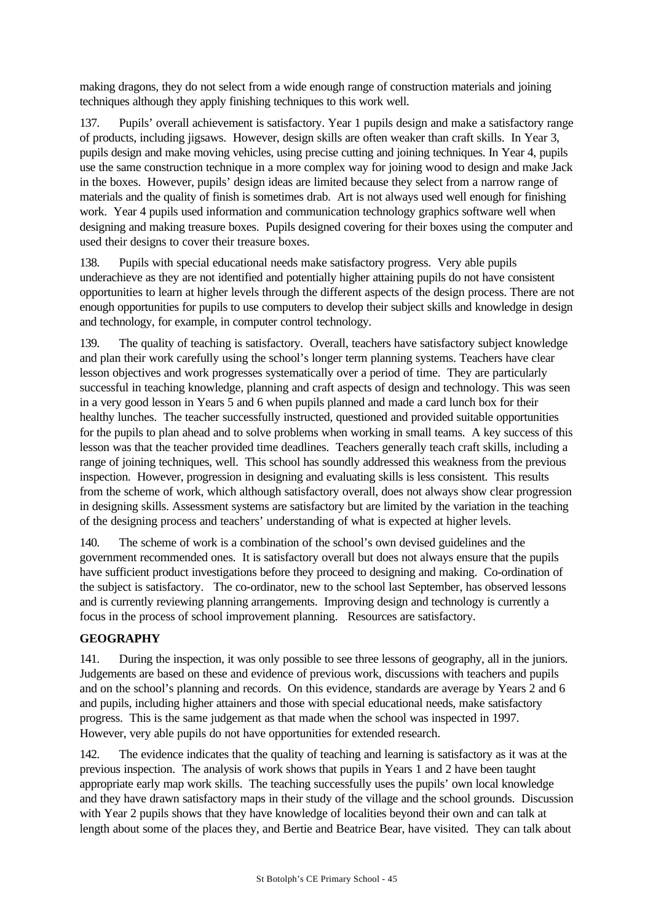making dragons, they do not select from a wide enough range of construction materials and joining techniques although they apply finishing techniques to this work well.

137. Pupils' overall achievement is satisfactory. Year 1 pupils design and make a satisfactory range of products, including jigsaws. However, design skills are often weaker than craft skills. In Year 3, pupils design and make moving vehicles, using precise cutting and joining techniques. In Year 4, pupils use the same construction technique in a more complex way for joining wood to design and make Jack in the boxes. However, pupils' design ideas are limited because they select from a narrow range of materials and the quality of finish is sometimes drab. Art is not always used well enough for finishing work. Year 4 pupils used information and communication technology graphics software well when designing and making treasure boxes. Pupils designed covering for their boxes using the computer and used their designs to cover their treasure boxes.

138. Pupils with special educational needs make satisfactory progress. Very able pupils underachieve as they are not identified and potentially higher attaining pupils do not have consistent opportunities to learn at higher levels through the different aspects of the design process. There are not enough opportunities for pupils to use computers to develop their subject skills and knowledge in design and technology, for example, in computer control technology.

139. The quality of teaching is satisfactory. Overall, teachers have satisfactory subject knowledge and plan their work carefully using the school's longer term planning systems. Teachers have clear lesson objectives and work progresses systematically over a period of time. They are particularly successful in teaching knowledge, planning and craft aspects of design and technology. This was seen in a very good lesson in Years 5 and 6 when pupils planned and made a card lunch box for their healthy lunches. The teacher successfully instructed, questioned and provided suitable opportunities for the pupils to plan ahead and to solve problems when working in small teams. A key success of this lesson was that the teacher provided time deadlines. Teachers generally teach craft skills, including a range of joining techniques, well. This school has soundly addressed this weakness from the previous inspection. However, progression in designing and evaluating skills is less consistent. This results from the scheme of work, which although satisfactory overall, does not always show clear progression in designing skills. Assessment systems are satisfactory but are limited by the variation in the teaching of the designing process and teachers' understanding of what is expected at higher levels.

140. The scheme of work is a combination of the school's own devised guidelines and the government recommended ones. It is satisfactory overall but does not always ensure that the pupils have sufficient product investigations before they proceed to designing and making. Co-ordination of the subject is satisfactory. The co-ordinator, new to the school last September, has observed lessons and is currently reviewing planning arrangements. Improving design and technology is currently a focus in the process of school improvement planning. Resources are satisfactory.

## **GEOGRAPHY**

141. During the inspection, it was only possible to see three lessons of geography, all in the juniors. Judgements are based on these and evidence of previous work, discussions with teachers and pupils and on the school's planning and records. On this evidence, standards are average by Years 2 and 6 and pupils, including higher attainers and those with special educational needs, make satisfactory progress. This is the same judgement as that made when the school was inspected in 1997. However, very able pupils do not have opportunities for extended research.

142. The evidence indicates that the quality of teaching and learning is satisfactory as it was at the previous inspection. The analysis of work shows that pupils in Years 1 and 2 have been taught appropriate early map work skills. The teaching successfully uses the pupils' own local knowledge and they have drawn satisfactory maps in their study of the village and the school grounds. Discussion with Year 2 pupils shows that they have knowledge of localities beyond their own and can talk at length about some of the places they, and Bertie and Beatrice Bear, have visited. They can talk about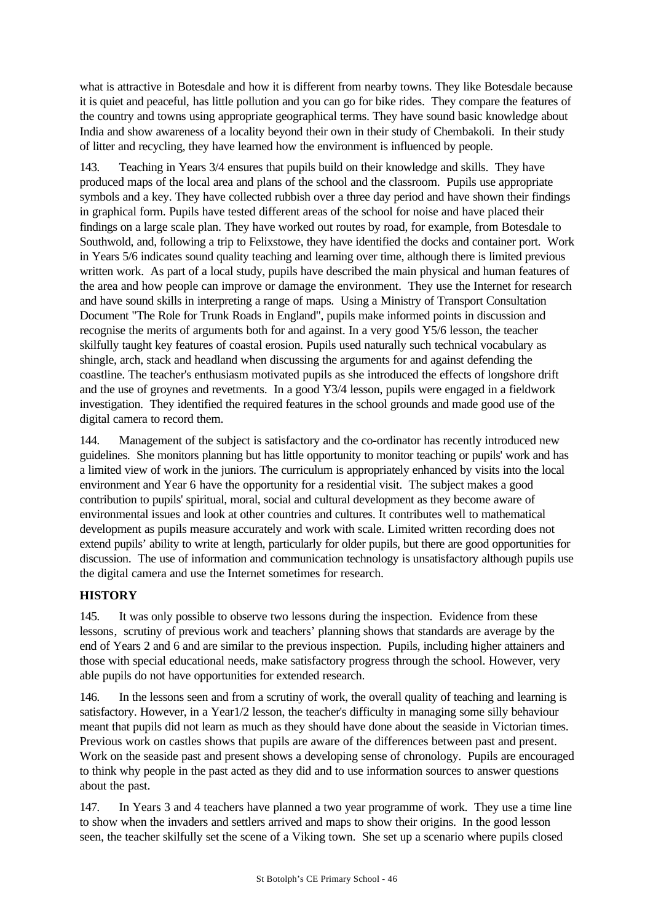what is attractive in Botesdale and how it is different from nearby towns. They like Botesdale because it is quiet and peaceful, has little pollution and you can go for bike rides. They compare the features of the country and towns using appropriate geographical terms. They have sound basic knowledge about India and show awareness of a locality beyond their own in their study of Chembakoli. In their study of litter and recycling, they have learned how the environment is influenced by people.

143. Teaching in Years 3/4 ensures that pupils build on their knowledge and skills. They have produced maps of the local area and plans of the school and the classroom. Pupils use appropriate symbols and a key. They have collected rubbish over a three day period and have shown their findings in graphical form. Pupils have tested different areas of the school for noise and have placed their findings on a large scale plan. They have worked out routes by road, for example, from Botesdale to Southwold, and, following a trip to Felixstowe, they have identified the docks and container port. Work in Years 5/6 indicates sound quality teaching and learning over time, although there is limited previous written work. As part of a local study, pupils have described the main physical and human features of the area and how people can improve or damage the environment. They use the Internet for research and have sound skills in interpreting a range of maps. Using a Ministry of Transport Consultation Document "The Role for Trunk Roads in England", pupils make informed points in discussion and recognise the merits of arguments both for and against. In a very good Y5/6 lesson, the teacher skilfully taught key features of coastal erosion. Pupils used naturally such technical vocabulary as shingle, arch, stack and headland when discussing the arguments for and against defending the coastline. The teacher's enthusiasm motivated pupils as she introduced the effects of longshore drift and the use of groynes and revetments. In a good Y3/4 lesson, pupils were engaged in a fieldwork investigation. They identified the required features in the school grounds and made good use of the digital camera to record them.

144. Management of the subject is satisfactory and the co-ordinator has recently introduced new guidelines. She monitors planning but has little opportunity to monitor teaching or pupils' work and has a limited view of work in the juniors. The curriculum is appropriately enhanced by visits into the local environment and Year 6 have the opportunity for a residential visit. The subject makes a good contribution to pupils' spiritual, moral, social and cultural development as they become aware of environmental issues and look at other countries and cultures. It contributes well to mathematical development as pupils measure accurately and work with scale. Limited written recording does not extend pupils' ability to write at length, particularly for older pupils, but there are good opportunities for discussion. The use of information and communication technology is unsatisfactory although pupils use the digital camera and use the Internet sometimes for research.

# **HISTORY**

145. It was only possible to observe two lessons during the inspection. Evidence from these lessons, scrutiny of previous work and teachers' planning shows that standards are average by the end of Years 2 and 6 and are similar to the previous inspection. Pupils, including higher attainers and those with special educational needs, make satisfactory progress through the school. However, very able pupils do not have opportunities for extended research.

146. In the lessons seen and from a scrutiny of work, the overall quality of teaching and learning is satisfactory. However, in a Year1/2 lesson, the teacher's difficulty in managing some silly behaviour meant that pupils did not learn as much as they should have done about the seaside in Victorian times. Previous work on castles shows that pupils are aware of the differences between past and present. Work on the seaside past and present shows a developing sense of chronology. Pupils are encouraged to think why people in the past acted as they did and to use information sources to answer questions about the past.

147. In Years 3 and 4 teachers have planned a two year programme of work. They use a time line to show when the invaders and settlers arrived and maps to show their origins. In the good lesson seen, the teacher skilfully set the scene of a Viking town. She set up a scenario where pupils closed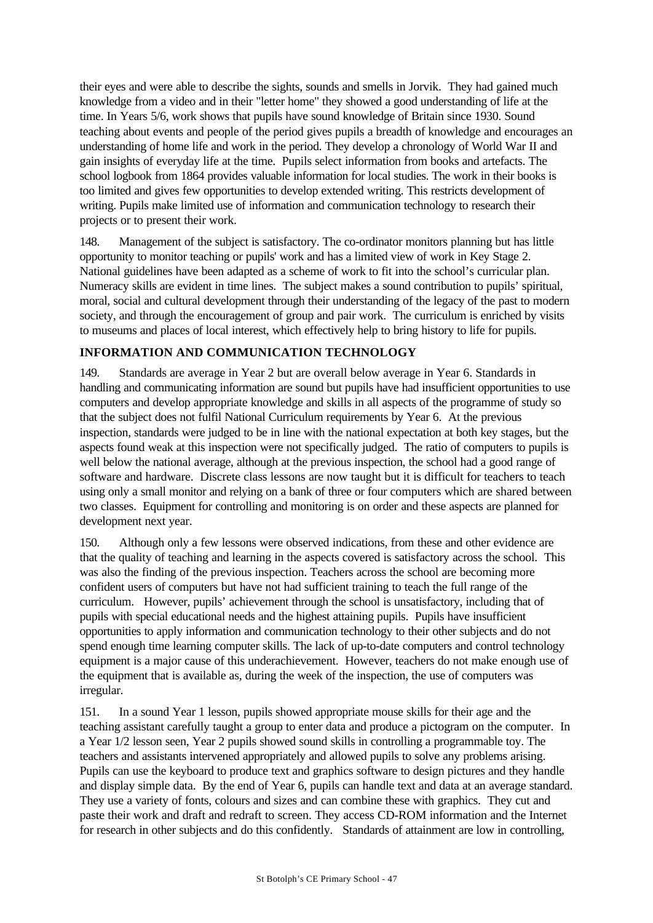their eyes and were able to describe the sights, sounds and smells in Jorvik. They had gained much knowledge from a video and in their "letter home" they showed a good understanding of life at the time. In Years 5/6, work shows that pupils have sound knowledge of Britain since 1930. Sound teaching about events and people of the period gives pupils a breadth of knowledge and encourages an understanding of home life and work in the period. They develop a chronology of World War II and gain insights of everyday life at the time. Pupils select information from books and artefacts. The school logbook from 1864 provides valuable information for local studies. The work in their books is too limited and gives few opportunities to develop extended writing. This restricts development of writing. Pupils make limited use of information and communication technology to research their projects or to present their work.

148. Management of the subject is satisfactory. The co-ordinator monitors planning but has little opportunity to monitor teaching or pupils' work and has a limited view of work in Key Stage 2. National guidelines have been adapted as a scheme of work to fit into the school's curricular plan. Numeracy skills are evident in time lines. The subject makes a sound contribution to pupils' spiritual, moral, social and cultural development through their understanding of the legacy of the past to modern society, and through the encouragement of group and pair work. The curriculum is enriched by visits to museums and places of local interest, which effectively help to bring history to life for pupils.

## **INFORMATION AND COMMUNICATION TECHNOLOGY**

149. Standards are average in Year 2 but are overall below average in Year 6. Standards in handling and communicating information are sound but pupils have had insufficient opportunities to use computers and develop appropriate knowledge and skills in all aspects of the programme of study so that the subject does not fulfil National Curriculum requirements by Year 6. At the previous inspection, standards were judged to be in line with the national expectation at both key stages, but the aspects found weak at this inspection were not specifically judged. The ratio of computers to pupils is well below the national average, although at the previous inspection, the school had a good range of software and hardware. Discrete class lessons are now taught but it is difficult for teachers to teach using only a small monitor and relying on a bank of three or four computers which are shared between two classes. Equipment for controlling and monitoring is on order and these aspects are planned for development next year.

150. Although only a few lessons were observed indications, from these and other evidence are that the quality of teaching and learning in the aspects covered is satisfactory across the school. This was also the finding of the previous inspection. Teachers across the school are becoming more confident users of computers but have not had sufficient training to teach the full range of the curriculum. However, pupils' achievement through the school is unsatisfactory, including that of pupils with special educational needs and the highest attaining pupils. Pupils have insufficient opportunities to apply information and communication technology to their other subjects and do not spend enough time learning computer skills. The lack of up-to-date computers and control technology equipment is a major cause of this underachievement. However, teachers do not make enough use of the equipment that is available as, during the week of the inspection, the use of computers was irregular.

151. In a sound Year 1 lesson, pupils showed appropriate mouse skills for their age and the teaching assistant carefully taught a group to enter data and produce a pictogram on the computer. In a Year 1/2 lesson seen, Year 2 pupils showed sound skills in controlling a programmable toy. The teachers and assistants intervened appropriately and allowed pupils to solve any problems arising. Pupils can use the keyboard to produce text and graphics software to design pictures and they handle and display simple data. By the end of Year 6, pupils can handle text and data at an average standard. They use a variety of fonts, colours and sizes and can combine these with graphics. They cut and paste their work and draft and redraft to screen. They access CD-ROM information and the Internet for research in other subjects and do this confidently. Standards of attainment are low in controlling,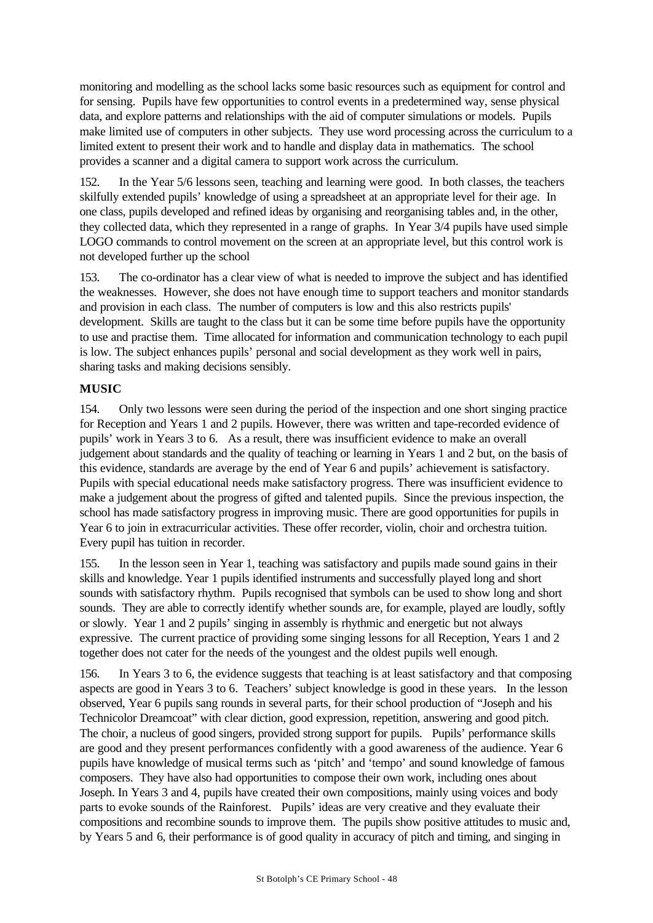monitoring and modelling as the school lacks some basic resources such as equipment for control and for sensing. Pupils have few opportunities to control events in a predetermined way, sense physical data, and explore patterns and relationships with the aid of computer simulations or models. Pupils make limited use of computers in other subjects. They use word processing across the curriculum to a limited extent to present their work and to handle and display data in mathematics. The school provides a scanner and a digital camera to support work across the curriculum.

152. In the Year 5/6 lessons seen, teaching and learning were good. In both classes, the teachers skilfully extended pupils' knowledge of using a spreadsheet at an appropriate level for their age. In one class, pupils developed and refined ideas by organising and reorganising tables and, in the other, they collected data, which they represented in a range of graphs. In Year 3/4 pupils have used simple LOGO commands to control movement on the screen at an appropriate level, but this control work is not developed further up the school

153. The co-ordinator has a clear view of what is needed to improve the subject and has identified the weaknesses. However, she does not have enough time to support teachers and monitor standards and provision in each class. The number of computers is low and this also restricts pupils' development. Skills are taught to the class but it can be some time before pupils have the opportunity to use and practise them. Time allocated for information and communication technology to each pupil is low. The subject enhances pupils' personal and social development as they work well in pairs, sharing tasks and making decisions sensibly.

## **MUSIC**

154. Only two lessons were seen during the period of the inspection and one short singing practice for Reception and Years 1 and 2 pupils. However, there was written and tape-recorded evidence of pupils' work in Years 3 to 6. As a result, there was insufficient evidence to make an overall judgement about standards and the quality of teaching or learning in Years 1 and 2 but, on the basis of this evidence, standards are average by the end of Year 6 and pupils' achievement is satisfactory. Pupils with special educational needs make satisfactory progress. There was insufficient evidence to make a judgement about the progress of gifted and talented pupils. Since the previous inspection, the school has made satisfactory progress in improving music. There are good opportunities for pupils in Year 6 to join in extracurricular activities. These offer recorder, violin, choir and orchestra tuition. Every pupil has tuition in recorder.

155. In the lesson seen in Year 1, teaching was satisfactory and pupils made sound gains in their skills and knowledge. Year 1 pupils identified instruments and successfully played long and short sounds with satisfactory rhythm. Pupils recognised that symbols can be used to show long and short sounds. They are able to correctly identify whether sounds are, for example, played are loudly, softly or slowly. Year 1 and 2 pupils' singing in assembly is rhythmic and energetic but not always expressive. The current practice of providing some singing lessons for all Reception, Years 1 and 2 together does not cater for the needs of the youngest and the oldest pupils well enough.

156. In Years 3 to 6, the evidence suggests that teaching is at least satisfactory and that composing aspects are good in Years 3 to 6. Teachers' subject knowledge is good in these years. In the lesson observed, Year 6 pupils sang rounds in several parts, for their school production of "Joseph and his Technicolor Dreamcoat" with clear diction, good expression, repetition, answering and good pitch. The choir, a nucleus of good singers, provided strong support for pupils. Pupils' performance skills are good and they present performances confidently with a good awareness of the audience. Year 6 pupils have knowledge of musical terms such as 'pitch' and 'tempo' and sound knowledge of famous composers. They have also had opportunities to compose their own work, including ones about Joseph. In Years 3 and 4, pupils have created their own compositions, mainly using voices and body parts to evoke sounds of the Rainforest. Pupils' ideas are very creative and they evaluate their compositions and recombine sounds to improve them. The pupils show positive attitudes to music and, by Years 5 and 6, their performance is of good quality in accuracy of pitch and timing, and singing in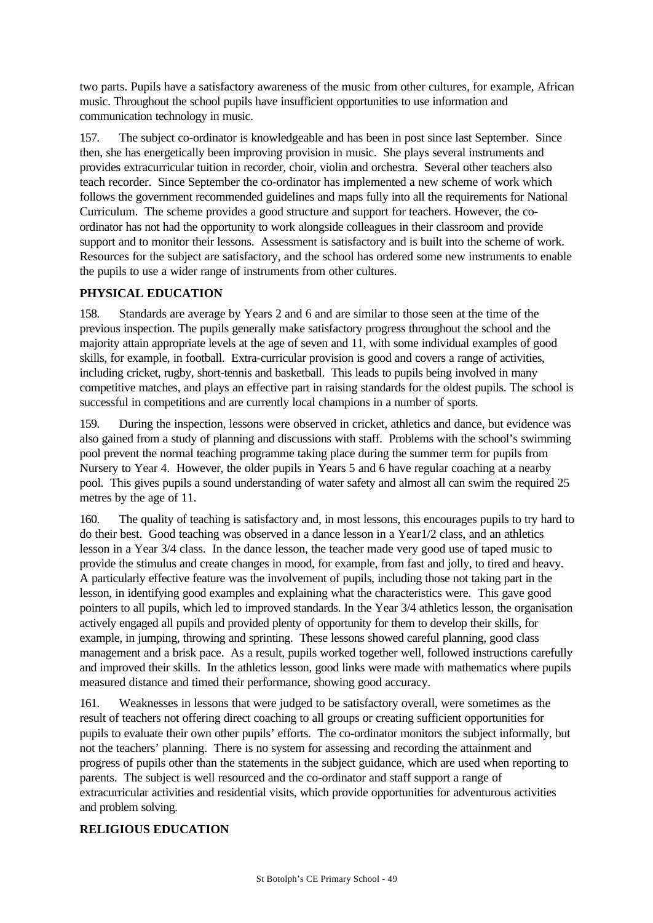two parts. Pupils have a satisfactory awareness of the music from other cultures, for example, African music. Throughout the school pupils have insufficient opportunities to use information and communication technology in music.

157. The subject co-ordinator is knowledgeable and has been in post since last September. Since then, she has energetically been improving provision in music. She plays several instruments and provides extracurricular tuition in recorder, choir, violin and orchestra. Several other teachers also teach recorder. Since September the co-ordinator has implemented a new scheme of work which follows the government recommended guidelines and maps fully into all the requirements for National Curriculum. The scheme provides a good structure and support for teachers. However, the coordinator has not had the opportunity to work alongside colleagues in their classroom and provide support and to monitor their lessons. Assessment is satisfactory and is built into the scheme of work. Resources for the subject are satisfactory, and the school has ordered some new instruments to enable the pupils to use a wider range of instruments from other cultures.

## **PHYSICAL EDUCATION**

158. Standards are average by Years 2 and 6 and are similar to those seen at the time of the previous inspection. The pupils generally make satisfactory progress throughout the school and the majority attain appropriate levels at the age of seven and 11, with some individual examples of good skills, for example, in football. Extra-curricular provision is good and covers a range of activities, including cricket, rugby, short-tennis and basketball. This leads to pupils being involved in many competitive matches, and plays an effective part in raising standards for the oldest pupils. The school is successful in competitions and are currently local champions in a number of sports.

159. During the inspection, lessons were observed in cricket, athletics and dance, but evidence was also gained from a study of planning and discussions with staff. Problems with the school's swimming pool prevent the normal teaching programme taking place during the summer term for pupils from Nursery to Year 4. However, the older pupils in Years 5 and 6 have regular coaching at a nearby pool. This gives pupils a sound understanding of water safety and almost all can swim the required 25 metres by the age of 11.

160. The quality of teaching is satisfactory and, in most lessons, this encourages pupils to try hard to do their best. Good teaching was observed in a dance lesson in a Year1/2 class, and an athletics lesson in a Year 3/4 class. In the dance lesson, the teacher made very good use of taped music to provide the stimulus and create changes in mood, for example, from fast and jolly, to tired and heavy. A particularly effective feature was the involvement of pupils, including those not taking part in the lesson, in identifying good examples and explaining what the characteristics were. This gave good pointers to all pupils, which led to improved standards. In the Year 3/4 athletics lesson, the organisation actively engaged all pupils and provided plenty of opportunity for them to develop their skills, for example, in jumping, throwing and sprinting. These lessons showed careful planning, good class management and a brisk pace. As a result, pupils worked together well, followed instructions carefully and improved their skills. In the athletics lesson, good links were made with mathematics where pupils measured distance and timed their performance, showing good accuracy.

161. Weaknesses in lessons that were judged to be satisfactory overall, were sometimes as the result of teachers not offering direct coaching to all groups or creating sufficient opportunities for pupils to evaluate their own other pupils' efforts. The co-ordinator monitors the subject informally, but not the teachers' planning. There is no system for assessing and recording the attainment and progress of pupils other than the statements in the subject guidance, which are used when reporting to parents. The subject is well resourced and the co-ordinator and staff support a range of extracurricular activities and residential visits, which provide opportunities for adventurous activities and problem solving.

## **RELIGIOUS EDUCATION**